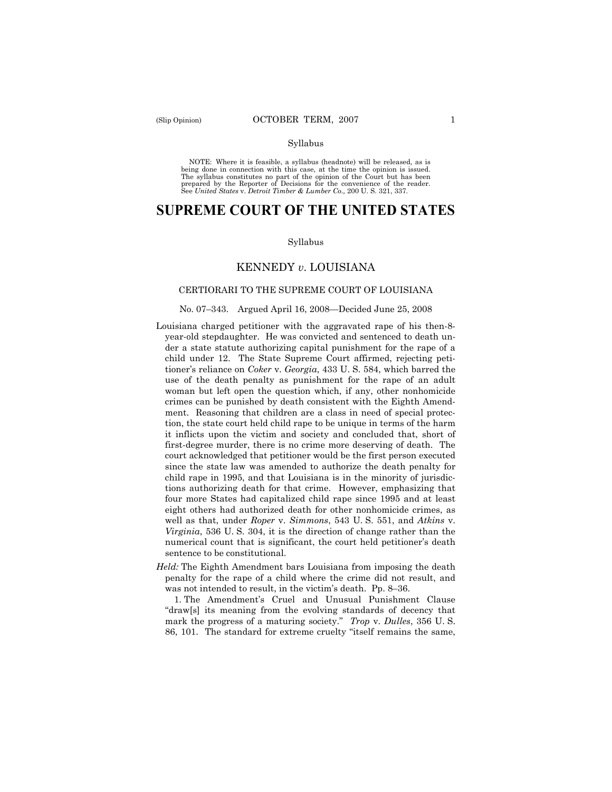NOTE: Where it is feasible, a syllabus (headnote) will be released, as is being done in connection with this case, at the time the opinion is issued. The syllabus constitutes no part of the opinion of the Court but has been<br>prepared by the Reporter of Decisions for the convenience of the reader.<br>See United States v. Detroit Timber & Lumber Co., 200 U. S. 321, 337.

# **SUPREME COURT OF THE UNITED STATES**

#### Syllabus

## KENNEDY *v*. LOUISIANA

#### CERTIORARI TO THE SUPREME COURT OF LOUISIANA

#### No. 07–343. Argued April 16, 2008—Decided June 25, 2008

- Louisiana charged petitioner with the aggravated rape of his then-8 year-old stepdaughter. He was convicted and sentenced to death under a state statute authorizing capital punishment for the rape of a child under 12. The State Supreme Court affirmed, rejecting petitioner's reliance on *Coker* v. *Georgia*, 433 U. S. 584, which barred the use of the death penalty as punishment for the rape of an adult woman but left open the question which, if any, other nonhomicide crimes can be punished by death consistent with the Eighth Amendment. Reasoning that children are a class in need of special protection, the state court held child rape to be unique in terms of the harm it inflicts upon the victim and society and concluded that, short of first-degree murder, there is no crime more deserving of death. The court acknowledged that petitioner would be the first person executed since the state law was amended to authorize the death penalty for child rape in 1995, and that Louisiana is in the minority of jurisdictions authorizing death for that crime. However, emphasizing that four more States had capitalized child rape since 1995 and at least eight others had authorized death for other nonhomicide crimes, as well as that, under *Roper* v. *Simmons*, 543 U. S. 551, and *Atkins* v. *Virginia*, 536 U. S. 304, it is the direction of change rather than the numerical count that is significant, the court held petitioner's death sentence to be constitutional.
- *Held:* The Eighth Amendment bars Louisiana from imposing the death penalty for the rape of a child where the crime did not result, and was not intended to result, in the victim's death. Pp. 8–36.

 1. The Amendment's Cruel and Unusual Punishment Clause "draw[s] its meaning from the evolving standards of decency that mark the progress of a maturing society." *Trop* v. *Dulles*, 356 U. S. 86, 101. The standard for extreme cruelty "itself remains the same,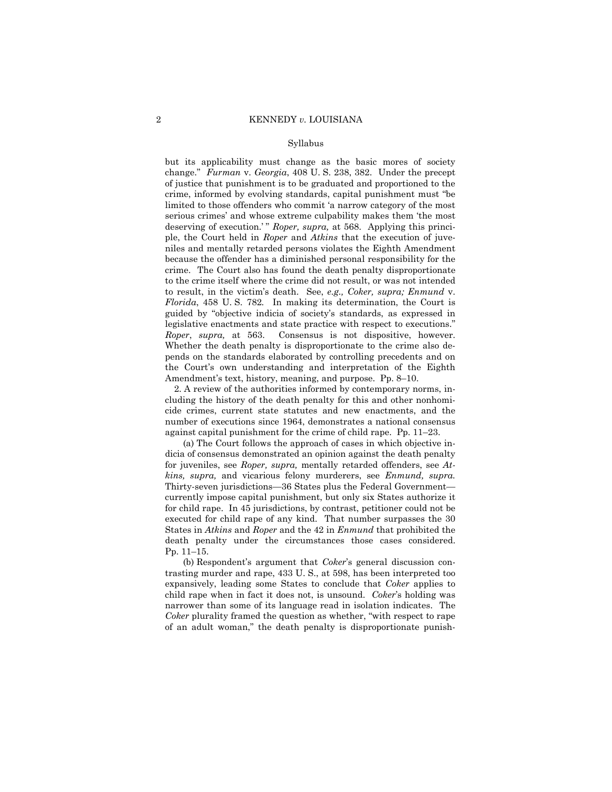but its applicability must change as the basic mores of society change." *Furman* v. *Georgia*, 408 U. S. 238, 382. Under the precept of justice that punishment is to be graduated and proportioned to the crime, informed by evolving standards, capital punishment must "be limited to those offenders who commit 'a narrow category of the most serious crimes' and whose extreme culpability makes them 'the most deserving of execution.'" *Roper, supra*, at 568. Applying this principle, the Court held in *Roper* and *Atkins* that the execution of juveniles and mentally retarded persons violates the Eighth Amendment because the offender has a diminished personal responsibility for the crime. The Court also has found the death penalty disproportionate to the crime itself where the crime did not result, or was not intended to result, in the victim's death. See, *e.g., Coker, supra; Enmund* v. *Florida*, 458 U. S. 782*.* In making its determination, the Court is guided by "objective indicia of society's standards, as expressed in legislative enactments and state practice with respect to executions." *Roper*, *supra,* at 563. Consensus is not dispositive, however. Whether the death penalty is disproportionate to the crime also depends on the standards elaborated by controlling precedents and on the Court's own understanding and interpretation of the Eighth Amendment's text, history, meaning, and purpose. Pp. 8–10.

 2. A review of the authorities informed by contemporary norms, including the history of the death penalty for this and other nonhomicide crimes, current state statutes and new enactments, and the number of executions since 1964, demonstrates a national consensus against capital punishment for the crime of child rape. Pp. 11–23.

 (a) The Court follows the approach of cases in which objective indicia of consensus demonstrated an opinion against the death penalty for juveniles, see *Roper, supra,* mentally retarded offenders, see *Atkins, supra,* and vicarious felony murderers, see *Enmund, supra.*  Thirty-seven jurisdictions—36 States plus the Federal Government currently impose capital punishment, but only six States authorize it for child rape. In 45 jurisdictions, by contrast, petitioner could not be executed for child rape of any kind. That number surpasses the 30 States in *Atkins* and *Roper* and the 42 in *Enmund* that prohibited the death penalty under the circumstances those cases considered. Pp. 11–15.

 (b) Respondent's argument that *Coker*'s general discussion contrasting murder and rape, 433 U. S., at 598, has been interpreted too expansively, leading some States to conclude that *Coker* applies to child rape when in fact it does not, is unsound. *Coker*'s holding was narrower than some of its language read in isolation indicates. The *Coker* plurality framed the question as whether, "with respect to rape of an adult woman," the death penalty is disproportionate punish-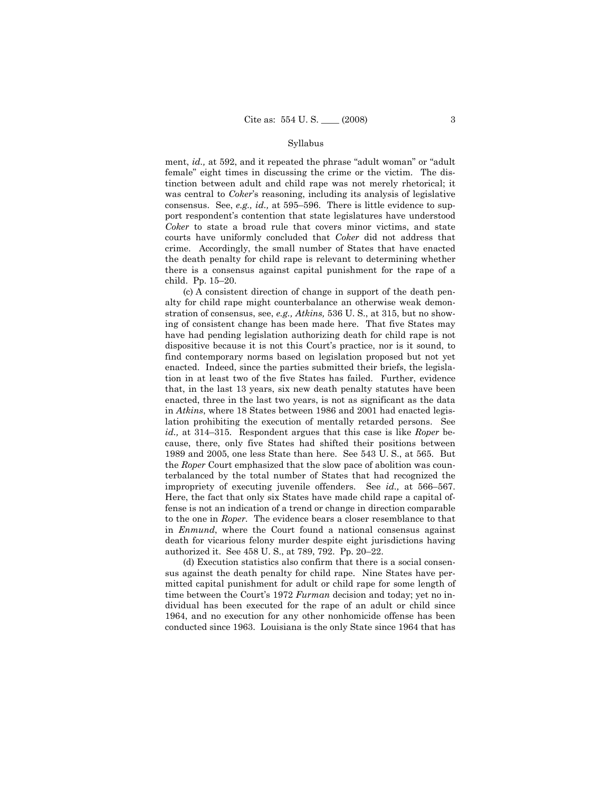ment, *id.,* at 592, and it repeated the phrase "adult woman" or "adult female" eight times in discussing the crime or the victim. The distinction between adult and child rape was not merely rhetorical; it was central to *Coker*'s reasoning, including its analysis of legislative consensus. See, *e.g., id.,* at 595–596. There is little evidence to support respondent's contention that state legislatures have understood *Coker* to state a broad rule that covers minor victims, and state courts have uniformly concluded that *Coker* did not address that crime. Accordingly, the small number of States that have enacted the death penalty for child rape is relevant to determining whether there is a consensus against capital punishment for the rape of a child. Pp. 15–20.

 (c) A consistent direction of change in support of the death penalty for child rape might counterbalance an otherwise weak demonstration of consensus, see, *e.g., Atkins,* 536 U. S., at 315, but no showing of consistent change has been made here. That five States may have had pending legislation authorizing death for child rape is not dispositive because it is not this Court's practice, nor is it sound, to find contemporary norms based on legislation proposed but not yet enacted. Indeed, since the parties submitted their briefs, the legislation in at least two of the five States has failed. Further, evidence that, in the last 13 years, six new death penalty statutes have been enacted, three in the last two years, is not as significant as the data in *Atkins*, where 18 States between 1986 and 2001 had enacted legislation prohibiting the execution of mentally retarded persons. See *id.,* at 314–315. Respondent argues that this case is like *Roper* because, there, only five States had shifted their positions between 1989 and 2005, one less State than here. See 543 U. S., at 565. But the *Roper* Court emphasized that the slow pace of abolition was counterbalanced by the total number of States that had recognized the impropriety of executing juvenile offenders. See *id.,* at 566–567. Here, the fact that only six States have made child rape a capital offense is not an indication of a trend or change in direction comparable to the one in *Roper.* The evidence bears a closer resemblance to that in *Enmund*, where the Court found a national consensus against death for vicarious felony murder despite eight jurisdictions having authorized it. See 458 U. S., at 789, 792. Pp. 20–22.

 (d) Execution statistics also confirm that there is a social consensus against the death penalty for child rape. Nine States have permitted capital punishment for adult or child rape for some length of time between the Court's 1972 *Furman* decision and today; yet no individual has been executed for the rape of an adult or child since 1964, and no execution for any other nonhomicide offense has been conducted since 1963. Louisiana is the only State since 1964 that has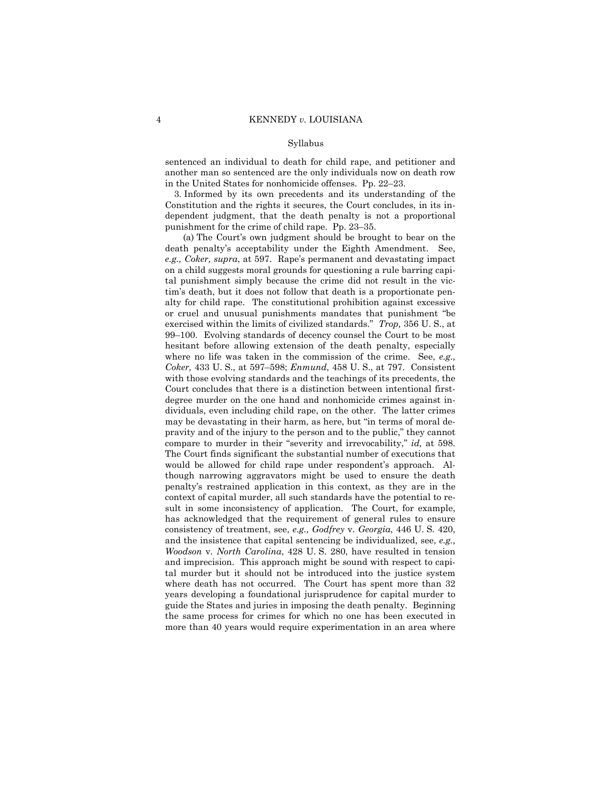sentenced an individual to death for child rape, and petitioner and another man so sentenced are the only individuals now on death row in the United States for nonhomicide offenses. Pp. 22–23.

 3. Informed by its own precedents and its understanding of the Constitution and the rights it secures, the Court concludes, in its independent judgment, that the death penalty is not a proportional punishment for the crime of child rape. Pp. 23–35.

 (a) The Court's own judgment should be brought to bear on the death penalty's acceptability under the Eighth Amendment. See, *e.g., Coker, supra*, at 597. Rape's permanent and devastating impact on a child suggests moral grounds for questioning a rule barring capital punishment simply because the crime did not result in the victim's death, but it does not follow that death is a proportionate penalty for child rape. The constitutional prohibition against excessive or cruel and unusual punishments mandates that punishment "be exercised within the limits of civilized standards." *Trop,* 356 U. S., at 99–100. Evolving standards of decency counsel the Court to be most hesitant before allowing extension of the death penalty, especially where no life was taken in the commission of the crime. See, *e.g.*, *Coker,* 433 U. S., at 597–598; *Enmund*, 458 U. S., at 797. Consistent with those evolving standards and the teachings of its precedents, the Court concludes that there is a distinction between intentional firstdegree murder on the one hand and nonhomicide crimes against individuals, even including child rape, on the other. The latter crimes may be devastating in their harm, as here, but "in terms of moral depravity and of the injury to the person and to the public," they cannot compare to murder in their "severity and irrevocability," *id,* at 598. The Court finds significant the substantial number of executions that would be allowed for child rape under respondent's approach. Although narrowing aggravators might be used to ensure the death penalty's restrained application in this context, as they are in the context of capital murder, all such standards have the potential to result in some inconsistency of application. The Court, for example, has acknowledged that the requirement of general rules to ensure consistency of treatment, see, *e.g., Godfrey* v. *Georgia*, 446 U. S. 420, and the insistence that capital sentencing be individualized, see, *e.g., Woodson* v. *North Carolina*, 428 U. S. 280, have resulted in tension and imprecision. This approach might be sound with respect to capital murder but it should not be introduced into the justice system where death has not occurred. The Court has spent more than 32 years developing a foundational jurisprudence for capital murder to guide the States and juries in imposing the death penalty. Beginning the same process for crimes for which no one has been executed in more than 40 years would require experimentation in an area where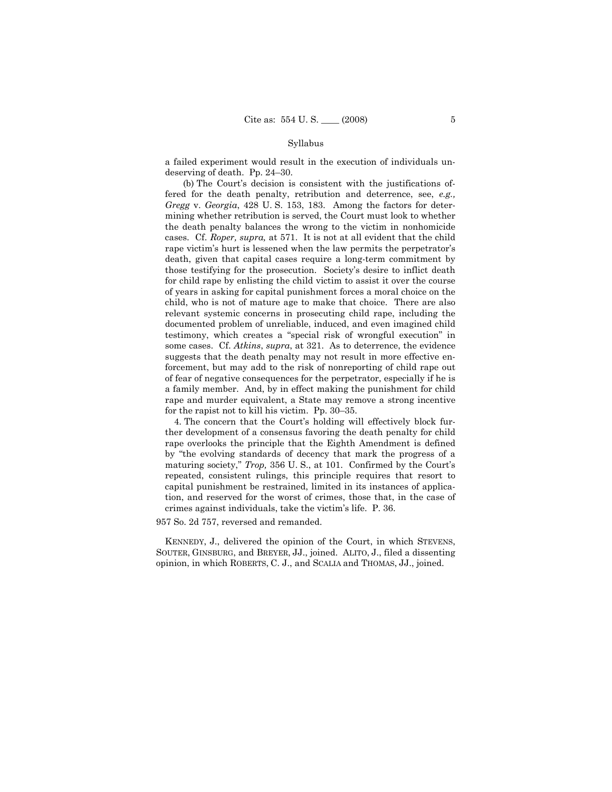a failed experiment would result in the execution of individuals undeserving of death. Pp. 24–30.

 (b) The Court's decision is consistent with the justifications offered for the death penalty, retribution and deterrence, see, *e.g., Gregg* v. *Georgia*, 428 U. S. 153, 183. Among the factors for determining whether retribution is served, the Court must look to whether the death penalty balances the wrong to the victim in nonhomicide cases. Cf. *Roper, supra,* at 571. It is not at all evident that the child rape victim's hurt is lessened when the law permits the perpetrator's death, given that capital cases require a long-term commitment by those testifying for the prosecution. Society's desire to inflict death for child rape by enlisting the child victim to assist it over the course of years in asking for capital punishment forces a moral choice on the child, who is not of mature age to make that choice. There are also relevant systemic concerns in prosecuting child rape, including the documented problem of unreliable, induced, and even imagined child testimony, which creates a "special risk of wrongful execution" in some cases. Cf. *Atkins*, *supra*, at 321. As to deterrence, the evidence suggests that the death penalty may not result in more effective enforcement, but may add to the risk of nonreporting of child rape out of fear of negative consequences for the perpetrator, especially if he is a family member. And, by in effect making the punishment for child rape and murder equivalent, a State may remove a strong incentive for the rapist not to kill his victim. Pp. 30–35.

 4. The concern that the Court's holding will effectively block further development of a consensus favoring the death penalty for child rape overlooks the principle that the Eighth Amendment is defined by "the evolving standards of decency that mark the progress of a maturing society," *Trop,* 356 U. S., at 101. Confirmed by the Court's repeated, consistent rulings, this principle requires that resort to capital punishment be restrained, limited in its instances of application, and reserved for the worst of crimes, those that, in the case of crimes against individuals, take the victim's life. P. 36.

957 So. 2d 757, reversed and remanded.

 KENNEDY, J., delivered the opinion of the Court, in which STEVENS, SOUTER, GINSBURG, and BREYER, JJ., joined. ALITO, J., filed a dissenting opinion, in which ROBERTS, C. J., and SCALIA and THOMAS, JJ., joined.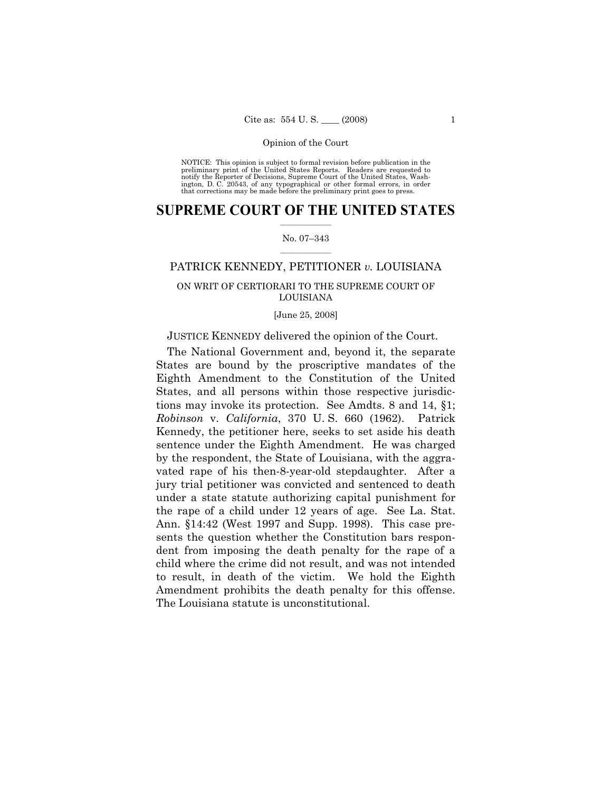NOTICE: This opinion is subject to formal revision before publication in the preliminary print of the United States Reports. Readers are requested to notify the Reporter of Decisions, Supreme Court of the United States, Washington, D. C. 20543, of any typographical or other formal errors, in order that corrections may be made before the preliminary print goes to press.

## **SUPREME COURT OF THE UNITED STATES**  $\frac{1}{2}$  ,  $\frac{1}{2}$  ,  $\frac{1}{2}$  ,  $\frac{1}{2}$  ,  $\frac{1}{2}$  ,  $\frac{1}{2}$  ,  $\frac{1}{2}$

#### No. 07–343  $\frac{1}{2}$  ,  $\frac{1}{2}$  ,  $\frac{1}{2}$  ,  $\frac{1}{2}$  ,  $\frac{1}{2}$  ,  $\frac{1}{2}$

## PATRICK KENNEDY, PETITIONER *v.* LOUISIANA

## ON WRIT OF CERTIORARI TO THE SUPREME COURT OF LOUISIANA

#### [June 25, 2008]

## JUSTICE KENNEDY delivered the opinion of the Court.

The National Government and, beyond it, the separate States are bound by the proscriptive mandates of the Eighth Amendment to the Constitution of the United States, and all persons within those respective jurisdictions may invoke its protection. See Amdts. 8 and 14, §1; *Robinson* v. *California*, 370 U. S. 660 (1962). Patrick Kennedy, the petitioner here, seeks to set aside his death sentence under the Eighth Amendment. He was charged by the respondent, the State of Louisiana, with the aggravated rape of his then-8-year-old stepdaughter. After a jury trial petitioner was convicted and sentenced to death under a state statute authorizing capital punishment for the rape of a child under 12 years of age. See La. Stat. Ann. §14:42 (West 1997 and Supp. 1998). This case presents the question whether the Constitution bars respondent from imposing the death penalty for the rape of a child where the crime did not result, and was not intended to result, in death of the victim. We hold the Eighth Amendment prohibits the death penalty for this offense. The Louisiana statute is unconstitutional.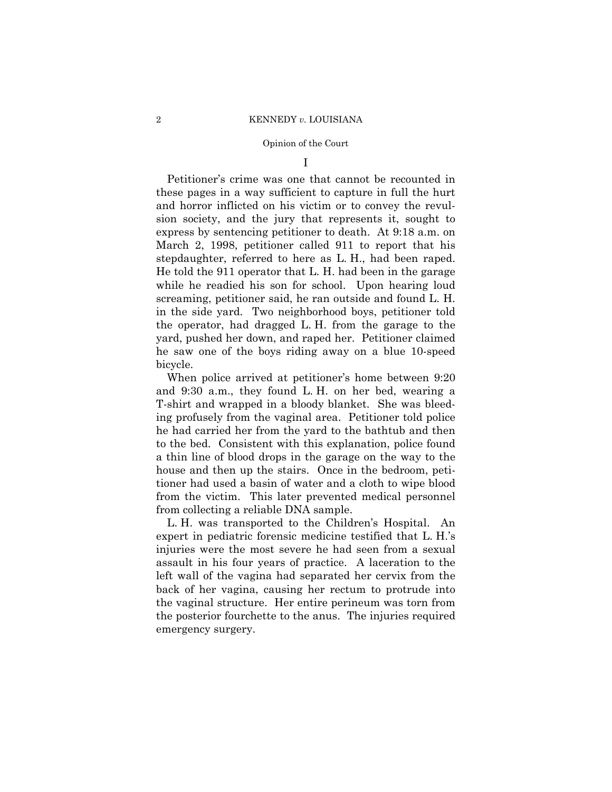I

 Petitioner's crime was one that cannot be recounted in these pages in a way sufficient to capture in full the hurt and horror inflicted on his victim or to convey the revulsion society, and the jury that represents it, sought to express by sentencing petitioner to death. At 9:18 a.m. on March 2, 1998, petitioner called 911 to report that his stepdaughter, referred to here as L. H., had been raped. He told the 911 operator that L. H. had been in the garage while he readied his son for school. Upon hearing loud screaming, petitioner said, he ran outside and found L. H. in the side yard. Two neighborhood boys, petitioner told the operator, had dragged L. H. from the garage to the yard, pushed her down, and raped her. Petitioner claimed he saw one of the boys riding away on a blue 10-speed bicycle.

 When police arrived at petitioner's home between 9:20 and 9:30 a.m., they found L. H. on her bed, wearing a T-shirt and wrapped in a bloody blanket. She was bleeding profusely from the vaginal area. Petitioner told police he had carried her from the yard to the bathtub and then to the bed. Consistent with this explanation, police found a thin line of blood drops in the garage on the way to the house and then up the stairs. Once in the bedroom, petitioner had used a basin of water and a cloth to wipe blood from the victim. This later prevented medical personnel from collecting a reliable DNA sample.

 L. H. was transported to the Children's Hospital. An expert in pediatric forensic medicine testified that L. H.'s injuries were the most severe he had seen from a sexual assault in his four years of practice. A laceration to the left wall of the vagina had separated her cervix from the back of her vagina, causing her rectum to protrude into the vaginal structure. Her entire perineum was torn from the posterior fourchette to the anus. The injuries required emergency surgery.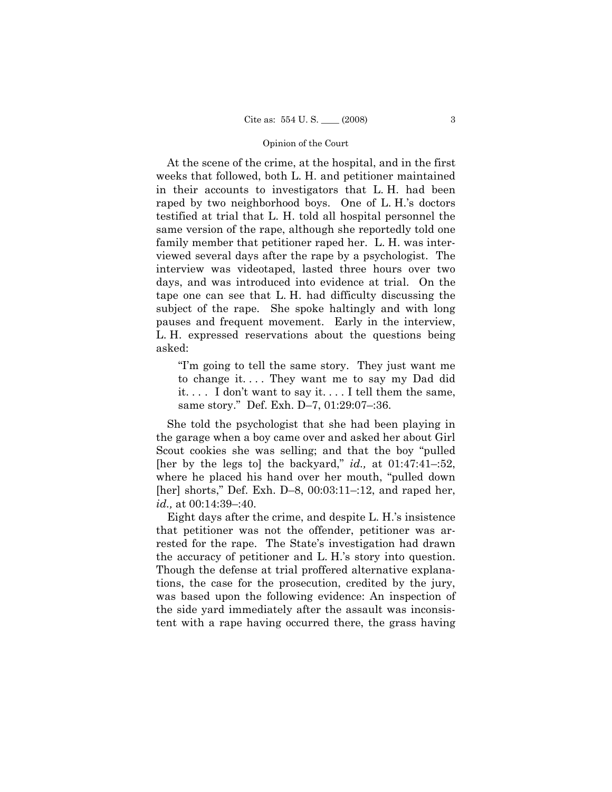At the scene of the crime, at the hospital, and in the first weeks that followed, both L. H. and petitioner maintained in their accounts to investigators that L. H. had been raped by two neighborhood boys. One of L. H.'s doctors testified at trial that L. H. told all hospital personnel the same version of the rape, although she reportedly told one family member that petitioner raped her. L. H. was interviewed several days after the rape by a psychologist. The interview was videotaped, lasted three hours over two days, and was introduced into evidence at trial. On the tape one can see that L. H. had difficulty discussing the subject of the rape. She spoke haltingly and with long pauses and frequent movement. Early in the interview, L. H. expressed reservations about the questions being asked:

"I'm going to tell the same story. They just want me to change it. . . . They want me to say my Dad did it. . . . I don't want to say it. . . . I tell them the same, same story." Def. Exh. D–7, 01:29:07–:36.

 She told the psychologist that she had been playing in the garage when a boy came over and asked her about Girl Scout cookies she was selling; and that the boy "pulled [her by the legs to] the backyard," *id.,* at 01:47:41–:52, where he placed his hand over her mouth, "pulled down [her] shorts," Def. Exh. D–8, 00:03:11–:12, and raped her, *id.,* at 00:14:39–:40.

 Eight days after the crime, and despite L. H.'s insistence that petitioner was not the offender, petitioner was arrested for the rape. The State's investigation had drawn the accuracy of petitioner and L. H.'s story into question. Though the defense at trial proffered alternative explanations, the case for the prosecution, credited by the jury, was based upon the following evidence: An inspection of the side yard immediately after the assault was inconsistent with a rape having occurred there, the grass having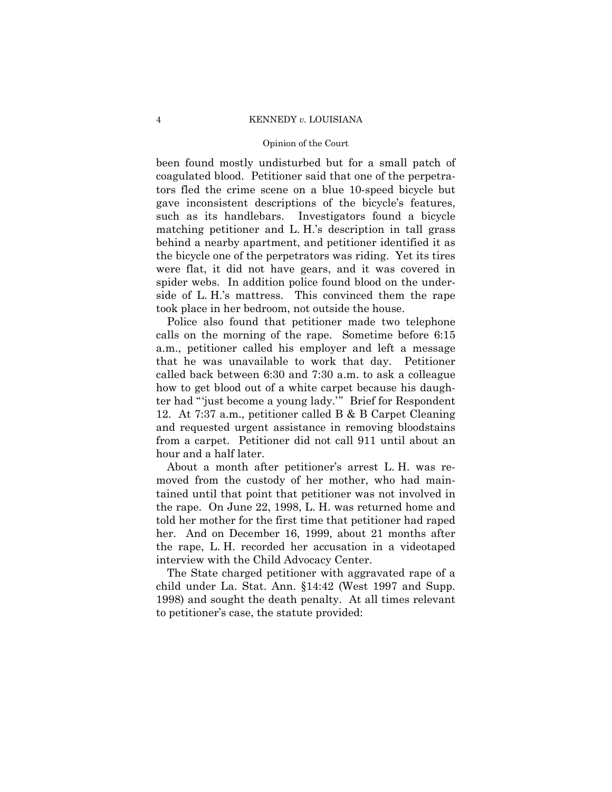#### 4 KENNEDY *v.* LOUISIANA

#### Opinion of the Court

been found mostly undisturbed but for a small patch of coagulated blood. Petitioner said that one of the perpetrators fled the crime scene on a blue 10-speed bicycle but gave inconsistent descriptions of the bicycle's features, such as its handlebars. Investigators found a bicycle matching petitioner and L. H.'s description in tall grass behind a nearby apartment, and petitioner identified it as the bicycle one of the perpetrators was riding. Yet its tires were flat, it did not have gears, and it was covered in spider webs. In addition police found blood on the underside of L. H.'s mattress. This convinced them the rape took place in her bedroom, not outside the house.

 Police also found that petitioner made two telephone calls on the morning of the rape. Sometime before 6:15 a.m., petitioner called his employer and left a message that he was unavailable to work that day. Petitioner called back between 6:30 and 7:30 a.m. to ask a colleague how to get blood out of a white carpet because his daughter had "'just become a young lady.'" Brief for Respondent 12. At 7:37 a.m., petitioner called B & B Carpet Cleaning and requested urgent assistance in removing bloodstains from a carpet. Petitioner did not call 911 until about an hour and a half later.

 About a month after petitioner's arrest L. H. was removed from the custody of her mother, who had maintained until that point that petitioner was not involved in the rape. On June 22, 1998, L. H. was returned home and told her mother for the first time that petitioner had raped her. And on December 16, 1999, about 21 months after the rape, L. H. recorded her accusation in a videotaped interview with the Child Advocacy Center.

 The State charged petitioner with aggravated rape of a child under La. Stat. Ann. §14:42 (West 1997 and Supp. 1998) and sought the death penalty. At all times relevant to petitioner's case, the statute provided: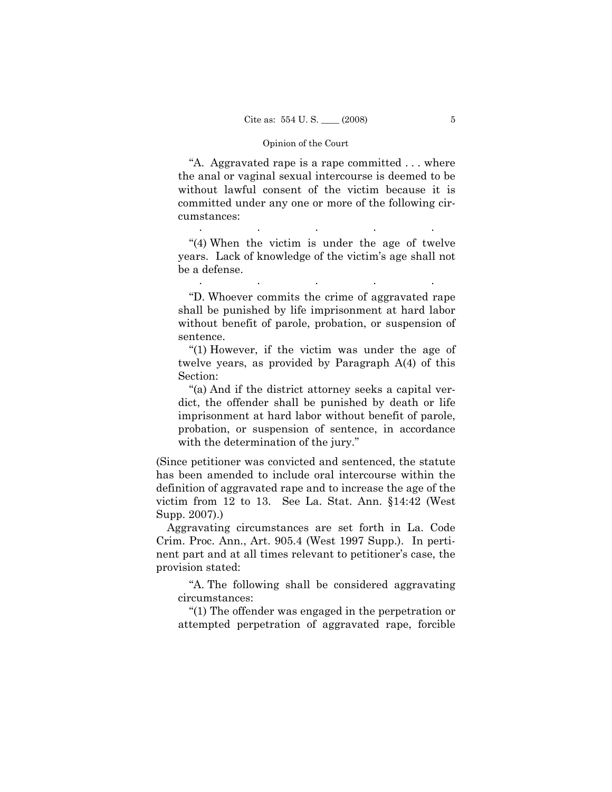"A. Aggravated rape is a rape committed . . . where the anal or vaginal sexual intercourse is deemed to be without lawful consent of the victim because it is committed under any one or more of the following circumstances:

 "(4) When the victim is under the age of twelve years. Lack of knowledge of the victim's age shall not be a defense.

. . . . .

. . . . .

 "D. Whoever commits the crime of aggravated rape shall be punished by life imprisonment at hard labor without benefit of parole, probation, or suspension of sentence.

 "(1) However, if the victim was under the age of twelve years, as provided by Paragraph A(4) of this Section:

 "(a) And if the district attorney seeks a capital verdict, the offender shall be punished by death or life imprisonment at hard labor without benefit of parole, probation, or suspension of sentence, in accordance with the determination of the jury."

(Since petitioner was convicted and sentenced, the statute has been amended to include oral intercourse within the definition of aggravated rape and to increase the age of the victim from 12 to 13. See La. Stat. Ann. §14:42 (West Supp. 2007).)

 Aggravating circumstances are set forth in La. Code Crim. Proc. Ann., Art. 905.4 (West 1997 Supp.). In pertinent part and at all times relevant to petitioner's case, the provision stated:

 "A. The following shall be considered aggravating circumstances:

 "(1) The offender was engaged in the perpetration or attempted perpetration of aggravated rape, forcible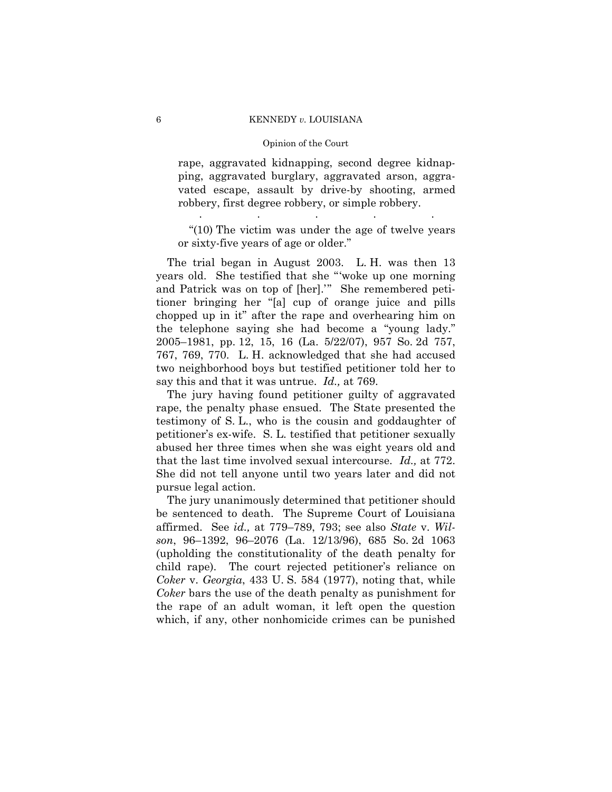rape, aggravated kidnapping, second degree kidnapping, aggravated burglary, aggravated arson, aggravated escape, assault by drive-by shooting, armed robbery, first degree robbery, or simple robbery.

 "(10) The victim was under the age of twelve years or sixty-five years of age or older."

. The same is a set of the same in the same in the same in the same in the same in the same in the same in the same in the same in the same in the same in the same in the same in the same in the same in the same in the sa

 The trial began in August 2003. L. H. was then 13 years old. She testified that she "'woke up one morning and Patrick was on top of [her].'" She remembered petitioner bringing her "[a] cup of orange juice and pills chopped up in it" after the rape and overhearing him on the telephone saying she had become a "young lady." 2005–1981, pp. 12, 15, 16 (La. 5/22/07), 957 So. 2d 757, 767, 769, 770. L. H. acknowledged that she had accused two neighborhood boys but testified petitioner told her to say this and that it was untrue. *Id.,* at 769.

 The jury having found petitioner guilty of aggravated rape, the penalty phase ensued. The State presented the testimony of S. L., who is the cousin and goddaughter of petitioner's ex-wife. S. L. testified that petitioner sexually abused her three times when she was eight years old and that the last time involved sexual intercourse. *Id.,* at 772. She did not tell anyone until two years later and did not pursue legal action.

 The jury unanimously determined that petitioner should be sentenced to death. The Supreme Court of Louisiana affirmed. See *id.,* at 779–789, 793; see also *State* v. *Wilson*, 96–1392, 96–2076 (La. 12/13/96), 685 So. 2d 1063 (upholding the constitutionality of the death penalty for child rape). The court rejected petitioner's reliance on *Coker* v. *Georgia*, 433 U. S. 584 (1977), noting that, while *Coker* bars the use of the death penalty as punishment for the rape of an adult woman, it left open the question which, if any, other nonhomicide crimes can be punished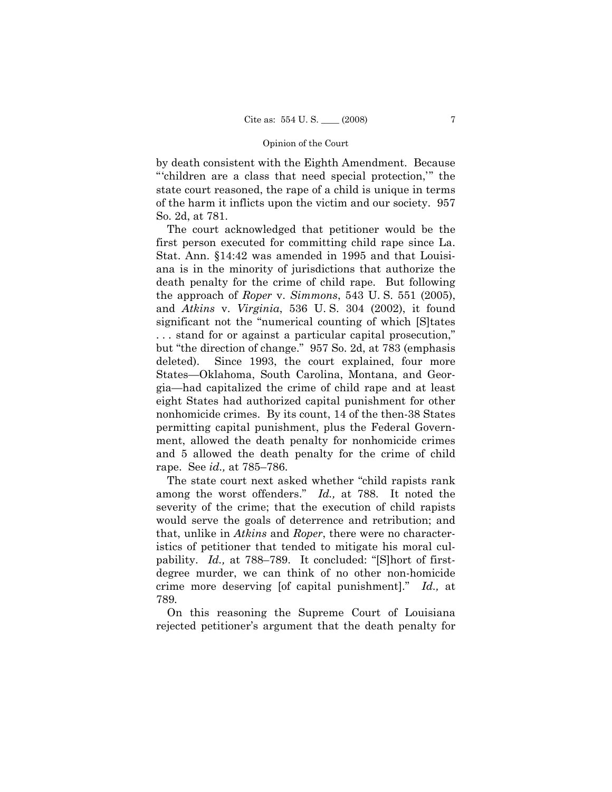by death consistent with the Eighth Amendment. Because "'children are a class that need special protection,'" the state court reasoned, the rape of a child is unique in terms of the harm it inflicts upon the victim and our society. 957 So. 2d, at 781.

 The court acknowledged that petitioner would be the first person executed for committing child rape since La. Stat. Ann. §14:42 was amended in 1995 and that Louisiana is in the minority of jurisdictions that authorize the death penalty for the crime of child rape. But following the approach of *Roper* v. *Simmons*, 543 U. S. 551 (2005), and *Atkins* v. *Virginia*, 536 U. S. 304 (2002), it found significant not the "numerical counting of which [S]tates . . . stand for or against a particular capital prosecution," but "the direction of change." 957 So. 2d, at 783 (emphasis deleted). Since 1993, the court explained, four more States—Oklahoma, South Carolina, Montana, and Georgia—had capitalized the crime of child rape and at least eight States had authorized capital punishment for other nonhomicide crimes. By its count, 14 of the then-38 States permitting capital punishment, plus the Federal Government, allowed the death penalty for nonhomicide crimes and 5 allowed the death penalty for the crime of child rape. See *id.,* at 785–786.

 The state court next asked whether "child rapists rank among the worst offenders." *Id.,* at 788. It noted the severity of the crime; that the execution of child rapists would serve the goals of deterrence and retribution; and that, unlike in *Atkins* and *Roper*, there were no characteristics of petitioner that tended to mitigate his moral culpability. *Id.,* at 788–789. It concluded: "[S]hort of firstdegree murder, we can think of no other non-homicide crime more deserving [of capital punishment]." *Id.,* at 789*.*

 On this reasoning the Supreme Court of Louisiana rejected petitioner's argument that the death penalty for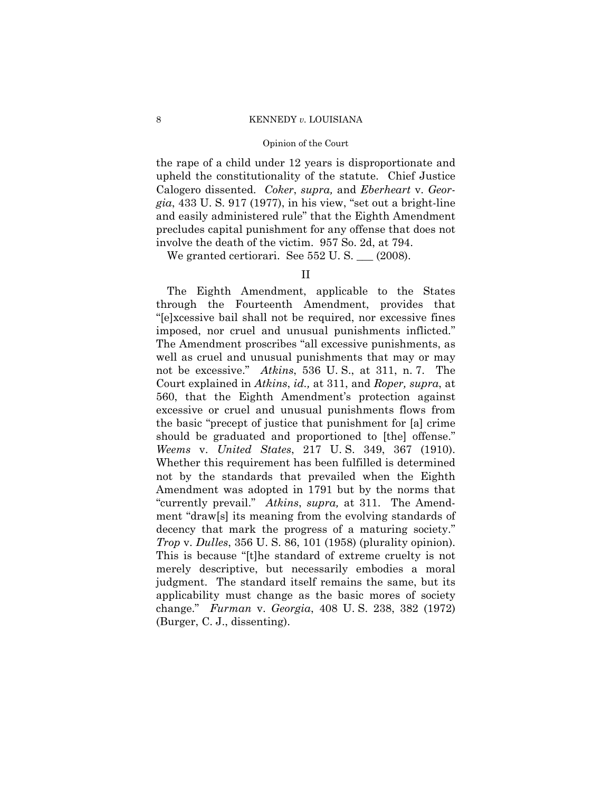## 8 KENNEDY *v.* LOUISIANA

#### Opinion of the Court

the rape of a child under 12 years is disproportionate and upheld the constitutionality of the statute. Chief Justice Calogero dissented. *Coker*, *supra,* and *Eberheart* v. *Georgia*, 433 U. S. 917 (1977), in his view, "set out a bright-line and easily administered rule" that the Eighth Amendment precludes capital punishment for any offense that does not involve the death of the victim. 957 So. 2d, at 794.

We granted certiorari. See 552 U.S. \_\_ (2008).

## II

 The Eighth Amendment, applicable to the States through the Fourteenth Amendment, provides that "[e]xcessive bail shall not be required, nor excessive fines imposed, nor cruel and unusual punishments inflicted." The Amendment proscribes "all excessive punishments, as well as cruel and unusual punishments that may or may not be excessive." *Atkins*, 536 U. S., at 311, n. 7. The Court explained in *Atkins*, *id.,* at 311, and *Roper, supra*, at 560, that the Eighth Amendment's protection against excessive or cruel and unusual punishments flows from the basic "precept of justice that punishment for [a] crime should be graduated and proportioned to [the] offense." *Weems* v. *United States*, 217 U. S. 349, 367 (1910). Whether this requirement has been fulfilled is determined not by the standards that prevailed when the Eighth Amendment was adopted in 1791 but by the norms that "currently prevail." *Atkins*, *supra,* at 311. The Amendment "draw[s] its meaning from the evolving standards of decency that mark the progress of a maturing society." *Trop* v. *Dulles*, 356 U. S. 86, 101 (1958) (plurality opinion). This is because "[t]he standard of extreme cruelty is not merely descriptive, but necessarily embodies a moral judgment. The standard itself remains the same, but its applicability must change as the basic mores of society change." *Furman* v. *Georgia*, 408 U. S. 238, 382 (1972) (Burger, C. J., dissenting).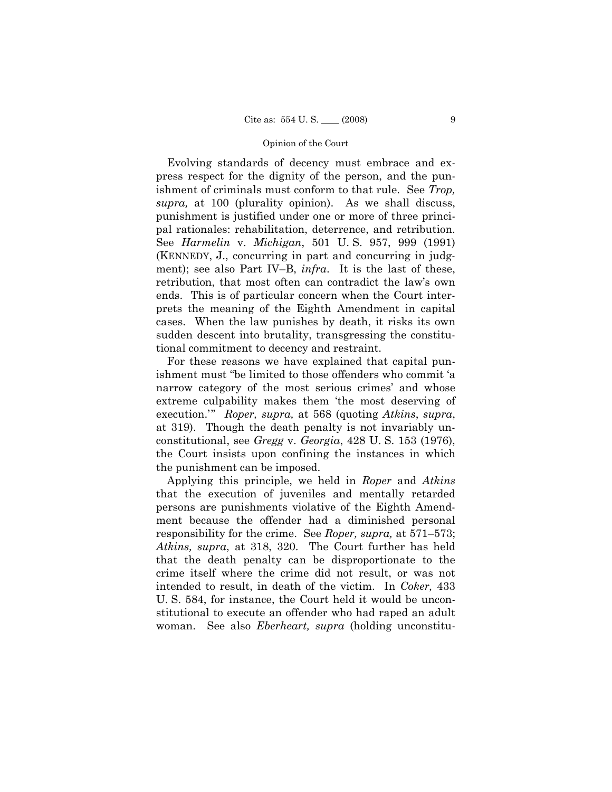Evolving standards of decency must embrace and express respect for the dignity of the person, and the punishment of criminals must conform to that rule. See *Trop, supra,* at 100 (plurality opinion). As we shall discuss, punishment is justified under one or more of three principal rationales: rehabilitation, deterrence, and retribution. See *Harmelin* v. *Michigan*, 501 U. S. 957, 999 (1991) (KENNEDY, J., concurring in part and concurring in judgment); see also Part IV–B, *infra*. It is the last of these, retribution, that most often can contradict the law's own ends. This is of particular concern when the Court interprets the meaning of the Eighth Amendment in capital cases. When the law punishes by death, it risks its own sudden descent into brutality, transgressing the constitutional commitment to decency and restraint.

 For these reasons we have explained that capital punishment must "be limited to those offenders who commit 'a narrow category of the most serious crimes' and whose extreme culpability makes them 'the most deserving of execution.'" *Roper, supra,* at 568 (quoting *Atkins*, *supra*, at 319). Though the death penalty is not invariably unconstitutional, see *Gregg* v. *Georgia*, 428 U. S. 153 (1976), the Court insists upon confining the instances in which the punishment can be imposed.

 Applying this principle, we held in *Roper* and *Atkins*  that the execution of juveniles and mentally retarded persons are punishments violative of the Eighth Amendment because the offender had a diminished personal responsibility for the crime. See *Roper, supra,* at 571–573; *Atkins, supra*, at 318, 320. The Court further has held that the death penalty can be disproportionate to the crime itself where the crime did not result, or was not intended to result, in death of the victim. In *Coker,* 433 U. S. 584, for instance, the Court held it would be unconstitutional to execute an offender who had raped an adult woman. See also *Eberheart, supra* (holding unconstitu-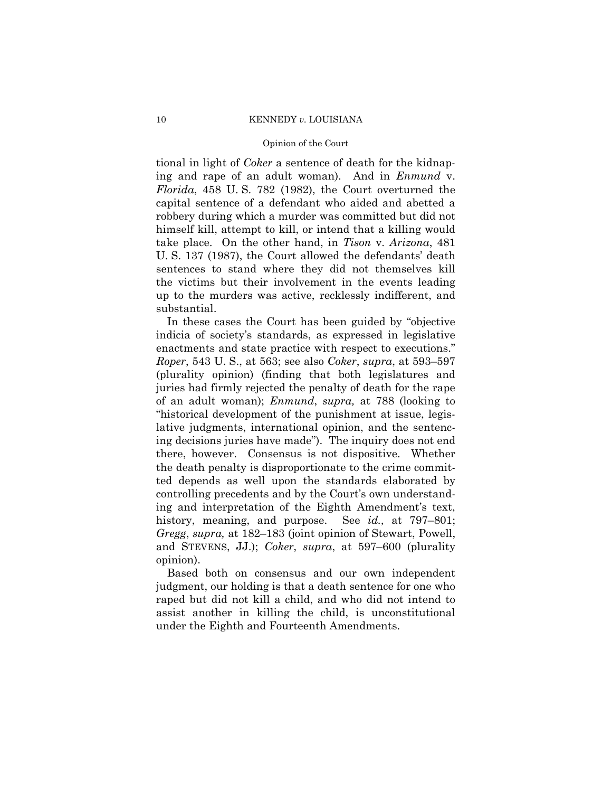#### 10 KENNEDY *v.* LOUISIANA

#### Opinion of the Court

tional in light of *Coker* a sentence of death for the kidnaping and rape of an adult woman). And in *Enmund* v. *Florida*, 458 U. S. 782 (1982), the Court overturned the capital sentence of a defendant who aided and abetted a robbery during which a murder was committed but did not himself kill, attempt to kill, or intend that a killing would take place. On the other hand, in *Tison* v. *Arizona*, 481 U. S. 137 (1987), the Court allowed the defendants' death sentences to stand where they did not themselves kill the victims but their involvement in the events leading up to the murders was active, recklessly indifferent, and substantial.

 In these cases the Court has been guided by "objective indicia of society's standards, as expressed in legislative enactments and state practice with respect to executions." *Roper*, 543 U. S., at 563; see also *Coker*, *supra*, at 593–597 (plurality opinion) (finding that both legislatures and juries had firmly rejected the penalty of death for the rape of an adult woman); *Enmund*, *supra,* at 788 (looking to "historical development of the punishment at issue, legislative judgments, international opinion, and the sentencing decisions juries have made"). The inquiry does not end there, however. Consensus is not dispositive. Whether the death penalty is disproportionate to the crime committed depends as well upon the standards elaborated by controlling precedents and by the Court's own understanding and interpretation of the Eighth Amendment's text, history, meaning, and purpose. See *id.,* at 797–801; *Gregg*, *supra,* at 182–183 (joint opinion of Stewart, Powell, and STEVENS, JJ.); *Coker*, *supra*, at 597–600 (plurality opinion).

 Based both on consensus and our own independent judgment, our holding is that a death sentence for one who raped but did not kill a child, and who did not intend to assist another in killing the child, is unconstitutional under the Eighth and Fourteenth Amendments.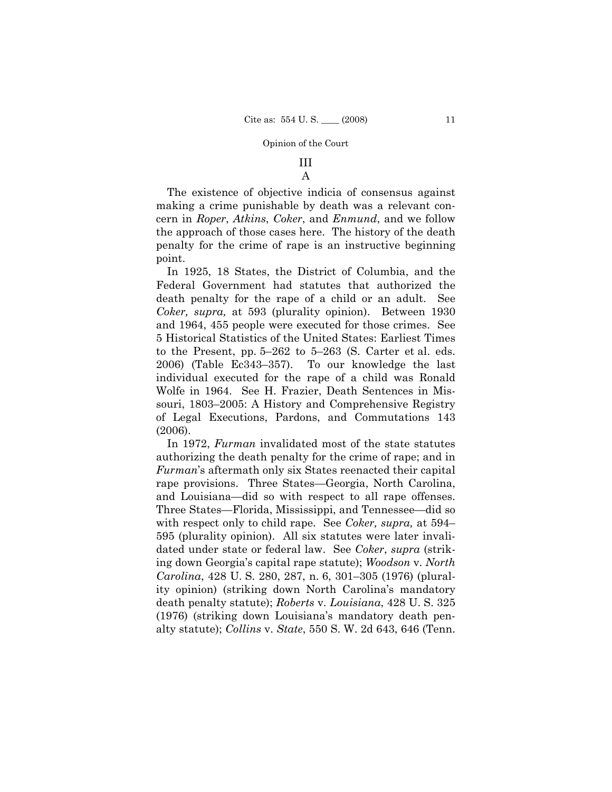## III A

# The existence of objective indicia of consensus against making a crime punishable by death was a relevant concern in *Roper*, *Atkins*, *Coker*, and *Enmund*, and we follow the approach of those cases here. The history of the death penalty for the crime of rape is an instructive beginning point.

 In 1925, 18 States, the District of Columbia, and the Federal Government had statutes that authorized the death penalty for the rape of a child or an adult. See *Coker, supra,* at 593 (plurality opinion). Between 1930 and 1964, 455 people were executed for those crimes. See 5 Historical Statistics of the United States: Earliest Times to the Present, pp. 5–262 to 5–263 (S. Carter et al. eds. 2006) (Table Ec343–357). To our knowledge the last individual executed for the rape of a child was Ronald Wolfe in 1964. See H. Frazier, Death Sentences in Missouri, 1803–2005: A History and Comprehensive Registry of Legal Executions, Pardons, and Commutations 143 (2006).

 In 1972, *Furman* invalidated most of the state statutes authorizing the death penalty for the crime of rape; and in *Furman*'s aftermath only six States reenacted their capital rape provisions. Three States—Georgia, North Carolina, and Louisiana—did so with respect to all rape offenses. Three States—Florida, Mississippi, and Tennessee—did so with respect only to child rape. See *Coker, supra,* at 594– 595 (plurality opinion). All six statutes were later invalidated under state or federal law. See *Coker*, *supra* (striking down Georgia's capital rape statute); *Woodson* v. *North Carolina*, 428 U. S. 280, 287, n. 6, 301–305 (1976) (plurality opinion) (striking down North Carolina's mandatory death penalty statute); *Roberts* v. *Louisiana*, 428 U. S. 325 (1976) (striking down Louisiana's mandatory death penalty statute); *Collins* v. *State*, 550 S. W. 2d 643, 646 (Tenn.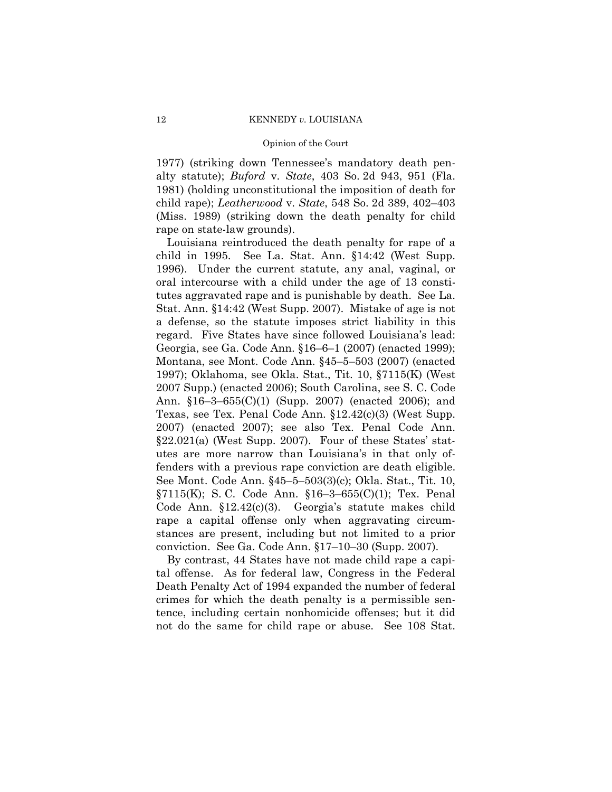1977) (striking down Tennessee's mandatory death penalty statute); *Buford* v. *State*, 403 So. 2d 943, 951 (Fla. 1981) (holding unconstitutional the imposition of death for child rape); *Leatherwood* v. *State*, 548 So. 2d 389, 402–403 (Miss. 1989) (striking down the death penalty for child rape on state-law grounds).

 Louisiana reintroduced the death penalty for rape of a child in 1995. See La. Stat. Ann. §14:42 (West Supp. 1996). Under the current statute, any anal, vaginal, or oral intercourse with a child under the age of 13 constitutes aggravated rape and is punishable by death. See La. Stat. Ann. §14:42 (West Supp. 2007). Mistake of age is not a defense, so the statute imposes strict liability in this regard. Five States have since followed Louisiana's lead: Georgia, see Ga. Code Ann. §16–6–1 (2007) (enacted 1999); Montana, see Mont. Code Ann. §45–5–503 (2007) (enacted 1997); Oklahoma, see Okla. Stat., Tit. 10, §7115(K) (West 2007 Supp.) (enacted 2006); South Carolina, see S. C. Code Ann. §16–3–655(C)(1) (Supp. 2007) (enacted 2006); and Texas, see Tex. Penal Code Ann. §12.42(c)(3) (West Supp. 2007) (enacted 2007); see also Tex. Penal Code Ann. §22.021(a) (West Supp. 2007). Four of these States' statutes are more narrow than Louisiana's in that only offenders with a previous rape conviction are death eligible. See Mont. Code Ann. §45–5–503(3)(c); Okla. Stat., Tit. 10, §7115(K); S. C. Code Ann. §16–3–655(C)(1); Tex. Penal Code Ann. §12.42(c)(3). Georgia's statute makes child rape a capital offense only when aggravating circumstances are present, including but not limited to a prior conviction. See Ga. Code Ann. §17–10–30 (Supp. 2007).

 By contrast, 44 States have not made child rape a capital offense. As for federal law, Congress in the Federal Death Penalty Act of 1994 expanded the number of federal crimes for which the death penalty is a permissible sentence, including certain nonhomicide offenses; but it did not do the same for child rape or abuse. See 108 Stat.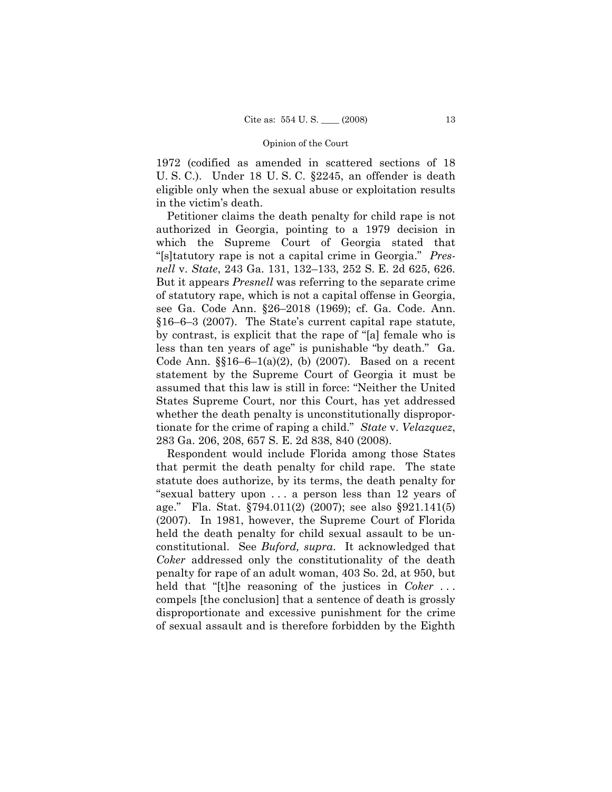1972 (codified as amended in scattered sections of 18 U. S. C.). Under 18 U. S. C. §2245, an offender is death eligible only when the sexual abuse or exploitation results in the victim's death.

 Petitioner claims the death penalty for child rape is not authorized in Georgia, pointing to a 1979 decision in which the Supreme Court of Georgia stated that "[s]tatutory rape is not a capital crime in Georgia." *Presnell* v. *State*, 243 Ga. 131, 132–133, 252 S. E. 2d 625, 626. But it appears *Presnell* was referring to the separate crime of statutory rape, which is not a capital offense in Georgia, see Ga. Code Ann. §26–2018 (1969); cf. Ga. Code. Ann. §16–6–3 (2007). The State's current capital rape statute, by contrast, is explicit that the rape of "[a] female who is less than ten years of age" is punishable "by death." Ga. Code Ann.  $\S$ 16–6–1(a)(2), (b) (2007). Based on a recent statement by the Supreme Court of Georgia it must be assumed that this law is still in force: "Neither the United States Supreme Court, nor this Court, has yet addressed whether the death penalty is unconstitutionally disproportionate for the crime of raping a child." *State* v. *Velazquez*, 283 Ga. 206, 208, 657 S. E. 2d 838, 840 (2008).

 Respondent would include Florida among those States that permit the death penalty for child rape. The state statute does authorize, by its terms, the death penalty for "sexual battery upon . . . a person less than 12 years of age." Fla. Stat. §794.011(2) (2007); see also §921.141(5) (2007). In 1981, however, the Supreme Court of Florida held the death penalty for child sexual assault to be unconstitutional. See *Buford, supra*. It acknowledged that *Coker* addressed only the constitutionality of the death penalty for rape of an adult woman, 403 So. 2d, at 950, but held that "[t]he reasoning of the justices in *Coker* ... compels [the conclusion] that a sentence of death is grossly disproportionate and excessive punishment for the crime of sexual assault and is therefore forbidden by the Eighth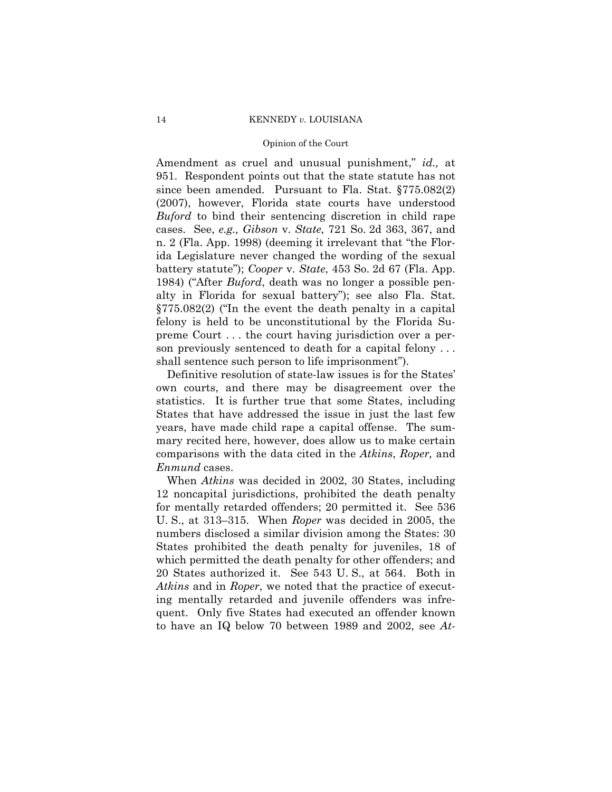## 14 KENNEDY *v.* LOUISIANA

#### Opinion of the Court

Amendment as cruel and unusual punishment," *id.,* at 951. Respondent points out that the state statute has not since been amended. Pursuant to Fla. Stat. §775.082(2) (2007), however, Florida state courts have understood *Buford* to bind their sentencing discretion in child rape cases. See, *e.g., Gibson* v. *State*, 721 So. 2d 363, 367, and n. 2 (Fla. App. 1998) (deeming it irrelevant that "the Florida Legislature never changed the wording of the sexual battery statute"); *Cooper* v. *State*, 453 So. 2d 67 (Fla. App. 1984) ("After *Buford*, death was no longer a possible penalty in Florida for sexual battery"); see also Fla. Stat. §775.082(2) ("In the event the death penalty in a capital felony is held to be unconstitutional by the Florida Supreme Court . . . the court having jurisdiction over a person previously sentenced to death for a capital felony . . . shall sentence such person to life imprisonment").

 Definitive resolution of state-law issues is for the States' own courts, and there may be disagreement over the statistics. It is further true that some States, including States that have addressed the issue in just the last few years, have made child rape a capital offense. The summary recited here, however, does allow us to make certain comparisons with the data cited in the *Atkins*, *Roper,* and *Enmund* cases.

 When *Atkins* was decided in 2002, 30 States, including 12 noncapital jurisdictions, prohibited the death penalty for mentally retarded offenders; 20 permitted it. See 536 U. S., at 313–315. When *Roper* was decided in 2005, the numbers disclosed a similar division among the States: 30 States prohibited the death penalty for juveniles, 18 of which permitted the death penalty for other offenders; and 20 States authorized it. See 543 U. S., at 564. Both in *Atkins* and in *Roper*, we noted that the practice of executing mentally retarded and juvenile offenders was infrequent. Only five States had executed an offender known to have an IQ below 70 between 1989 and 2002, see *At-*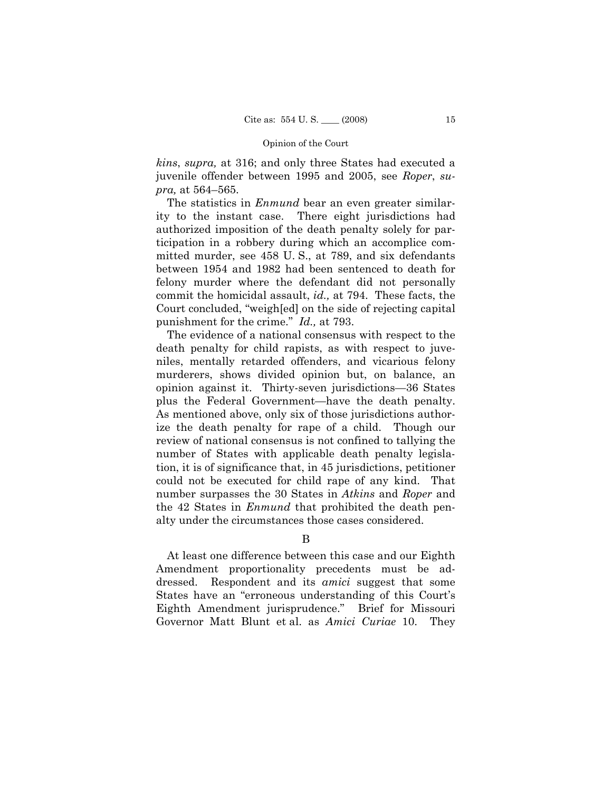*kins*, *supra,* at 316; and only three States had executed a juvenile offender between 1995 and 2005, see *Roper*, *supra,* at 564–565.

 The statistics in *Enmund* bear an even greater similarity to the instant case. There eight jurisdictions had authorized imposition of the death penalty solely for participation in a robbery during which an accomplice committed murder, see 458 U. S., at 789, and six defendants between 1954 and 1982 had been sentenced to death for felony murder where the defendant did not personally commit the homicidal assault, *id.,* at 794. These facts, the Court concluded, "weigh[ed] on the side of rejecting capital punishment for the crime." *Id.,* at 793.

 The evidence of a national consensus with respect to the death penalty for child rapists, as with respect to juveniles, mentally retarded offenders, and vicarious felony murderers, shows divided opinion but, on balance, an opinion against it. Thirty-seven jurisdictions—36 States plus the Federal Government—have the death penalty. As mentioned above, only six of those jurisdictions authorize the death penalty for rape of a child. Though our review of national consensus is not confined to tallying the number of States with applicable death penalty legislation, it is of significance that, in 45 jurisdictions, petitioner could not be executed for child rape of any kind. That number surpasses the 30 States in *Atkins* and *Roper* and the 42 States in *Enmund* that prohibited the death penalty under the circumstances those cases considered.

B

 At least one difference between this case and our Eighth Amendment proportionality precedents must be addressed. Respondent and its *amici* suggest that some States have an "erroneous understanding of this Court's Eighth Amendment jurisprudence." Brief for Missouri Governor Matt Blunt et al. as *Amici Curiae* 10. They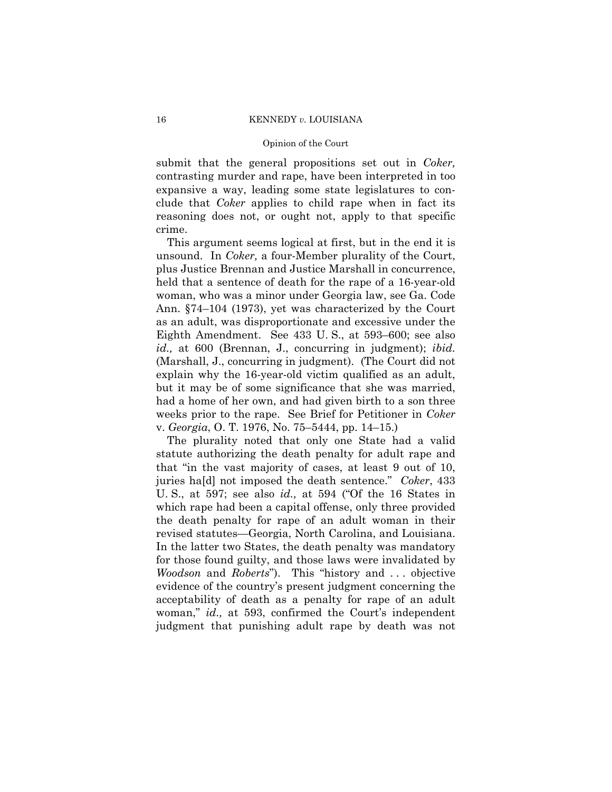## 16 KENNEDY *v.* LOUISIANA

#### Opinion of the Court

submit that the general propositions set out in *Coker,*  contrasting murder and rape, have been interpreted in too expansive a way, leading some state legislatures to conclude that *Coker* applies to child rape when in fact its reasoning does not, or ought not, apply to that specific crime.

 This argument seems logical at first, but in the end it is unsound. In *Coker,* a four-Member plurality of the Court, plus Justice Brennan and Justice Marshall in concurrence, held that a sentence of death for the rape of a 16-year-old woman, who was a minor under Georgia law, see Ga. Code Ann. §74–104 (1973), yet was characterized by the Court as an adult, was disproportionate and excessive under the Eighth Amendment. See 433 U. S., at 593–600; see also *id.,* at 600 (Brennan, J., concurring in judgment); *ibid.* (Marshall, J., concurring in judgment). (The Court did not explain why the 16-year-old victim qualified as an adult, but it may be of some significance that she was married, had a home of her own, and had given birth to a son three weeks prior to the rape. See Brief for Petitioner in *Coker* v. *Georgia*, O. T. 1976, No. 75–5444, pp. 14–15.)

 The plurality noted that only one State had a valid statute authorizing the death penalty for adult rape and that "in the vast majority of cases, at least 9 out of 10, juries ha[d] not imposed the death sentence." *Coker*, 433 U. S., at 597; see also *id.,* at 594 ("Of the 16 States in which rape had been a capital offense, only three provided the death penalty for rape of an adult woman in their revised statutes—Georgia, North Carolina, and Louisiana. In the latter two States, the death penalty was mandatory for those found guilty, and those laws were invalidated by *Woodson* and *Roberts*"). This "history and . . . objective evidence of the country's present judgment concerning the acceptability of death as a penalty for rape of an adult woman," *id.,* at 593, confirmed the Court's independent judgment that punishing adult rape by death was not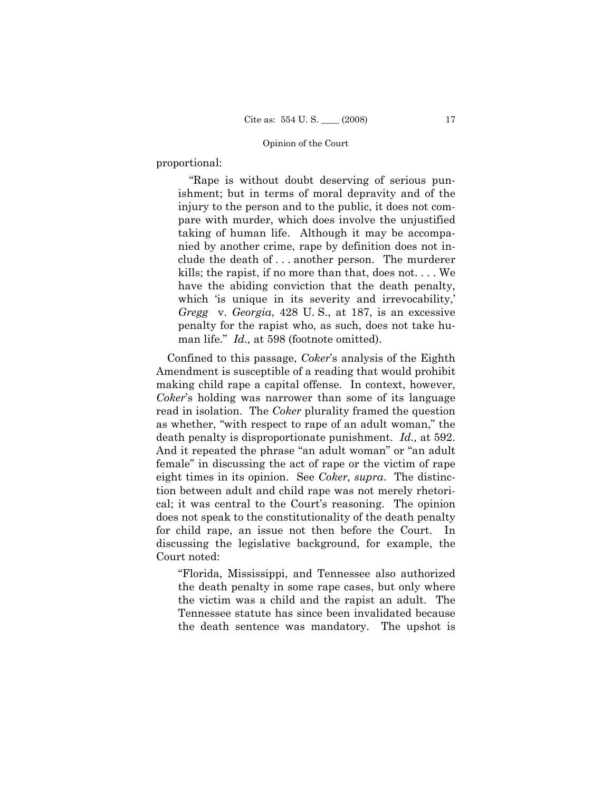proportional:

 "Rape is without doubt deserving of serious punishment; but in terms of moral depravity and of the injury to the person and to the public, it does not compare with murder, which does involve the unjustified taking of human life. Although it may be accompanied by another crime, rape by definition does not include the death of . . . another person. The murderer kills; the rapist, if no more than that, does not. . . . We have the abiding conviction that the death penalty, which 'is unique in its severity and irrevocability,' *Gregg* v. *Georgia*, 428 U. S., at 187, is an excessive penalty for the rapist who, as such, does not take human life." *Id.,* at 598 (footnote omitted).

 Confined to this passage, *Coker*'s analysis of the Eighth Amendment is susceptible of a reading that would prohibit making child rape a capital offense. In context, however, *Coker*'s holding was narrower than some of its language read in isolation. The *Coker* plurality framed the question as whether, "with respect to rape of an adult woman," the death penalty is disproportionate punishment. *Id.,* at 592. And it repeated the phrase "an adult woman" or "an adult female" in discussing the act of rape or the victim of rape eight times in its opinion. See *Coker, supra*. The distinction between adult and child rape was not merely rhetorical; it was central to the Court's reasoning. The opinion does not speak to the constitutionality of the death penalty for child rape, an issue not then before the Court. In discussing the legislative background, for example, the Court noted:

"Florida, Mississippi, and Tennessee also authorized the death penalty in some rape cases, but only where the victim was a child and the rapist an adult. The Tennessee statute has since been invalidated because the death sentence was mandatory. The upshot is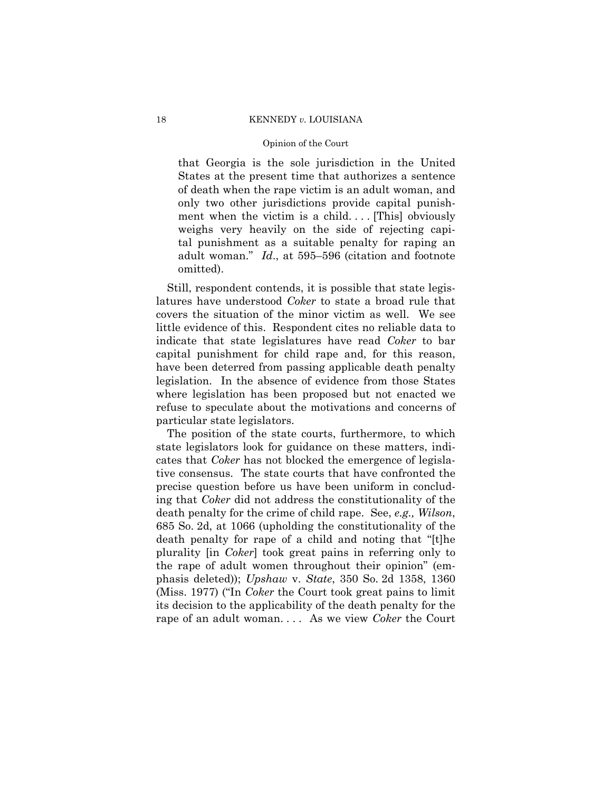#### 18 KENNEDY *v.* LOUISIANA

#### Opinion of the Court

that Georgia is the sole jurisdiction in the United States at the present time that authorizes a sentence of death when the rape victim is an adult woman, and only two other jurisdictions provide capital punishment when the victim is a child. . . . [This] obviously weighs very heavily on the side of rejecting capital punishment as a suitable penalty for raping an adult woman." *Id*., at 595–596 (citation and footnote omitted).

 Still, respondent contends, it is possible that state legislatures have understood *Coker* to state a broad rule that covers the situation of the minor victim as well. We see little evidence of this. Respondent cites no reliable data to indicate that state legislatures have read *Coker* to bar capital punishment for child rape and, for this reason, have been deterred from passing applicable death penalty legislation. In the absence of evidence from those States where legislation has been proposed but not enacted we refuse to speculate about the motivations and concerns of particular state legislators.

 The position of the state courts, furthermore, to which state legislators look for guidance on these matters, indicates that *Coker* has not blocked the emergence of legislative consensus. The state courts that have confronted the precise question before us have been uniform in concluding that *Coker* did not address the constitutionality of the death penalty for the crime of child rape. See, *e.g., Wilson*, 685 So. 2d, at 1066 (upholding the constitutionality of the death penalty for rape of a child and noting that "[t]he plurality [in *Coker*] took great pains in referring only to the rape of adult women throughout their opinion" (emphasis deleted)); *Upshaw* v. *State*, 350 So. 2d 1358, 1360 (Miss. 1977) ("In *Coker* the Court took great pains to limit its decision to the applicability of the death penalty for the rape of an adult woman. . . . As we view *Coker* the Court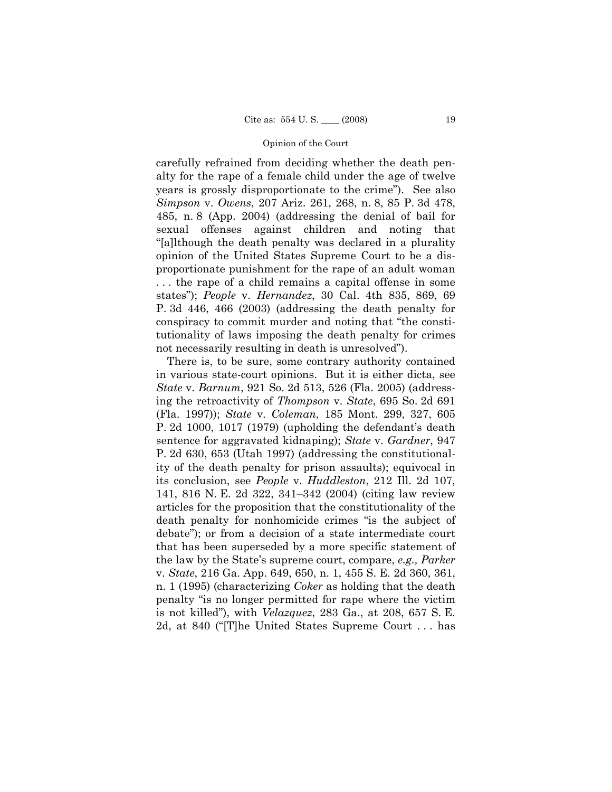carefully refrained from deciding whether the death penalty for the rape of a female child under the age of twelve years is grossly disproportionate to the crime"). See also *Simpson* v. *Owens*, 207 Ariz. 261, 268, n. 8, 85 P. 3d 478, 485, n. 8 (App. 2004) (addressing the denial of bail for sexual offenses against children and noting that "[a]lthough the death penalty was declared in a plurality opinion of the United States Supreme Court to be a disproportionate punishment for the rape of an adult woman . . . the rape of a child remains a capital offense in some states"); *People* v. *Hernandez*, 30 Cal. 4th 835, 869, 69 P. 3d 446, 466 (2003) (addressing the death penalty for conspiracy to commit murder and noting that "the constitutionality of laws imposing the death penalty for crimes not necessarily resulting in death is unresolved").

 There is, to be sure, some contrary authority contained in various state-court opinions. But it is either dicta, see *State* v. *Barnum*, 921 So. 2d 513, 526 (Fla. 2005) (addressing the retroactivity of *Thompson* v. *State*, 695 So. 2d 691 (Fla. 1997)); *State* v. *Coleman*, 185 Mont. 299, 327, 605 P. 2d 1000, 1017 (1979) (upholding the defendant's death sentence for aggravated kidnaping); *State* v. *Gardner*, 947 P. 2d 630, 653 (Utah 1997) (addressing the constitutionality of the death penalty for prison assaults); equivocal in its conclusion, see *People* v. *Huddleston*, 212 Ill. 2d 107, 141, 816 N. E. 2d 322, 341–342 (2004) (citing law review articles for the proposition that the constitutionality of the death penalty for nonhomicide crimes "is the subject of debate"); or from a decision of a state intermediate court that has been superseded by a more specific statement of the law by the State's supreme court, compare, *e.g., Parker*  v. *State*, 216 Ga. App. 649, 650, n. 1, 455 S. E. 2d 360, 361, n. 1 (1995) (characterizing *Coker* as holding that the death penalty "is no longer permitted for rape where the victim is not killed"), with *Velazquez*, 283 Ga., at 208, 657 S. E. 2d, at 840 ("[T]he United States Supreme Court . . . has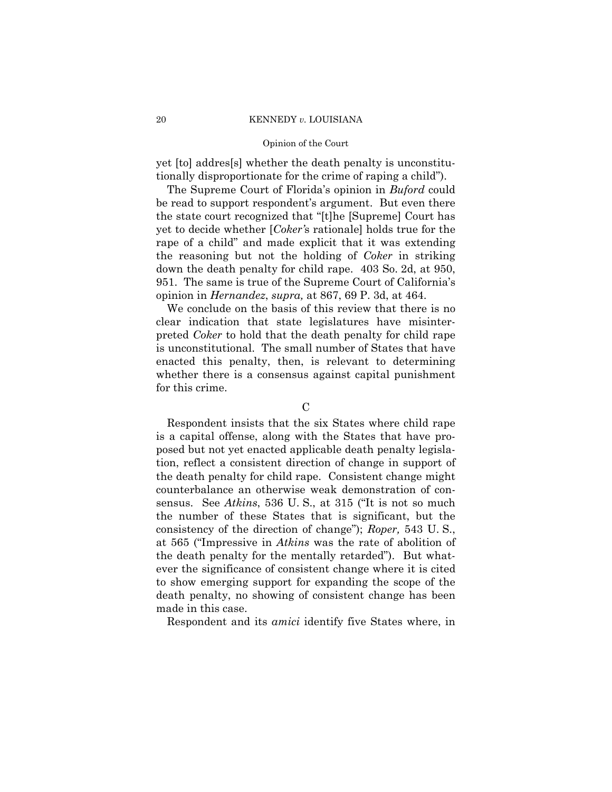#### 20 KENNEDY *v.* LOUISIANA

#### Opinion of the Court

yet [to] addres[s] whether the death penalty is unconstitutionally disproportionate for the crime of raping a child").

 The Supreme Court of Florida's opinion in *Buford* could be read to support respondent's argument. But even there the state court recognized that "[t]he [Supreme] Court has yet to decide whether [*Coker'*s rationale] holds true for the rape of a child" and made explicit that it was extending the reasoning but not the holding of *Coker* in striking down the death penalty for child rape. 403 So. 2d, at 950, 951. The same is true of the Supreme Court of California's opinion in *Hernandez*, *supra,* at 867, 69 P. 3d, at 464.

 We conclude on the basis of this review that there is no clear indication that state legislatures have misinterpreted *Coker* to hold that the death penalty for child rape is unconstitutional. The small number of States that have enacted this penalty, then, is relevant to determining whether there is a consensus against capital punishment for this crime.

## C

 Respondent insists that the six States where child rape is a capital offense, along with the States that have proposed but not yet enacted applicable death penalty legislation, reflect a consistent direction of change in support of the death penalty for child rape. Consistent change might counterbalance an otherwise weak demonstration of consensus. See *Atkins*, 536 U. S., at 315 ("It is not so much the number of these States that is significant, but the consistency of the direction of change"); *Roper,* 543 U. S., at 565 ("Impressive in *Atkins* was the rate of abolition of the death penalty for the mentally retarded"). But whatever the significance of consistent change where it is cited to show emerging support for expanding the scope of the death penalty, no showing of consistent change has been made in this case.

Respondent and its *amici* identify five States where, in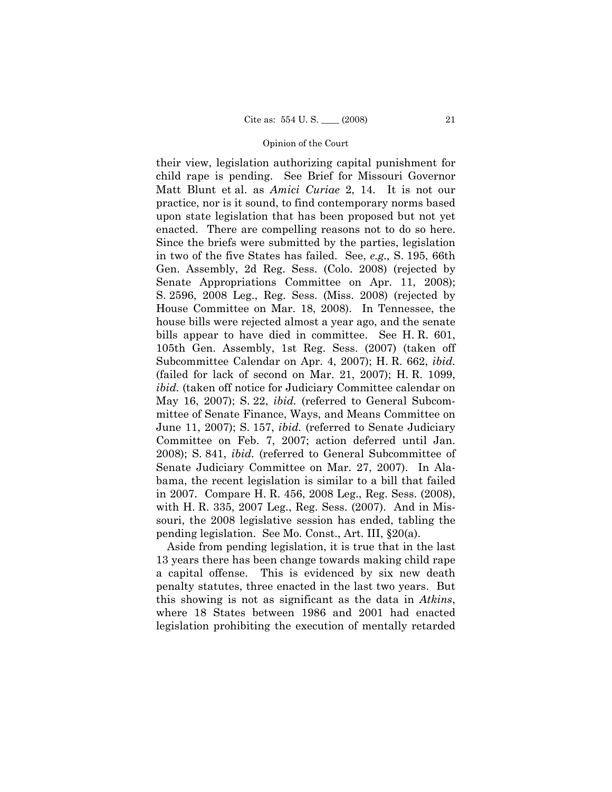their view, legislation authorizing capital punishment for child rape is pending. See Brief for Missouri Governor Matt Blunt et al. as *Amici Curiae* 2, 14. It is not our practice, nor is it sound, to find contemporary norms based upon state legislation that has been proposed but not yet enacted. There are compelling reasons not to do so here. Since the briefs were submitted by the parties, legislation in two of the five States has failed. See, *e.g.,* S. 195, 66th Gen. Assembly, 2d Reg. Sess. (Colo. 2008) (rejected by Senate Appropriations Committee on Apr. 11, 2008); S. 2596, 2008 Leg., Reg. Sess. (Miss. 2008) (rejected by House Committee on Mar. 18, 2008). In Tennessee, the house bills were rejected almost a year ago, and the senate bills appear to have died in committee. See H. R. 601, 105th Gen. Assembly, 1st Reg. Sess. (2007) (taken off Subcommittee Calendar on Apr. 4, 2007); H. R. 662, *ibid.* (failed for lack of second on Mar. 21, 2007); H. R. 1099, *ibid.* (taken off notice for Judiciary Committee calendar on May 16, 2007); S. 22, *ibid.* (referred to General Subcommittee of Senate Finance, Ways, and Means Committee on June 11, 2007); S. 157, *ibid.* (referred to Senate Judiciary Committee on Feb. 7, 2007; action deferred until Jan. 2008); S. 841, *ibid.* (referred to General Subcommittee of Senate Judiciary Committee on Mar. 27, 2007). In Alabama, the recent legislation is similar to a bill that failed in 2007. Compare H. R. 456, 2008 Leg., Reg. Sess. (2008), with H. R. 335, 2007 Leg., Reg. Sess. (2007). And in Missouri, the 2008 legislative session has ended, tabling the pending legislation. See Mo. Const., Art. III, §20(a).

 Aside from pending legislation, it is true that in the last 13 years there has been change towards making child rape a capital offense. This is evidenced by six new death penalty statutes, three enacted in the last two years. But this showing is not as significant as the data in *Atkins*, where 18 States between 1986 and 2001 had enacted legislation prohibiting the execution of mentally retarded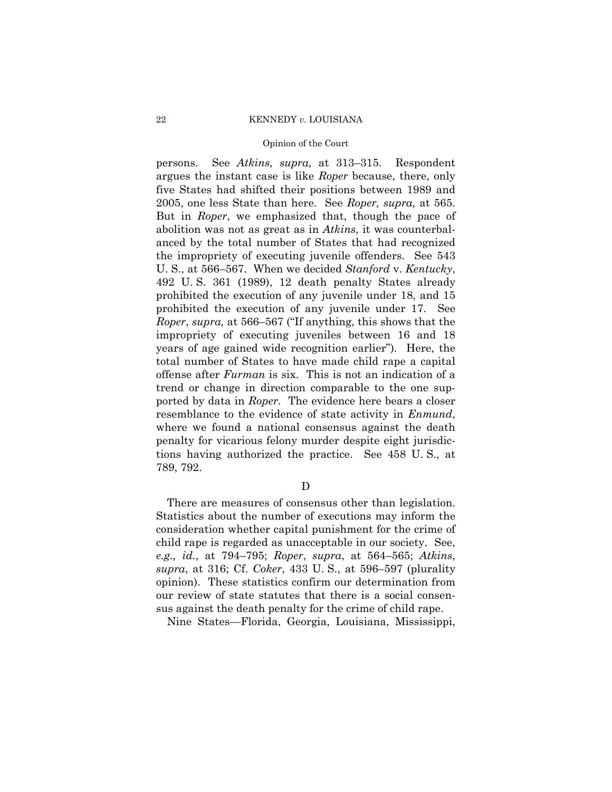### 22 KENNEDY *v.* LOUISIANA

#### Opinion of the Court

persons. See *Atkins, supra,* at 313–315. Respondent argues the instant case is like *Roper* because, there, only five States had shifted their positions between 1989 and 2005, one less State than here. See *Roper, supra,* at 565. But in *Roper*, we emphasized that, though the pace of abolition was not as great as in *Atkins*, it was counterbalanced by the total number of States that had recognized the impropriety of executing juvenile offenders. See 543 U. S., at 566–567. When we decided *Stanford* v. *Kentucky*, 492 U. S. 361 (1989), 12 death penalty States already prohibited the execution of any juvenile under 18, and 15 prohibited the execution of any juvenile under 17. See *Roper*, *supra,* at 566–567 ("If anything, this shows that the impropriety of executing juveniles between 16 and 18 years of age gained wide recognition earlier"). Here, the total number of States to have made child rape a capital offense after *Furman* is six. This is not an indication of a trend or change in direction comparable to the one supported by data in *Roper.* The evidence here bears a closer resemblance to the evidence of state activity in *Enmund*, where we found a national consensus against the death penalty for vicarious felony murder despite eight jurisdictions having authorized the practice. See 458 U. S., at 789, 792.

## D

 There are measures of consensus other than legislation. Statistics about the number of executions may inform the consideration whether capital punishment for the crime of child rape is regarded as unacceptable in our society. See, *e.g., id.*, at 794–795; *Roper*, *supra*, at 564–565; *Atkins*, *supra*, at 316; Cf. *Coker*, 433 U. S., at 596–597 (plurality opinion). These statistics confirm our determination from our review of state statutes that there is a social consensus against the death penalty for the crime of child rape.

Nine States—Florida, Georgia, Louisiana, Mississippi,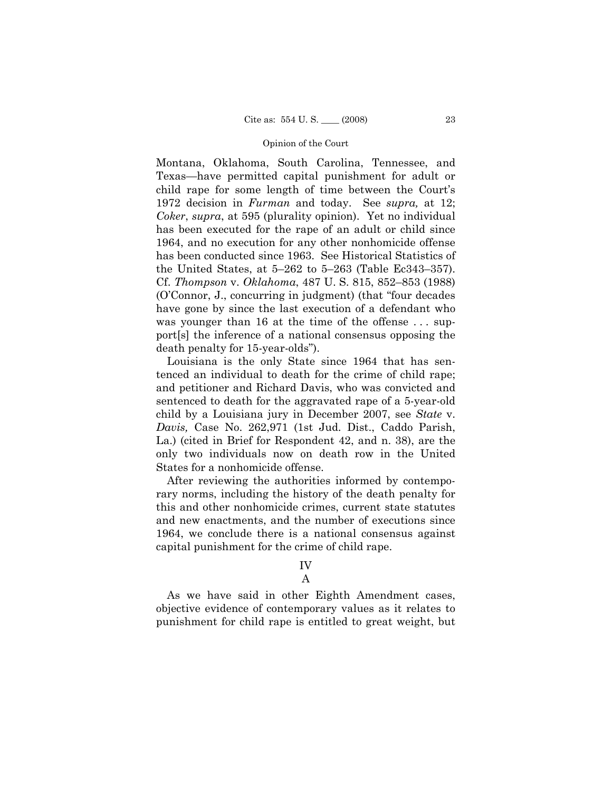Montana, Oklahoma, South Carolina, Tennessee, and Texas—have permitted capital punishment for adult or child rape for some length of time between the Court's 1972 decision in *Furman* and today. See *supra,* at 12; *Coker*, *supra*, at 595 (plurality opinion). Yet no individual has been executed for the rape of an adult or child since 1964, and no execution for any other nonhomicide offense has been conducted since 1963. See Historical Statistics of the United States, at 5–262 to 5–263 (Table Ec343–357). Cf. *Thompson* v. *Oklahoma*, 487 U. S. 815, 852–853 (1988) (O'Connor, J., concurring in judgment) (that "four decades have gone by since the last execution of a defendant who was younger than 16 at the time of the offense ... support[s] the inference of a national consensus opposing the death penalty for 15-year-olds").

 Louisiana is the only State since 1964 that has sentenced an individual to death for the crime of child rape; and petitioner and Richard Davis, who was convicted and sentenced to death for the aggravated rape of a 5-year-old child by a Louisiana jury in December 2007, see *State* v. *Davis,* Case No. 262,971 (1st Jud. Dist., Caddo Parish, La.) (cited in Brief for Respondent 42, and n. 38), are the only two individuals now on death row in the United States for a nonhomicide offense.

 After reviewing the authorities informed by contemporary norms, including the history of the death penalty for this and other nonhomicide crimes, current state statutes and new enactments, and the number of executions since 1964, we conclude there is a national consensus against capital punishment for the crime of child rape.

## IV

## A

 As we have said in other Eighth Amendment cases, objective evidence of contemporary values as it relates to punishment for child rape is entitled to great weight, but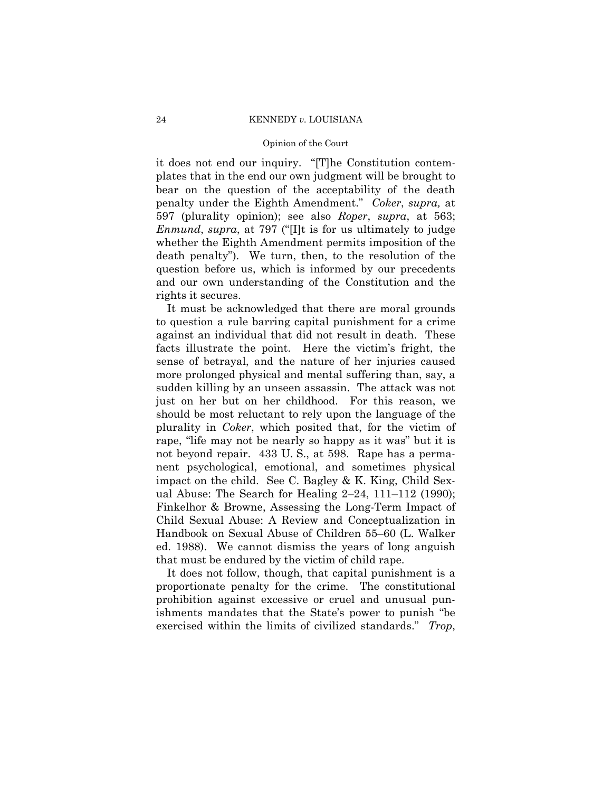it does not end our inquiry. "[T]he Constitution contemplates that in the end our own judgment will be brought to bear on the question of the acceptability of the death penalty under the Eighth Amendment." *Coker*, *supra,* at 597 (plurality opinion); see also *Roper*, *supra*, at 563; *Enmund*, *supra*, at 797 ("[I]t is for us ultimately to judge whether the Eighth Amendment permits imposition of the death penalty"). We turn, then, to the resolution of the question before us, which is informed by our precedents and our own understanding of the Constitution and the rights it secures.

 It must be acknowledged that there are moral grounds to question a rule barring capital punishment for a crime against an individual that did not result in death. These facts illustrate the point. Here the victim's fright, the sense of betrayal, and the nature of her injuries caused more prolonged physical and mental suffering than, say, a sudden killing by an unseen assassin. The attack was not just on her but on her childhood. For this reason, we should be most reluctant to rely upon the language of the plurality in *Coker*, which posited that, for the victim of rape, "life may not be nearly so happy as it was" but it is not beyond repair. 433 U. S., at 598. Rape has a permanent psychological, emotional, and sometimes physical impact on the child. See C. Bagley & K. King, Child Sexual Abuse: The Search for Healing 2–24, 111–112 (1990); Finkelhor & Browne, Assessing the Long-Term Impact of Child Sexual Abuse: A Review and Conceptualization in Handbook on Sexual Abuse of Children 55–60 (L. Walker ed. 1988). We cannot dismiss the years of long anguish that must be endured by the victim of child rape.

 It does not follow, though, that capital punishment is a proportionate penalty for the crime. The constitutional prohibition against excessive or cruel and unusual punishments mandates that the State's power to punish "be exercised within the limits of civilized standards." *Trop*,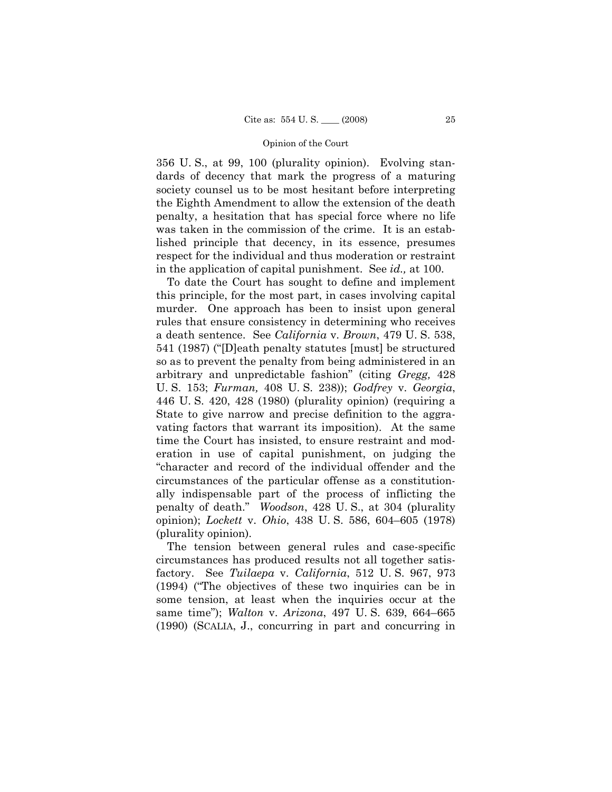356 U. S., at 99, 100 (plurality opinion). Evolving standards of decency that mark the progress of a maturing society counsel us to be most hesitant before interpreting the Eighth Amendment to allow the extension of the death penalty, a hesitation that has special force where no life was taken in the commission of the crime. It is an established principle that decency, in its essence, presumes respect for the individual and thus moderation or restraint in the application of capital punishment. See *id.,* at 100.

 To date the Court has sought to define and implement this principle, for the most part, in cases involving capital murder. One approach has been to insist upon general rules that ensure consistency in determining who receives a death sentence. See *California* v. *Brown*, 479 U. S. 538, 541 (1987) ("[D]eath penalty statutes [must] be structured so as to prevent the penalty from being administered in an arbitrary and unpredictable fashion" (citing *Gregg,* 428 U. S. 153; *Furman,* 408 U. S. 238)); *Godfrey* v. *Georgia*, 446 U. S. 420, 428 (1980) (plurality opinion) (requiring a State to give narrow and precise definition to the aggravating factors that warrant its imposition). At the same time the Court has insisted, to ensure restraint and moderation in use of capital punishment, on judging the "character and record of the individual offender and the circumstances of the particular offense as a constitutionally indispensable part of the process of inflicting the penalty of death." *Woodson*, 428 U. S., at 304 (plurality opinion); *Lockett* v. *Ohio*, 438 U. S. 586, 604–605 (1978) (plurality opinion).

 The tension between general rules and case-specific circumstances has produced results not all together satisfactory. See *Tuilaepa* v. *California*, 512 U. S. 967, 973 (1994) ("The objectives of these two inquiries can be in some tension, at least when the inquiries occur at the same time"); *Walton* v. *Arizona*, 497 U. S. 639, 664–665 (1990) (SCALIA, J., concurring in part and concurring in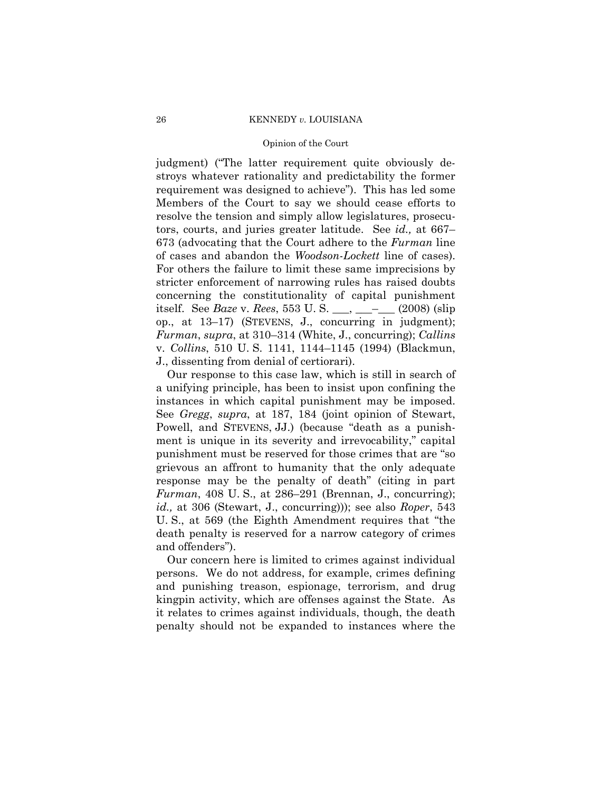## 26 KENNEDY *v.* LOUISIANA

#### Opinion of the Court

judgment) ("The latter requirement quite obviously destroys whatever rationality and predictability the former requirement was designed to achieve"). This has led some Members of the Court to say we should cease efforts to resolve the tension and simply allow legislatures, prosecutors, courts, and juries greater latitude. See *id.,* at 667– 673 (advocating that the Court adhere to the *Furman* line of cases and abandon the *Woodson*-*Lockett* line of cases). For others the failure to limit these same imprecisions by stricter enforcement of narrowing rules has raised doubts concerning the constitutionality of capital punishment itself. See *Baze* v. *Rees*, 553 U. S. \_\_\_, \_\_\_–\_\_\_ (2008) (slip op., at 13–17) (STEVENS, J., concurring in judgment); *Furman*, *supra*, at 310–314 (White, J., concurring); *Callins* v. *Collins*, 510 U. S. 1141, 1144–1145 (1994) (Blackmun, J., dissenting from denial of certiorari).

 Our response to this case law, which is still in search of a unifying principle, has been to insist upon confining the instances in which capital punishment may be imposed. See *Gregg*, *supra*, at 187, 184 (joint opinion of Stewart, Powell, and STEVENS, JJ.) (because "death as a punishment is unique in its severity and irrevocability," capital punishment must be reserved for those crimes that are "so grievous an affront to humanity that the only adequate response may be the penalty of death" (citing in part *Furman*, 408 U. S., at 286–291 (Brennan, J., concurring); *id.,* at 306 (Stewart, J., concurring))); see also *Roper*, 543 U. S., at 569 (the Eighth Amendment requires that "the death penalty is reserved for a narrow category of crimes and offenders").

 Our concern here is limited to crimes against individual persons. We do not address, for example, crimes defining and punishing treason, espionage, terrorism, and drug kingpin activity, which are offenses against the State. As it relates to crimes against individuals, though, the death penalty should not be expanded to instances where the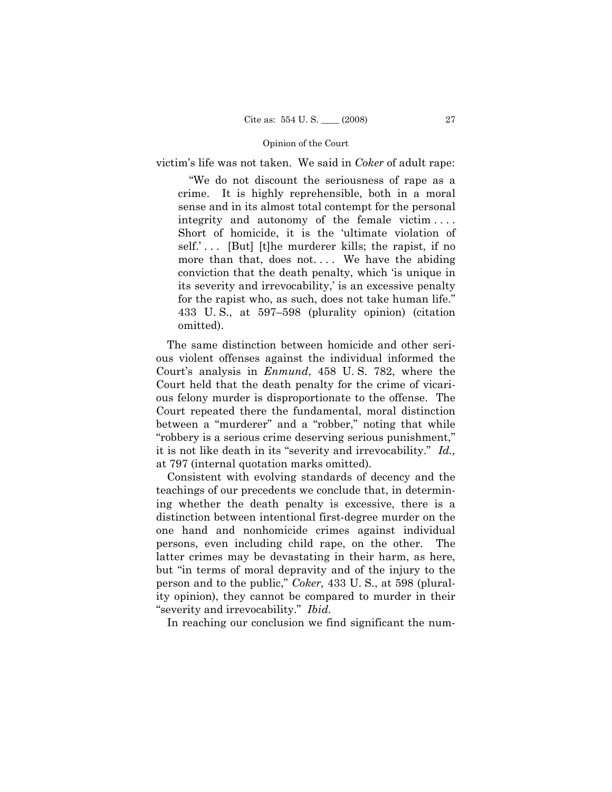victim's life was not taken. We said in *Coker* of adult rape:

 "We do not discount the seriousness of rape as a crime. It is highly reprehensible, both in a moral sense and in its almost total contempt for the personal integrity and autonomy of the female victim . . . . Short of homicide, it is the 'ultimate violation of self.'... [But] [t]he murderer kills; the rapist, if no more than that, does not.... We have the abiding conviction that the death penalty, which 'is unique in its severity and irrevocability,' is an excessive penalty for the rapist who, as such, does not take human life." 433 U. S., at 597–598 (plurality opinion) (citation omitted).

 The same distinction between homicide and other serious violent offenses against the individual informed the Court's analysis in *Enmund*, 458 U. S. 782, where the Court held that the death penalty for the crime of vicarious felony murder is disproportionate to the offense. The Court repeated there the fundamental, moral distinction between a "murderer" and a "robber," noting that while "robbery is a serious crime deserving serious punishment," it is not like death in its "severity and irrevocability." *Id.,* at 797 (internal quotation marks omitted).

 Consistent with evolving standards of decency and the teachings of our precedents we conclude that, in determining whether the death penalty is excessive, there is a distinction between intentional first-degree murder on the one hand and nonhomicide crimes against individual persons, even including child rape, on the other. The latter crimes may be devastating in their harm, as here, but "in terms of moral depravity and of the injury to the person and to the public," *Coker,* 433 U. S., at 598 (plurality opinion), they cannot be compared to murder in their "severity and irrevocability." *Ibid.* 

In reaching our conclusion we find significant the num-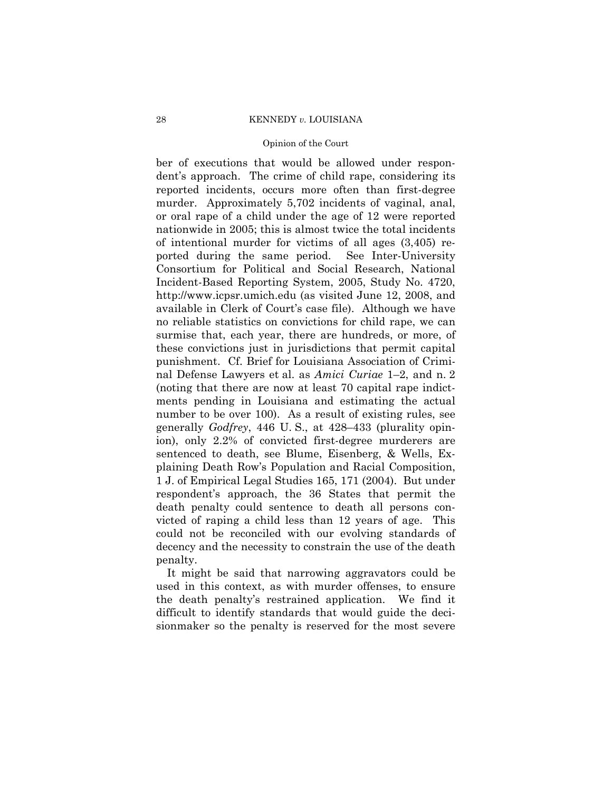#### 28 KENNEDY *v.* LOUISIANA

#### Opinion of the Court

ber of executions that would be allowed under respondent's approach. The crime of child rape, considering its reported incidents, occurs more often than first-degree murder. Approximately 5,702 incidents of vaginal, anal, or oral rape of a child under the age of 12 were reported nationwide in 2005; this is almost twice the total incidents of intentional murder for victims of all ages (3,405) reported during the same period. See Inter-University Consortium for Political and Social Research, National Incident-Based Reporting System, 2005, Study No. 4720, http://www.icpsr.umich.edu (as visited June 12, 2008, and available in Clerk of Court's case file). Although we have no reliable statistics on convictions for child rape, we can surmise that, each year, there are hundreds, or more, of these convictions just in jurisdictions that permit capital punishment. Cf. Brief for Louisiana Association of Criminal Defense Lawyers et al. as *Amici Curiae* 1–2, and n. 2 (noting that there are now at least 70 capital rape indictments pending in Louisiana and estimating the actual number to be over 100). As a result of existing rules, see generally *Godfrey*, 446 U. S., at 428–433 (plurality opinion), only 2.2% of convicted first-degree murderers are sentenced to death, see Blume, Eisenberg, & Wells, Explaining Death Row's Population and Racial Composition, 1 J. of Empirical Legal Studies 165, 171 (2004). But under respondent's approach, the 36 States that permit the death penalty could sentence to death all persons convicted of raping a child less than 12 years of age. This could not be reconciled with our evolving standards of decency and the necessity to constrain the use of the death penalty.

 It might be said that narrowing aggravators could be used in this context, as with murder offenses, to ensure the death penalty's restrained application. We find it difficult to identify standards that would guide the decisionmaker so the penalty is reserved for the most severe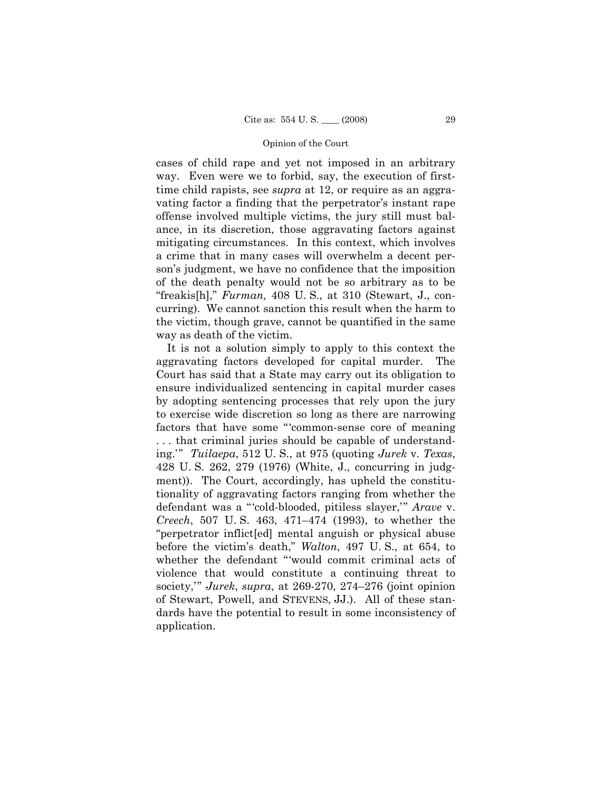cases of child rape and yet not imposed in an arbitrary way. Even were we to forbid, say, the execution of firsttime child rapists, see *supra* at 12, or require as an aggravating factor a finding that the perpetrator's instant rape offense involved multiple victims, the jury still must balance, in its discretion, those aggravating factors against mitigating circumstances. In this context, which involves a crime that in many cases will overwhelm a decent person's judgment, we have no confidence that the imposition of the death penalty would not be so arbitrary as to be "freakis[h]," *Furman,* 408 U. S., at 310 (Stewart, J., concurring). We cannot sanction this result when the harm to the victim, though grave, cannot be quantified in the same way as death of the victim.

 It is not a solution simply to apply to this context the aggravating factors developed for capital murder. The Court has said that a State may carry out its obligation to ensure individualized sentencing in capital murder cases by adopting sentencing processes that rely upon the jury to exercise wide discretion so long as there are narrowing factors that have some "'common-sense core of meaning . . . that criminal juries should be capable of understanding.'" *Tuilaepa*, 512 U. S., at 975 (quoting *Jurek* v. *Texas*, 428 U. S. 262, 279 (1976) (White, J., concurring in judgment)). The Court, accordingly, has upheld the constitutionality of aggravating factors ranging from whether the defendant was a "'cold-blooded, pitiless slayer,'" *Arave* v. *Creech*, 507 U. S. 463, 471–474 (1993), to whether the "perpetrator inflict[ed] mental anguish or physical abuse before the victim's death," *Walton*, 497 U. S., at 654, to whether the defendant "'would commit criminal acts of violence that would constitute a continuing threat to society,'" *Jurek*, *supra*, at 269-270, 274–276 (joint opinion of Stewart, Powell, and STEVENS, JJ.). All of these standards have the potential to result in some inconsistency of application.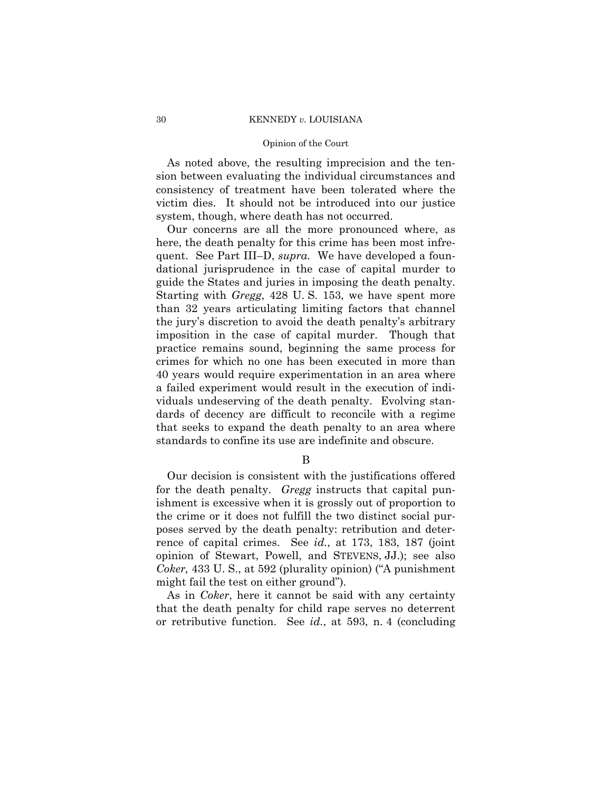#### 30 KENNEDY *v.* LOUISIANA

#### Opinion of the Court

 As noted above, the resulting imprecision and the tension between evaluating the individual circumstances and consistency of treatment have been tolerated where the victim dies. It should not be introduced into our justice system, though, where death has not occurred.

 Our concerns are all the more pronounced where, as here, the death penalty for this crime has been most infrequent. See Part III–D, *supra.* We have developed a foundational jurisprudence in the case of capital murder to guide the States and juries in imposing the death penalty. Starting with *Gregg*, 428 U. S. 153, we have spent more than 32 years articulating limiting factors that channel the jury's discretion to avoid the death penalty's arbitrary imposition in the case of capital murder. Though that practice remains sound, beginning the same process for crimes for which no one has been executed in more than 40 years would require experimentation in an area where a failed experiment would result in the execution of individuals undeserving of the death penalty. Evolving standards of decency are difficult to reconcile with a regime that seeks to expand the death penalty to an area where standards to confine its use are indefinite and obscure.

B

 Our decision is consistent with the justifications offered for the death penalty. *Gregg* instructs that capital punishment is excessive when it is grossly out of proportion to the crime or it does not fulfill the two distinct social purposes served by the death penalty: retribution and deterrence of capital crimes. See *id.*, at 173, 183, 187 (joint opinion of Stewart, Powell, and STEVENS, JJ.); see also *Coker,* 433 U. S., at 592 (plurality opinion) ("A punishment might fail the test on either ground").

 As in *Coker*, here it cannot be said with any certainty that the death penalty for child rape serves no deterrent or retributive function. See *id.*, at 593, n. 4 (concluding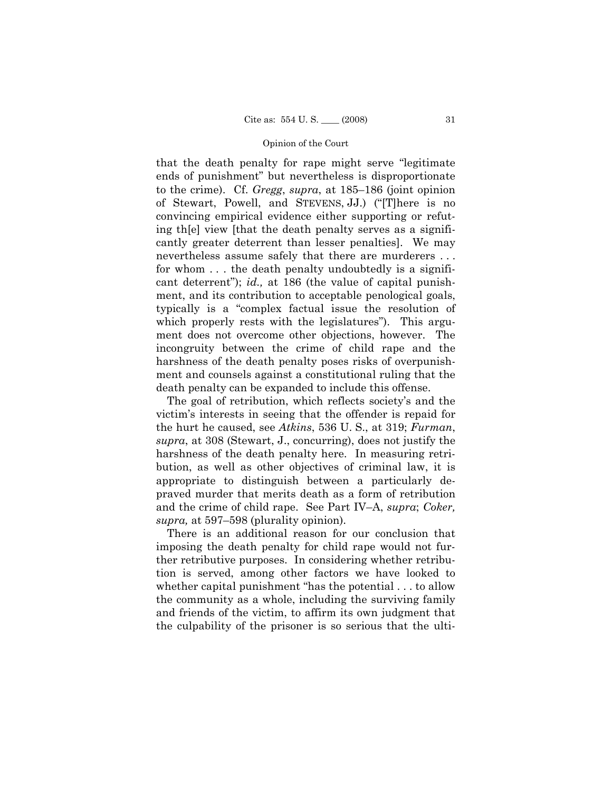that the death penalty for rape might serve "legitimate ends of punishment" but nevertheless is disproportionate to the crime). Cf. *Gregg*, *supra*, at 185–186 (joint opinion of Stewart, Powell, and STEVENS, JJ.) ("[T]here is no convincing empirical evidence either supporting or refuting th[e] view [that the death penalty serves as a significantly greater deterrent than lesser penalties]. We may nevertheless assume safely that there are murderers . . . for whom . . . the death penalty undoubtedly is a significant deterrent"); *id.,* at 186 (the value of capital punishment, and its contribution to acceptable penological goals, typically is a "complex factual issue the resolution of which properly rests with the legislatures"). This argument does not overcome other objections, however. The incongruity between the crime of child rape and the harshness of the death penalty poses risks of overpunishment and counsels against a constitutional ruling that the death penalty can be expanded to include this offense.

 The goal of retribution, which reflects society's and the victim's interests in seeing that the offender is repaid for the hurt he caused, see *Atkins*, 536 U. S., at 319; *Furman*, *supra*, at 308 (Stewart, J., concurring), does not justify the harshness of the death penalty here. In measuring retribution, as well as other objectives of criminal law, it is appropriate to distinguish between a particularly depraved murder that merits death as a form of retribution and the crime of child rape. See Part IV–A, *supra*; *Coker, supra,* at 597–598 (plurality opinion).

 There is an additional reason for our conclusion that imposing the death penalty for child rape would not further retributive purposes. In considering whether retribution is served, among other factors we have looked to whether capital punishment "has the potential . . . to allow the community as a whole, including the surviving family and friends of the victim, to affirm its own judgment that the culpability of the prisoner is so serious that the ulti-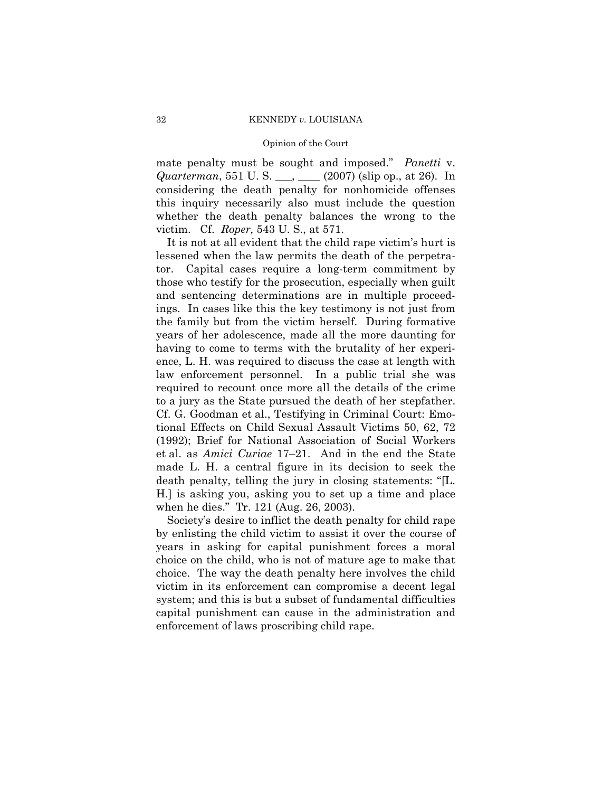mate penalty must be sought and imposed." *Panetti* v. *Quarterman*, 551 U. S. \_\_\_, \_\_\_ (2007) (slip op., at 26). In considering the death penalty for nonhomicide offenses this inquiry necessarily also must include the question whether the death penalty balances the wrong to the victim. Cf. *Roper,* 543 U. S., at 571.

 It is not at all evident that the child rape victim's hurt is lessened when the law permits the death of the perpetrator. Capital cases require a long-term commitment by those who testify for the prosecution, especially when guilt and sentencing determinations are in multiple proceedings. In cases like this the key testimony is not just from the family but from the victim herself. During formative years of her adolescence, made all the more daunting for having to come to terms with the brutality of her experience, L. H. was required to discuss the case at length with law enforcement personnel. In a public trial she was required to recount once more all the details of the crime to a jury as the State pursued the death of her stepfather. Cf. G. Goodman et al., Testifying in Criminal Court: Emotional Effects on Child Sexual Assault Victims 50, 62, 72 (1992); Brief for National Association of Social Workers et al. as *Amici Curiae* 17–21. And in the end the State made L. H. a central figure in its decision to seek the death penalty, telling the jury in closing statements: "[L. H.] is asking you, asking you to set up a time and place when he dies." Tr. 121 (Aug. 26, 2003).

 Society's desire to inflict the death penalty for child rape by enlisting the child victim to assist it over the course of years in asking for capital punishment forces a moral choice on the child, who is not of mature age to make that choice. The way the death penalty here involves the child victim in its enforcement can compromise a decent legal system; and this is but a subset of fundamental difficulties capital punishment can cause in the administration and enforcement of laws proscribing child rape.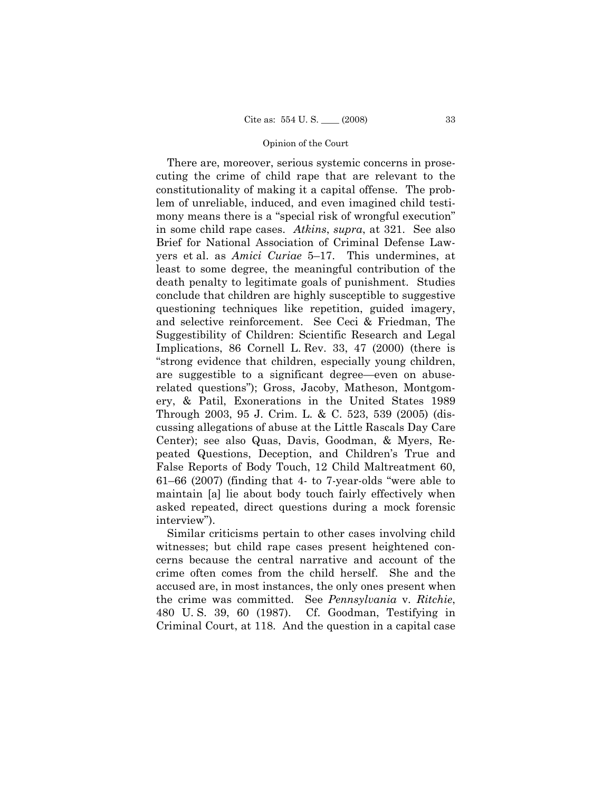There are, moreover, serious systemic concerns in prosecuting the crime of child rape that are relevant to the constitutionality of making it a capital offense. The problem of unreliable, induced, and even imagined child testimony means there is a "special risk of wrongful execution" in some child rape cases. *Atkins*, *supra*, at 321. See also Brief for National Association of Criminal Defense Lawyers et al. as *Amici Curiae* 5–17. This undermines, at least to some degree, the meaningful contribution of the death penalty to legitimate goals of punishment. Studies conclude that children are highly susceptible to suggestive questioning techniques like repetition, guided imagery, and selective reinforcement. See Ceci & Friedman, The Suggestibility of Children: Scientific Research and Legal Implications, 86 Cornell L. Rev. 33, 47 (2000) (there is "strong evidence that children, especially young children, are suggestible to a significant degree—even on abuserelated questions"); Gross, Jacoby, Matheson, Montgomery, & Patil, Exonerations in the United States 1989 Through 2003, 95 J. Crim. L. & C. 523, 539 (2005) (discussing allegations of abuse at the Little Rascals Day Care Center); see also Quas, Davis, Goodman, & Myers, Repeated Questions, Deception, and Children's True and False Reports of Body Touch, 12 Child Maltreatment 60, 61–66 (2007) (finding that 4- to 7-year-olds "were able to maintain [a] lie about body touch fairly effectively when asked repeated, direct questions during a mock forensic interview").

 Similar criticisms pertain to other cases involving child witnesses; but child rape cases present heightened concerns because the central narrative and account of the crime often comes from the child herself. She and the accused are, in most instances, the only ones present when the crime was committed. See *Pennsylvania* v. *Ritchie*, 480 U. S. 39, 60 (1987). Cf. Goodman, Testifying in Criminal Court, at 118. And the question in a capital case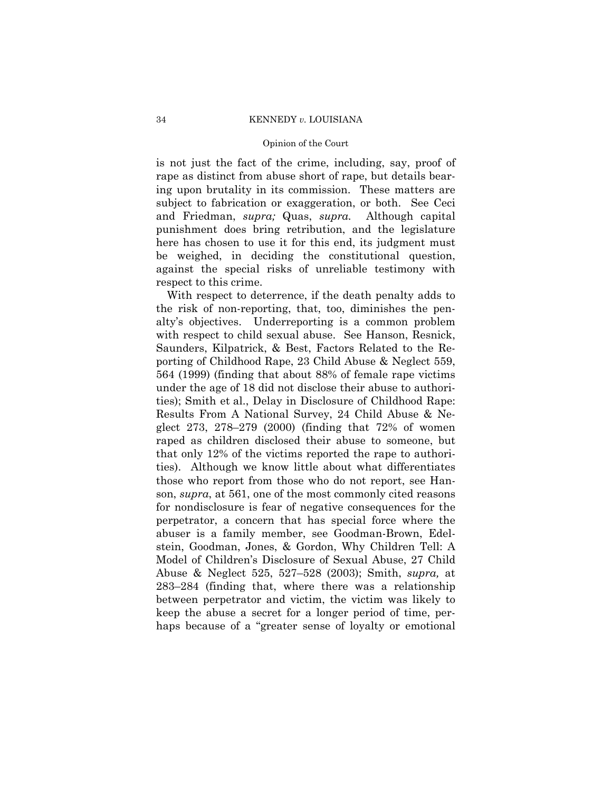## 34 KENNEDY *v.* LOUISIANA

#### Opinion of the Court

is not just the fact of the crime, including, say, proof of rape as distinct from abuse short of rape, but details bearing upon brutality in its commission. These matters are subject to fabrication or exaggeration, or both. See Ceci and Friedman, *supra;* Quas, *supra.* Although capital punishment does bring retribution, and the legislature here has chosen to use it for this end, its judgment must be weighed, in deciding the constitutional question, against the special risks of unreliable testimony with respect to this crime.

 With respect to deterrence, if the death penalty adds to the risk of non-reporting, that, too, diminishes the penalty's objectives. Underreporting is a common problem with respect to child sexual abuse. See Hanson, Resnick, Saunders, Kilpatrick, & Best, Factors Related to the Reporting of Childhood Rape, 23 Child Abuse & Neglect 559, 564 (1999) (finding that about 88% of female rape victims under the age of 18 did not disclose their abuse to authorities); Smith et al., Delay in Disclosure of Childhood Rape: Results From A National Survey, 24 Child Abuse & Neglect 273, 278–279 (2000) (finding that 72% of women raped as children disclosed their abuse to someone, but that only 12% of the victims reported the rape to authorities). Although we know little about what differentiates those who report from those who do not report, see Hanson, *supra*, at 561, one of the most commonly cited reasons for nondisclosure is fear of negative consequences for the perpetrator, a concern that has special force where the abuser is a family member, see Goodman-Brown, Edelstein, Goodman, Jones, & Gordon, Why Children Tell: A Model of Children's Disclosure of Sexual Abuse, 27 Child Abuse & Neglect 525, 527–528 (2003); Smith, *supra,* at 283–284 (finding that, where there was a relationship between perpetrator and victim, the victim was likely to keep the abuse a secret for a longer period of time, perhaps because of a "greater sense of loyalty or emotional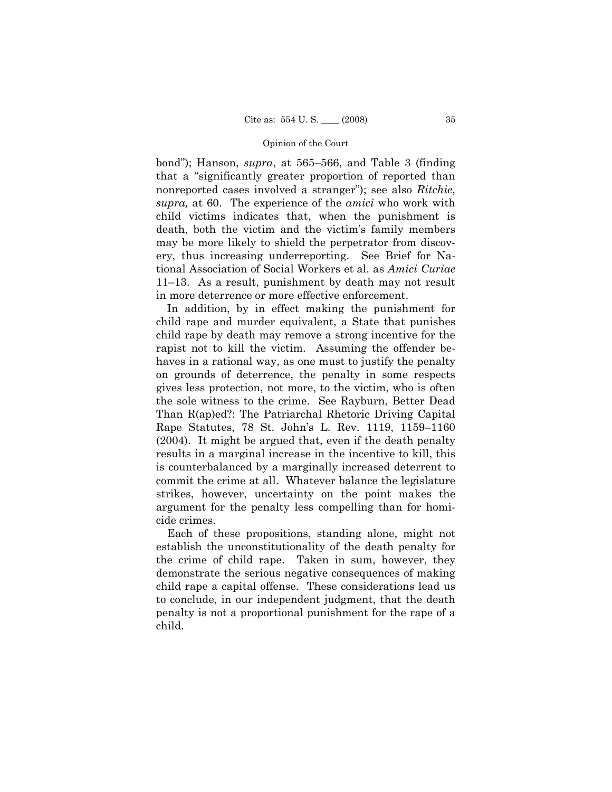bond"); Hanson, *supra*, at 565–566, and Table 3 (finding that a "significantly greater proportion of reported than nonreported cases involved a stranger"); see also *Ritchie*, *supra,* at 60. The experience of the *amici* who work with child victims indicates that, when the punishment is death, both the victim and the victim's family members may be more likely to shield the perpetrator from discovery, thus increasing underreporting. See Brief for National Association of Social Workers et al. as *Amici Curiae* 11–13. As a result, punishment by death may not result in more deterrence or more effective enforcement.

 In addition, by in effect making the punishment for child rape and murder equivalent, a State that punishes child rape by death may remove a strong incentive for the rapist not to kill the victim. Assuming the offender behaves in a rational way, as one must to justify the penalty on grounds of deterrence, the penalty in some respects gives less protection, not more, to the victim, who is often the sole witness to the crime. See Rayburn, Better Dead Than R(ap)ed?: The Patriarchal Rhetoric Driving Capital Rape Statutes, 78 St. John's L. Rev. 1119, 1159–1160 (2004). It might be argued that, even if the death penalty results in a marginal increase in the incentive to kill, this is counterbalanced by a marginally increased deterrent to commit the crime at all. Whatever balance the legislature strikes, however, uncertainty on the point makes the argument for the penalty less compelling than for homicide crimes.

 Each of these propositions, standing alone, might not establish the unconstitutionality of the death penalty for the crime of child rape. Taken in sum, however, they demonstrate the serious negative consequences of making child rape a capital offense. These considerations lead us to conclude, in our independent judgment, that the death penalty is not a proportional punishment for the rape of a child.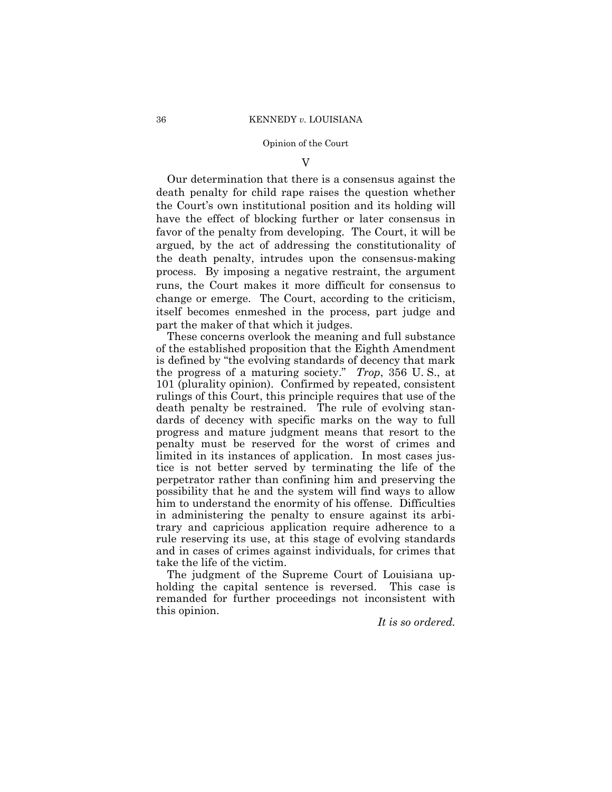## V

 Our determination that there is a consensus against the death penalty for child rape raises the question whether the Court's own institutional position and its holding will have the effect of blocking further or later consensus in favor of the penalty from developing. The Court, it will be argued, by the act of addressing the constitutionality of the death penalty, intrudes upon the consensus-making process. By imposing a negative restraint, the argument runs, the Court makes it more difficult for consensus to change or emerge. The Court, according to the criticism, itself becomes enmeshed in the process, part judge and part the maker of that which it judges.

 These concerns overlook the meaning and full substance of the established proposition that the Eighth Amendment is defined by "the evolving standards of decency that mark the progress of a maturing society." *Trop*, 356 U. S., at 101 (plurality opinion). Confirmed by repeated, consistent rulings of this Court, this principle requires that use of the death penalty be restrained. The rule of evolving standards of decency with specific marks on the way to full progress and mature judgment means that resort to the penalty must be reserved for the worst of crimes and limited in its instances of application. In most cases justice is not better served by terminating the life of the perpetrator rather than confining him and preserving the possibility that he and the system will find ways to allow him to understand the enormity of his offense. Difficulties in administering the penalty to ensure against its arbitrary and capricious application require adherence to a rule reserving its use, at this stage of evolving standards and in cases of crimes against individuals, for crimes that take the life of the victim.

 The judgment of the Supreme Court of Louisiana upholding the capital sentence is reversed. This case is remanded for further proceedings not inconsistent with this opinion.

*It is so ordered.*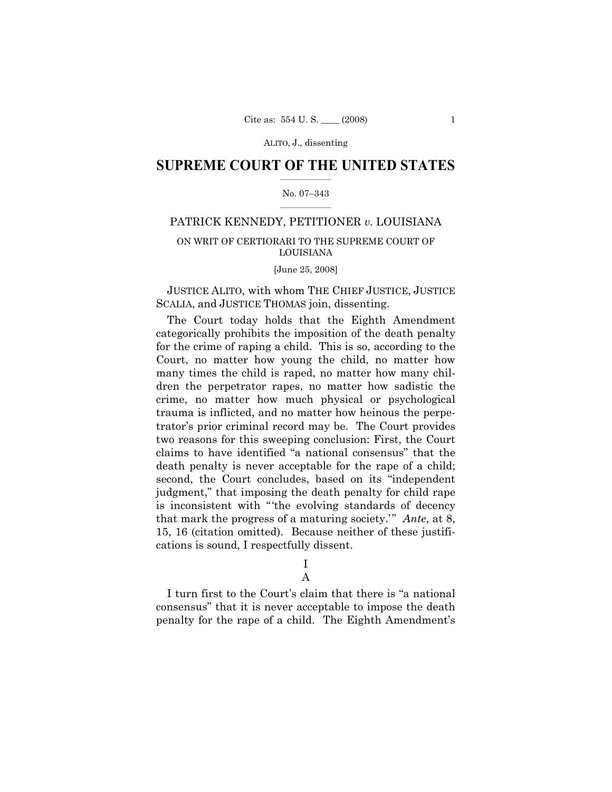## **SUPREME COURT OF THE UNITED STATES**  $\frac{1}{2}$  ,  $\frac{1}{2}$  ,  $\frac{1}{2}$  ,  $\frac{1}{2}$  ,  $\frac{1}{2}$  ,  $\frac{1}{2}$  ,  $\frac{1}{2}$

#### No. 07–343  $\frac{1}{2}$  ,  $\frac{1}{2}$  ,  $\frac{1}{2}$  ,  $\frac{1}{2}$  ,  $\frac{1}{2}$  ,  $\frac{1}{2}$

## PATRICK KENNEDY, PETITIONER *v.* LOUISIANA

## ON WRIT OF CERTIORARI TO THE SUPREME COURT OF LOUISIANA

### [June 25, 2008]

 JUSTICE ALITO, with whom THE CHIEF JUSTICE, JUSTICE SCALIA, and JUSTICE THOMAS join, dissenting.

 The Court today holds that the Eighth Amendment categorically prohibits the imposition of the death penalty for the crime of raping a child. This is so, according to the Court, no matter how young the child, no matter how many times the child is raped, no matter how many children the perpetrator rapes, no matter how sadistic the crime, no matter how much physical or psychological trauma is inflicted, and no matter how heinous the perpetrator's prior criminal record may be. The Court provides two reasons for this sweeping conclusion: First, the Court claims to have identified "a national consensus" that the death penalty is never acceptable for the rape of a child; second, the Court concludes, based on its "independent judgment," that imposing the death penalty for child rape is inconsistent with "'the evolving standards of decency that mark the progress of a maturing society.'" *Ante*, at 8, 15, 16 (citation omitted). Because neither of these justifications is sound, I respectfully dissent.

## I A

 I turn first to the Court's claim that there is "a national consensus" that it is never acceptable to impose the death penalty for the rape of a child. The Eighth Amendment's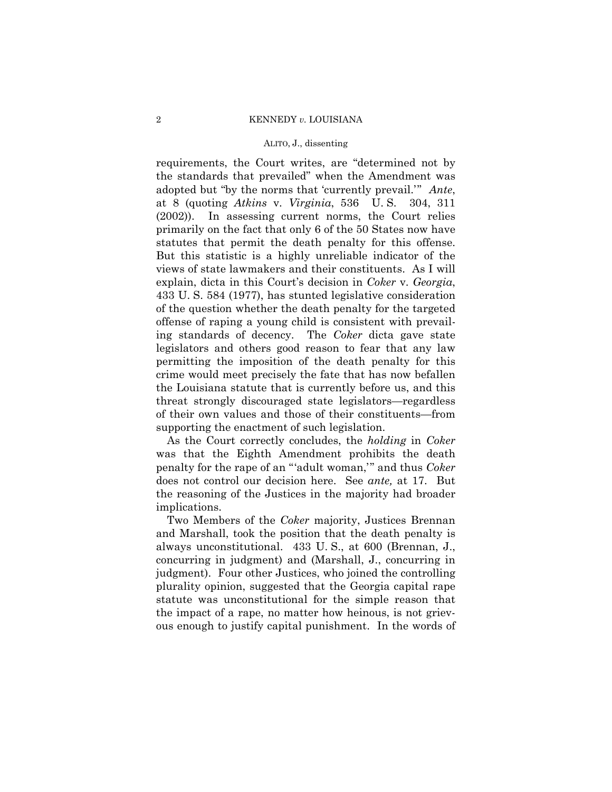requirements, the Court writes, are "determined not by the standards that prevailed" when the Amendment was adopted but "by the norms that 'currently prevail.'" *Ante*, at 8 (quoting *Atkins* v. *Virginia*, 536 U. S. 304, 311 (2002)). In assessing current norms, the Court relies primarily on the fact that only 6 of the 50 States now have statutes that permit the death penalty for this offense. But this statistic is a highly unreliable indicator of the views of state lawmakers and their constituents. As I will explain, dicta in this Court's decision in *Coker* v. *Georgia*, 433 U. S. 584 (1977), has stunted legislative consideration of the question whether the death penalty for the targeted offense of raping a young child is consistent with prevailing standards of decency. The *Coker* dicta gave state legislators and others good reason to fear that any law permitting the imposition of the death penalty for this crime would meet precisely the fate that has now befallen the Louisiana statute that is currently before us, and this threat strongly discouraged state legislators—regardless of their own values and those of their constituents—from supporting the enactment of such legislation.

 As the Court correctly concludes, the *holding* in *Coker* was that the Eighth Amendment prohibits the death penalty for the rape of an "'adult woman,'" and thus *Coker* does not control our decision here. See *ante,* at 17. But the reasoning of the Justices in the majority had broader implications.

 Two Members of the *Coker* majority, Justices Brennan and Marshall, took the position that the death penalty is always unconstitutional. 433 U. S., at 600 (Brennan, J., concurring in judgment) and (Marshall, J., concurring in judgment). Four other Justices, who joined the controlling plurality opinion, suggested that the Georgia capital rape statute was unconstitutional for the simple reason that the impact of a rape, no matter how heinous, is not grievous enough to justify capital punishment. In the words of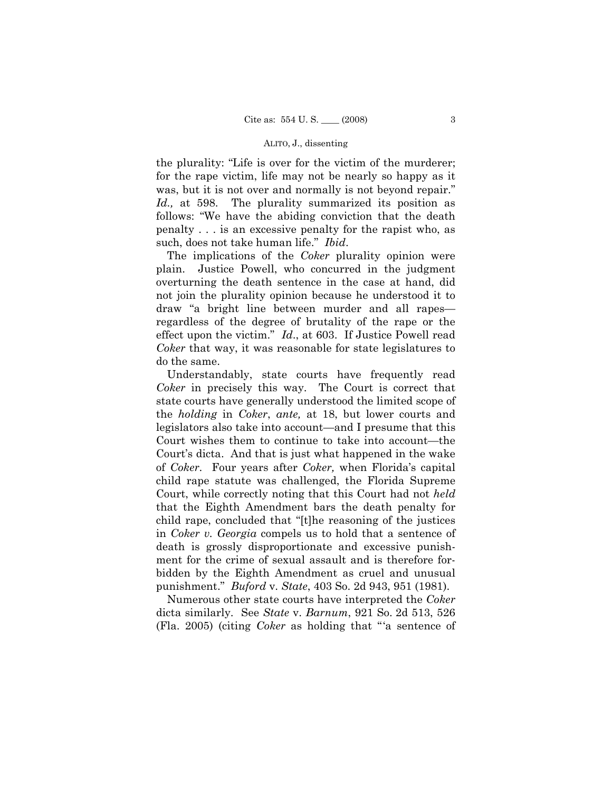the plurality: "Life is over for the victim of the murderer; for the rape victim, life may not be nearly so happy as it was, but it is not over and normally is not beyond repair." *Id.,* at 598. The plurality summarized its position as follows: "We have the abiding conviction that the death penalty . . . is an excessive penalty for the rapist who, as such, does not take human life." *Ibid*.

 The implications of the *Coker* plurality opinion were plain. Justice Powell, who concurred in the judgment overturning the death sentence in the case at hand, did not join the plurality opinion because he understood it to draw "a bright line between murder and all rapes regardless of the degree of brutality of the rape or the effect upon the victim." *Id*., at 603. If Justice Powell read *Coker* that way, it was reasonable for state legislatures to do the same.

 Understandably, state courts have frequently read *Coker* in precisely this way. The Court is correct that state courts have generally understood the limited scope of the *holding* in *Coker*, *ante,* at 18, but lower courts and legislators also take into account—and I presume that this Court wishes them to continue to take into account—the Court's dicta. And that is just what happened in the wake of *Coker*. Four years after *Coker,* when Florida's capital child rape statute was challenged, the Florida Supreme Court, while correctly noting that this Court had not *held* that the Eighth Amendment bars the death penalty for child rape, concluded that "[t]he reasoning of the justices in *Coker v. Georgia* compels us to hold that a sentence of death is grossly disproportionate and excessive punishment for the crime of sexual assault and is therefore forbidden by the Eighth Amendment as cruel and unusual punishment." *Buford* v. *State*, 403 So. 2d 943, 951 (1981).

 Numerous other state courts have interpreted the *Coker* dicta similarly. See *State* v. *Barnum*, 921 So. 2d 513, 526 (Fla. 2005) (citing *Coker* as holding that "'a sentence of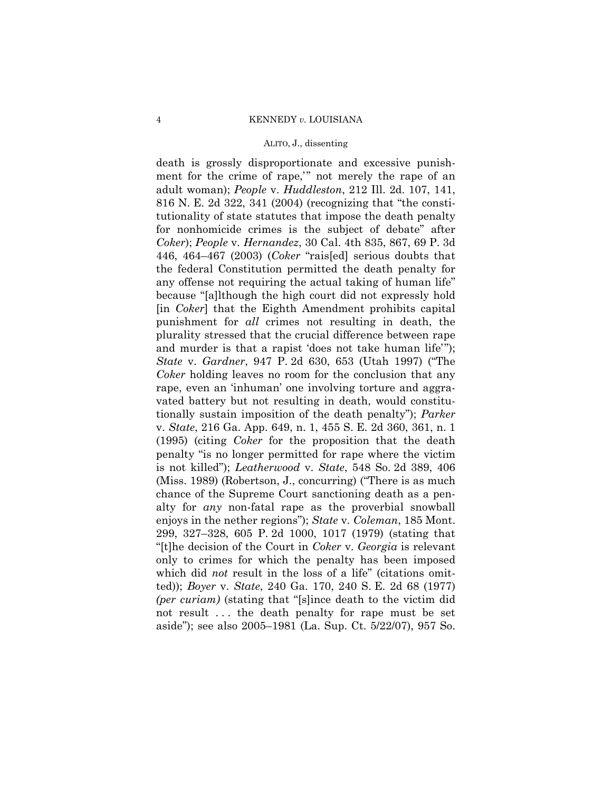death is grossly disproportionate and excessive punishment for the crime of rape,'" not merely the rape of an adult woman); *People* v. *Huddleston*, 212 Ill. 2d. 107, 141, 816 N. E. 2d 322, 341 (2004) (recognizing that "the constitutionality of state statutes that impose the death penalty for nonhomicide crimes is the subject of debate" after *Coker*); *People* v. *Hernandez*, 30 Cal. 4th 835, 867, 69 P. 3d 446, 464–467 (2003) (*Coker* "rais[ed] serious doubts that the federal Constitution permitted the death penalty for any offense not requiring the actual taking of human life" because "[a]lthough the high court did not expressly hold [in *Coker*] that the Eighth Amendment prohibits capital punishment for *all* crimes not resulting in death, the plurality stressed that the crucial difference between rape and murder is that a rapist 'does not take human life'"); *State* v. *Gardner*, 947 P. 2d 630, 653 (Utah 1997) ("The *Coker* holding leaves no room for the conclusion that any rape, even an 'inhuman' one involving torture and aggravated battery but not resulting in death, would constitutionally sustain imposition of the death penalty"); *Parker*  v. *State*, 216 Ga. App. 649, n. 1, 455 S. E. 2d 360, 361, n. 1 (1995) (citing *Coker* for the proposition that the death penalty "is no longer permitted for rape where the victim is not killed"); *Leatherwood* v. *State*, 548 So. 2d 389, 406 (Miss. 1989) (Robertson, J., concurring) ("There is as much chance of the Supreme Court sanctioning death as a penalty for *any* non-fatal rape as the proverbial snowball enjoys in the nether regions"); *State* v. *Coleman*, 185 Mont. 299, 327–328, 605 P. 2d 1000, 1017 (1979) (stating that "[t]he decision of the Court in *Coker* v. *Georgia* is relevant only to crimes for which the penalty has been imposed which did *not* result in the loss of a life" (citations omitted)); *Boyer* v. *State*, 240 Ga. 170, 240 S. E. 2d 68 (1977) *(per curiam)* (stating that "[s]ince death to the victim did not result . . . the death penalty for rape must be set aside"); see also 2005–1981 (La. Sup. Ct. 5/22/07), 957 So.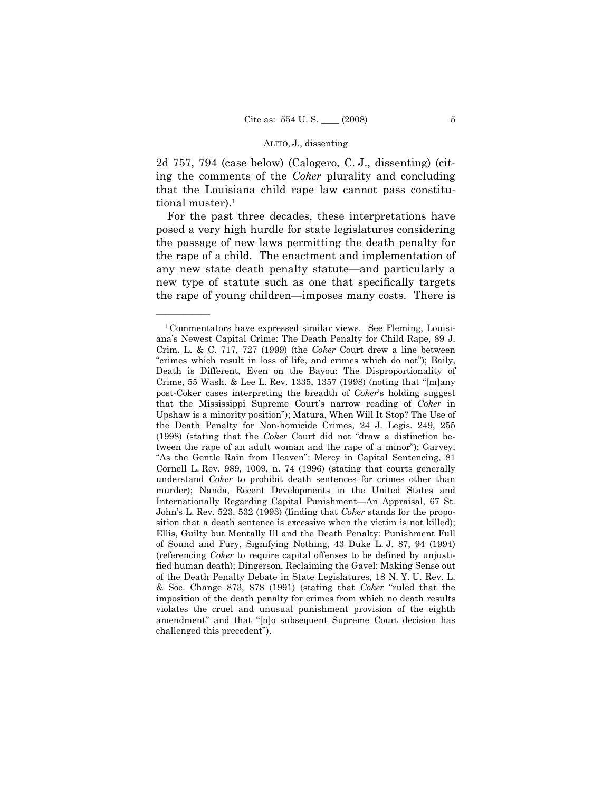2d 757, 794 (case below) (Calogero, C. J., dissenting) (citing the comments of the *Coker* plurality and concluding that the Louisiana child rape law cannot pass constitutional muster).<sup>1</sup>

 For the past three decades, these interpretations have posed a very high hurdle for state legislatures considering the passage of new laws permitting the death penalty for the rape of a child. The enactment and implementation of any new state death penalty statute—and particularly a new type of statute such as one that specifically targets the rape of young children—imposes many costs. There is

<sup>1</sup>Commentators have expressed similar views. See Fleming, Louisiana's Newest Capital Crime: The Death Penalty for Child Rape, 89 J. Crim. L. & C. 717, 727 (1999) (the *Coker* Court drew a line between "crimes which result in loss of life, and crimes which do not"); Baily, Death is Different, Even on the Bayou: The Disproportionality of Crime, 55 Wash. & Lee L. Rev. 1335, 1357 (1998) (noting that "[m]any post-Coker cases interpreting the breadth of *Coker*'s holding suggest that the Mississippi Supreme Court's narrow reading of *Coker* in Upshaw is a minority position"); Matura, When Will It Stop? The Use of the Death Penalty for Non-homicide Crimes, 24 J. Legis. 249, 255 (1998) (stating that the *Coker* Court did not "draw a distinction between the rape of an adult woman and the rape of a minor"); Garvey, "As the Gentle Rain from Heaven": Mercy in Capital Sentencing, 81 Cornell L. Rev. 989, 1009, n. 74 (1996) (stating that courts generally understand *Coker* to prohibit death sentences for crimes other than murder); Nanda, Recent Developments in the United States and Internationally Regarding Capital Punishment—An Appraisal, 67 St. John's L. Rev. 523, 532 (1993) (finding that *Coker* stands for the proposition that a death sentence is excessive when the victim is not killed); Ellis, Guilty but Mentally Ill and the Death Penalty: Punishment Full of Sound and Fury, Signifying Nothing, 43 Duke L. J. 87, 94 (1994) (referencing *Coker* to require capital offenses to be defined by unjustified human death); Dingerson, Reclaiming the Gavel: Making Sense out of the Death Penalty Debate in State Legislatures, 18 N. Y. U. Rev. L. & Soc. Change 873, 878 (1991) (stating that *Coker* "ruled that the imposition of the death penalty for crimes from which no death results violates the cruel and unusual punishment provision of the eighth amendment" and that "[n]o subsequent Supreme Court decision has challenged this precedent").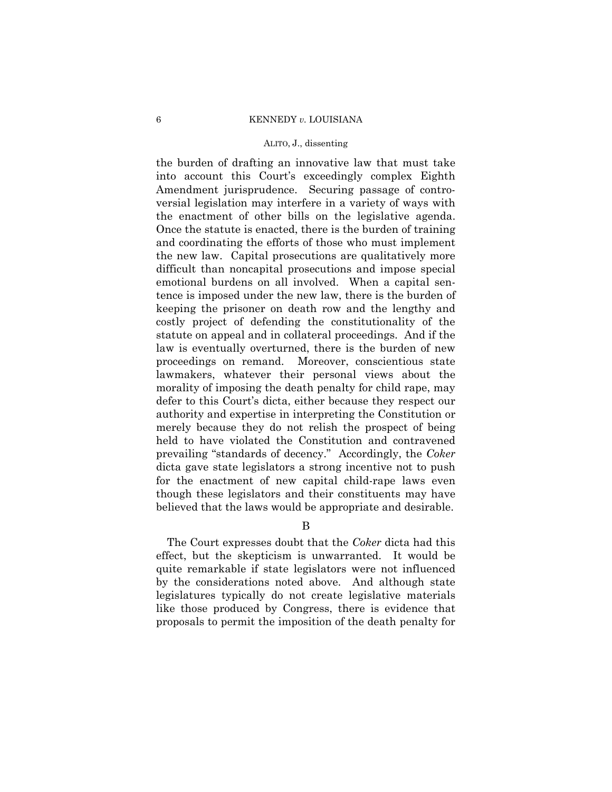the burden of drafting an innovative law that must take into account this Court's exceedingly complex Eighth Amendment jurisprudence. Securing passage of controversial legislation may interfere in a variety of ways with the enactment of other bills on the legislative agenda. Once the statute is enacted, there is the burden of training and coordinating the efforts of those who must implement the new law. Capital prosecutions are qualitatively more difficult than noncapital prosecutions and impose special emotional burdens on all involved. When a capital sentence is imposed under the new law, there is the burden of keeping the prisoner on death row and the lengthy and costly project of defending the constitutionality of the statute on appeal and in collateral proceedings. And if the law is eventually overturned, there is the burden of new proceedings on remand. Moreover, conscientious state lawmakers, whatever their personal views about the morality of imposing the death penalty for child rape, may defer to this Court's dicta, either because they respect our authority and expertise in interpreting the Constitution or merely because they do not relish the prospect of being held to have violated the Constitution and contravened prevailing "standards of decency." Accordingly, the *Coker* dicta gave state legislators a strong incentive not to push for the enactment of new capital child-rape laws even though these legislators and their constituents may have believed that the laws would be appropriate and desirable.

## B

 The Court expresses doubt that the *Coker* dicta had this effect, but the skepticism is unwarranted. It would be quite remarkable if state legislators were not influenced by the considerations noted above. And although state legislatures typically do not create legislative materials like those produced by Congress, there is evidence that proposals to permit the imposition of the death penalty for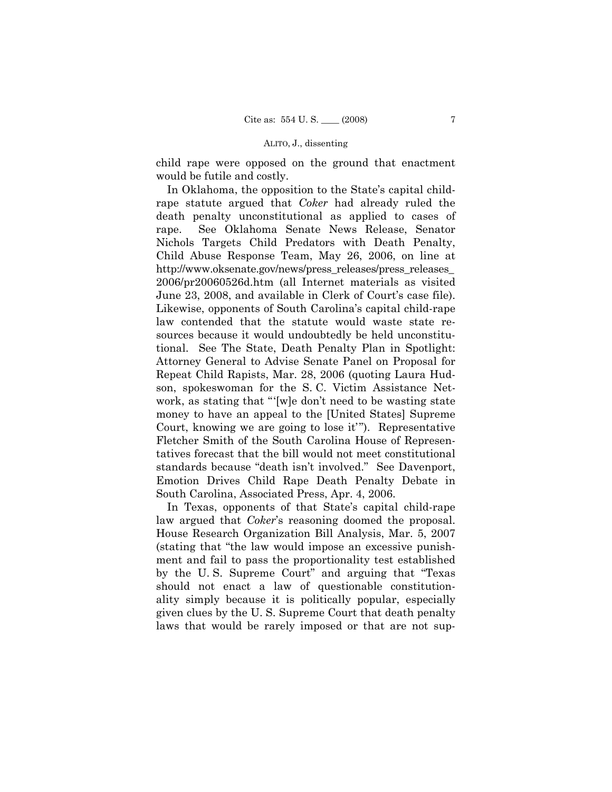child rape were opposed on the ground that enactment would be futile and costly.

 In Oklahoma, the opposition to the State's capital childrape statute argued that *Coker* had already ruled the death penalty unconstitutional as applied to cases of rape. See Oklahoma Senate News Release, Senator Nichols Targets Child Predators with Death Penalty, Child Abuse Response Team, May 26, 2006, on line at http://www.oksenate.gov/news/press\_releases/press\_releases\_ 2006/pr20060526d.htm (all Internet materials as visited June 23, 2008, and available in Clerk of Court's case file). Likewise, opponents of South Carolina's capital child-rape law contended that the statute would waste state resources because it would undoubtedly be held unconstitutional. See The State, Death Penalty Plan in Spotlight: Attorney General to Advise Senate Panel on Proposal for Repeat Child Rapists, Mar. 28, 2006 (quoting Laura Hudson, spokeswoman for the S. C. Victim Assistance Network, as stating that "'[w]e don't need to be wasting state money to have an appeal to the [United States] Supreme Court, knowing we are going to lose it'"). Representative Fletcher Smith of the South Carolina House of Representatives forecast that the bill would not meet constitutional standards because "death isn't involved." See Davenport, Emotion Drives Child Rape Death Penalty Debate in South Carolina, Associated Press, Apr. 4, 2006.

 In Texas, opponents of that State's capital child-rape law argued that *Coker*'s reasoning doomed the proposal. House Research Organization Bill Analysis, Mar. 5, 2007 (stating that "the law would impose an excessive punishment and fail to pass the proportionality test established by the U. S. Supreme Court" and arguing that "Texas should not enact a law of questionable constitutionality simply because it is politically popular, especially given clues by the U. S. Supreme Court that death penalty laws that would be rarely imposed or that are not sup-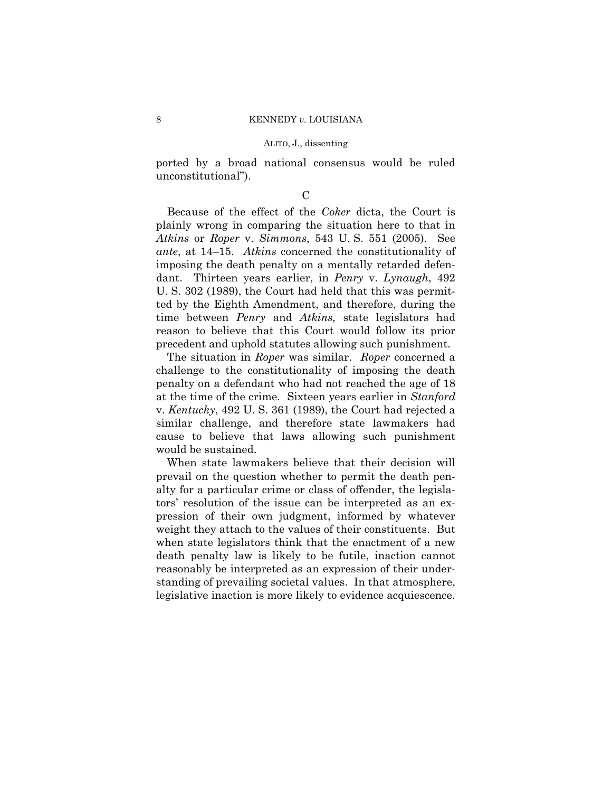ported by a broad national consensus would be ruled unconstitutional").

### C

 Because of the effect of the *Coker* dicta, the Court is plainly wrong in comparing the situation here to that in *Atkins* or *Roper* v. *Simmons*, 543 U. S. 551 (2005). See *ante*, at 14–15. *Atkins* concerned the constitutionality of imposing the death penalty on a mentally retarded defendant. Thirteen years earlier, in *Penry* v. *Lynaugh*, 492 U. S. 302 (1989), the Court had held that this was permitted by the Eighth Amendment, and therefore, during the time between *Penry* and *Atkins,* state legislators had reason to believe that this Court would follow its prior precedent and uphold statutes allowing such punishment.

 The situation in *Roper* was similar. *Roper* concerned a challenge to the constitutionality of imposing the death penalty on a defendant who had not reached the age of 18 at the time of the crime. Sixteen years earlier in *Stanford* v. *Kentucky*, 492 U. S. 361 (1989), the Court had rejected a similar challenge, and therefore state lawmakers had cause to believe that laws allowing such punishment would be sustained.

 When state lawmakers believe that their decision will prevail on the question whether to permit the death penalty for a particular crime or class of offender, the legislators' resolution of the issue can be interpreted as an expression of their own judgment, informed by whatever weight they attach to the values of their constituents. But when state legislators think that the enactment of a new death penalty law is likely to be futile, inaction cannot reasonably be interpreted as an expression of their understanding of prevailing societal values. In that atmosphere, legislative inaction is more likely to evidence acquiescence.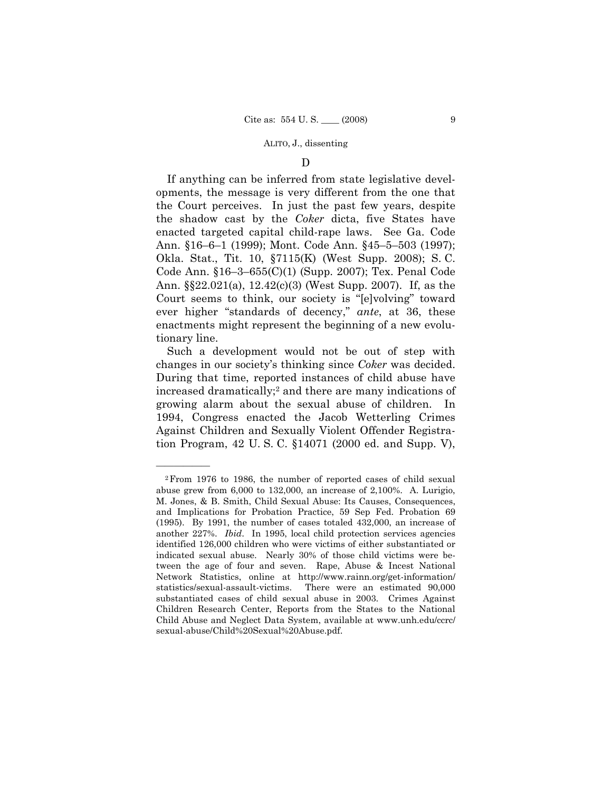### D

 If anything can be inferred from state legislative developments, the message is very different from the one that the Court perceives. In just the past few years, despite the shadow cast by the *Coker* dicta, five States have enacted targeted capital child-rape laws. See Ga. Code Ann. §16–6–1 (1999); Mont. Code Ann. §45–5–503 (1997); Okla. Stat., Tit. 10, §7115(K) (West Supp. 2008); S. C. Code Ann. §16–3–655(C)(1) (Supp. 2007); Tex. Penal Code Ann. §§22.021(a), 12.42(c)(3) (West Supp. 2007). If, as the Court seems to think, our society is "[e]volving" toward ever higher "standards of decency," *ante*, at 36, these enactments might represent the beginning of a new evolutionary line.

 Such a development would not be out of step with changes in our society's thinking since *Coker* was decided. During that time, reported instances of child abuse have increased dramatically;2 and there are many indications of growing alarm about the sexual abuse of children. In 1994, Congress enacted the Jacob Wetterling Crimes Against Children and Sexually Violent Offender Registration Program, 42 U. S. C. §14071 (2000 ed. and Supp. V),

<sup>2</sup>From 1976 to 1986, the number of reported cases of child sexual abuse grew from 6,000 to 132,000, an increase of 2,100%. A. Lurigio, M. Jones, & B. Smith, Child Sexual Abuse: Its Causes, Consequences, and Implications for Probation Practice, 59 Sep Fed. Probation 69 (1995). By 1991, the number of cases totaled 432,000, an increase of another 227%. *Ibid*. In 1995, local child protection services agencies identified 126,000 children who were victims of either substantiated or indicated sexual abuse. Nearly 30% of those child victims were between the age of four and seven. Rape, Abuse & Incest National Network Statistics, online at http://www.rainn.org/get-information/ statistics/sexual-assault-victims. There were an estimated 90,000 substantiated cases of child sexual abuse in 2003. Crimes Against Children Research Center, Reports from the States to the National Child Abuse and Neglect Data System, available at www.unh.edu/ccrc/ sexual-abuse/Child%20Sexual%20Abuse.pdf.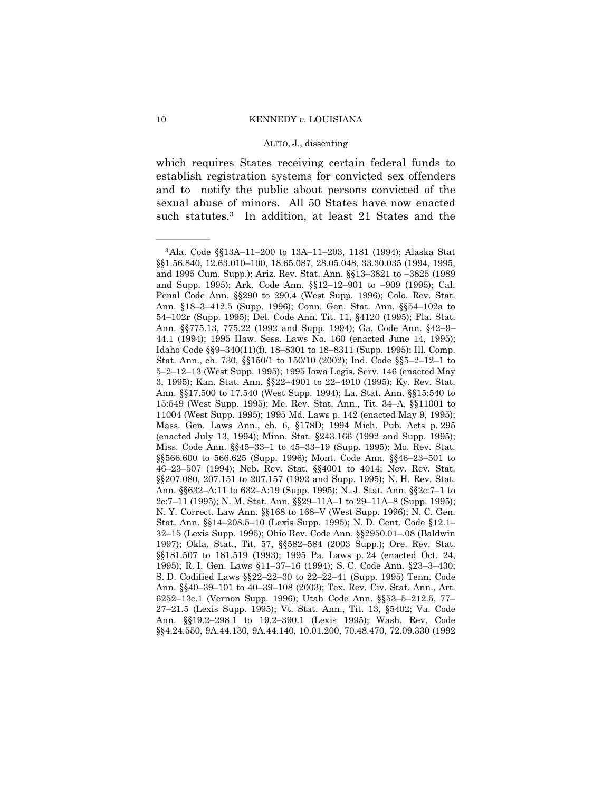which requires States receiving certain federal funds to establish registration systems for convicted sex offenders and to notify the public about persons convicted of the sexual abuse of minors. All 50 States have now enacted such statutes.3 In addition, at least 21 States and the

<sup>3</sup>Ala. Code §§13A–11–200 to 13A–11–203, 1181 (1994); Alaska Stat §§1.56.840, 12.63.010–100, 18.65.087, 28.05.048, 33.30.035 (1994, 1995, and 1995 Cum. Supp.); Ariz. Rev. Stat. Ann. §§13–3821 to –3825 (1989 and Supp. 1995); Ark. Code Ann. §§12–12–901 to –909 (1995); Cal. Penal Code Ann. §§290 to 290.4 (West Supp. 1996); Colo. Rev. Stat. Ann. §18–3–412.5 (Supp. 1996); Conn. Gen. Stat. Ann. §§54–102a to 54–102r (Supp. 1995); Del. Code Ann. Tit. 11, §4120 (1995); Fla. Stat. Ann. §§775.13, 775.22 (1992 and Supp. 1994); Ga. Code Ann. §42–9– 44.1 (1994); 1995 Haw. Sess. Laws No. 160 (enacted June 14, 1995); Idaho Code §§9–340(11)(f), 18–8301 to 18–8311 (Supp. 1995); Ill. Comp. Stat. Ann., ch. 730, §§150/1 to 150/10 (2002); Ind. Code §§5–2–12–1 to 5–2–12–13 (West Supp. 1995); 1995 Iowa Legis. Serv. 146 (enacted May 3, 1995); Kan. Stat. Ann. §§22–4901 to 22–4910 (1995); Ky. Rev. Stat. Ann. §§17.500 to 17.540 (West Supp. 1994); La. Stat. Ann. §§15:540 to 15:549 (West Supp. 1995); Me. Rev. Stat. Ann., Tit. 34–A, §§11001 to 11004 (West Supp. 1995); 1995 Md. Laws p. 142 (enacted May 9, 1995); Mass. Gen. Laws Ann., ch. 6, §178D; 1994 Mich. Pub. Acts p. 295 (enacted July 13, 1994); Minn. Stat. §243.166 (1992 and Supp. 1995); Miss. Code Ann. §§45–33–1 to 45–33–19 (Supp. 1995); Mo. Rev. Stat. §§566.600 to 566.625 (Supp. 1996); Mont. Code Ann. §§46–23–501 to 46–23–507 (1994); Neb. Rev. Stat. §§4001 to 4014; Nev. Rev. Stat. §§207.080, 207.151 to 207.157 (1992 and Supp. 1995); N. H. Rev. Stat. Ann. §§632–A:11 to 632–A:19 (Supp. 1995); N. J. Stat. Ann. §§2c:7–1 to 2c:7–11 (1995); N. M. Stat. Ann. §§29–11A–1 to 29–11A–8 (Supp. 1995); N. Y. Correct. Law Ann. §§168 to 168–V (West Supp. 1996); N. C. Gen. Stat. Ann. §§14–208.5–10 (Lexis Supp. 1995); N. D. Cent. Code §12.1– 32–15 (Lexis Supp. 1995); Ohio Rev. Code Ann. §§2950.01–.08 (Baldwin 1997); Okla. Stat., Tit. 57, §§582–584 (2003 Supp.); Ore. Rev. Stat. §§181.507 to 181.519 (1993); 1995 Pa. Laws p. 24 (enacted Oct. 24, 1995); R. I. Gen. Laws §11–37–16 (1994); S. C. Code Ann. §23–3–430; S. D. Codified Laws §§22–22–30 to 22–22–41 (Supp. 1995) Tenn. Code Ann. §§40–39–101 to 40–39–108 (2003); Tex. Rev. Civ. Stat. Ann., Art. 6252–13c.1 (Vernon Supp. 1996); Utah Code Ann. §§53–5–212.5, 77– 27–21.5 (Lexis Supp. 1995); Vt. Stat. Ann., Tit. 13, §5402; Va. Code Ann. §§19.2–298.1 to 19.2–390.1 (Lexis 1995); Wash. Rev. Code §§4.24.550, 9A.44.130, 9A.44.140, 10.01.200, 70.48.470, 72.09.330 (1992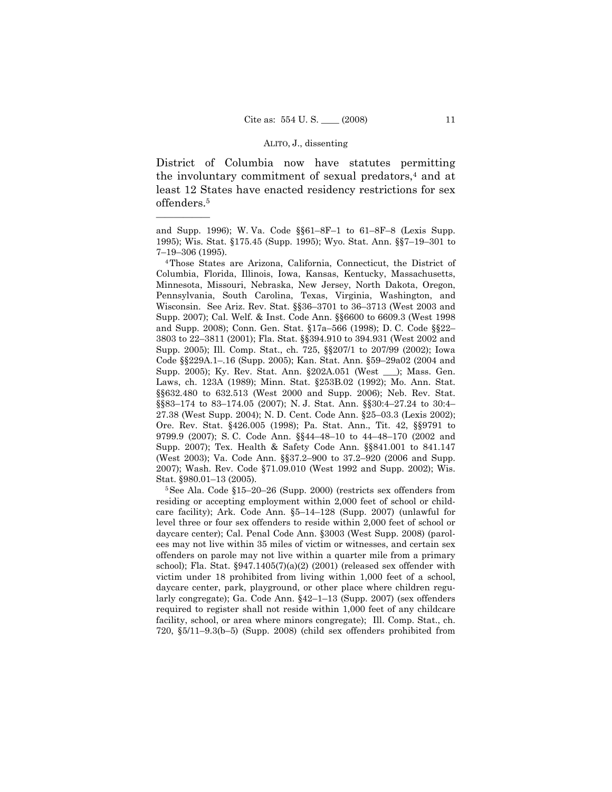District of Columbia now have statutes permitting the involuntary commitment of sexual predators,<sup>4</sup> and at least 12 States have enacted residency restrictions for sex offenders.5

——————

Columbia, Florida, Illinois, Iowa, Kansas, Kentucky, Massachusetts, Minnesota, Missouri, Nebraska, New Jersey, North Dakota, Oregon, Pennsylvania, South Carolina, Texas, Virginia, Washington, and Wisconsin. See Ariz. Rev. Stat. §§36–3701 to 36–3713 (West 2003 and Supp. 2007); Cal. Welf. & Inst. Code Ann. §§6600 to 6609.3 (West 1998 and Supp. 2008); Conn. Gen. Stat. §17a–566 (1998); D. C. Code §§22– 3803 to 22–3811 (2001); Fla. Stat. §§394.910 to 394.931 (West 2002 and Supp. 2005); Ill. Comp. Stat., ch. 725, §§207/1 to 207/99 (2002); Iowa Code §§229A.1–.16 (Supp. 2005); Kan. Stat. Ann. §59–29a02 (2004 and Supp. 2005); Ky. Rev. Stat. Ann. §202A.051 (West \_\_\_); Mass. Gen. Laws, ch. 123A (1989); Minn. Stat. §253B.02 (1992); Mo. Ann. Stat. §§632.480 to 632.513 (West 2000 and Supp. 2006); Neb. Rev. Stat. §§83–174 to 83–174.05 (2007); N. J. Stat. Ann. §§30:4–27.24 to 30:4– 27.38 (West Supp. 2004); N. D. Cent. Code Ann. §25–03.3 (Lexis 2002); Ore. Rev. Stat. §426.005 (1998); Pa. Stat. Ann., Tit. 42, §§9791 to 9799.9 (2007); S. C. Code Ann. §§44–48–10 to 44–48–170 (2002 and Supp. 2007); Tex. Health & Safety Code Ann. §§841.001 to 841.147 (West 2003); Va. Code Ann. §§37.2–900 to 37.2–920 (2006 and Supp. 2007); Wash. Rev. Code §71.09.010 (West 1992 and Supp. 2002); Wis.

Stat. §980.01–13 (2005). 5See Ala. Code §15–20–26 (Supp. 2000) (restricts sex offenders from residing or accepting employment within 2,000 feet of school or childcare facility); Ark. Code Ann. §5–14–128 (Supp. 2007) (unlawful for level three or four sex offenders to reside within 2,000 feet of school or daycare center); Cal. Penal Code Ann. §3003 (West Supp. 2008) (parolees may not live within 35 miles of victim or witnesses, and certain sex offenders on parole may not live within a quarter mile from a primary school); Fla. Stat.  $\S 947.1405(7)(a)(2)$  (2001) (released sex offender with victim under 18 prohibited from living within 1,000 feet of a school, daycare center, park, playground, or other place where children regularly congregate); Ga. Code Ann. §42–1–13 (Supp. 2007) (sex offenders required to register shall not reside within 1,000 feet of any childcare facility, school, or area where minors congregate); Ill. Comp. Stat., ch. 720, §5/11–9.3(b–5) (Supp. 2008) (child sex offenders prohibited from

and Supp. 1996); W. Va. Code §§61–8F–1 to 61–8F–8 (Lexis Supp. 1995); Wis. Stat. §175.45 (Supp. 1995); Wyo. Stat. Ann. §§7–19–301 to 7–19–306 (1995). 4Those States are Arizona, California, Connecticut, the District of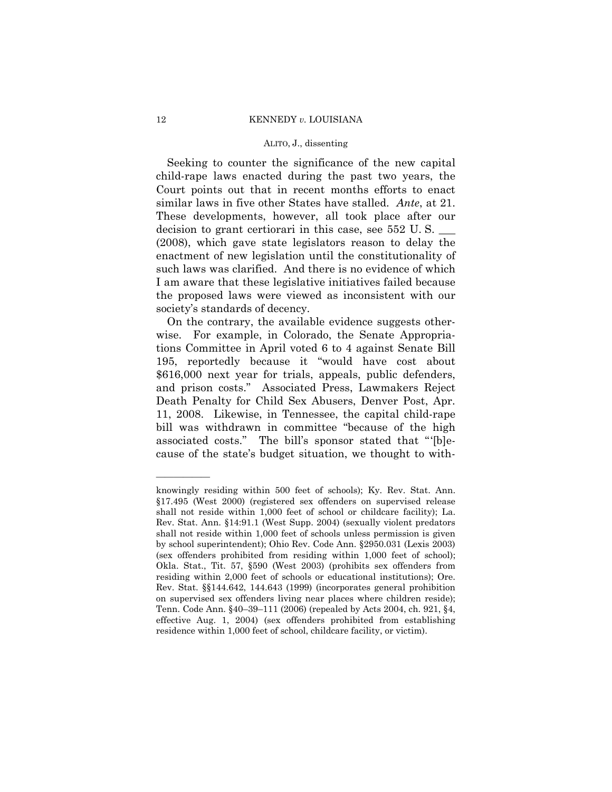Seeking to counter the significance of the new capital child-rape laws enacted during the past two years, the Court points out that in recent months efforts to enact similar laws in five other States have stalled. *Ante*, at 21. These developments, however, all took place after our decision to grant certiorari in this case, see 552 U.S. (2008), which gave state legislators reason to delay the enactment of new legislation until the constitutionality of such laws was clarified. And there is no evidence of which I am aware that these legislative initiatives failed because the proposed laws were viewed as inconsistent with our society's standards of decency.

 On the contrary, the available evidence suggests otherwise. For example, in Colorado, the Senate Appropriations Committee in April voted 6 to 4 against Senate Bill 195, reportedly because it "would have cost about \$616,000 next year for trials, appeals, public defenders, and prison costs." Associated Press, Lawmakers Reject Death Penalty for Child Sex Abusers, Denver Post, Apr. 11, 2008. Likewise, in Tennessee, the capital child-rape bill was withdrawn in committee "because of the high associated costs." The bill's sponsor stated that "'[b]ecause of the state's budget situation, we thought to with-

knowingly residing within 500 feet of schools); Ky. Rev. Stat. Ann. §17.495 (West 2000) (registered sex offenders on supervised release shall not reside within 1,000 feet of school or childcare facility); La. Rev. Stat. Ann. §14:91.1 (West Supp. 2004) (sexually violent predators shall not reside within 1,000 feet of schools unless permission is given by school superintendent); Ohio Rev. Code Ann. §2950.031 (Lexis 2003) (sex offenders prohibited from residing within 1,000 feet of school); Okla. Stat., Tit. 57, §590 (West 2003) (prohibits sex offenders from residing within 2,000 feet of schools or educational institutions); Ore. Rev. Stat. §§144.642, 144.643 (1999) (incorporates general prohibition on supervised sex offenders living near places where children reside); Tenn. Code Ann. §40–39–111 (2006) (repealed by Acts 2004, ch. 921, §4, effective Aug. 1, 2004) (sex offenders prohibited from establishing residence within 1,000 feet of school, childcare facility, or victim).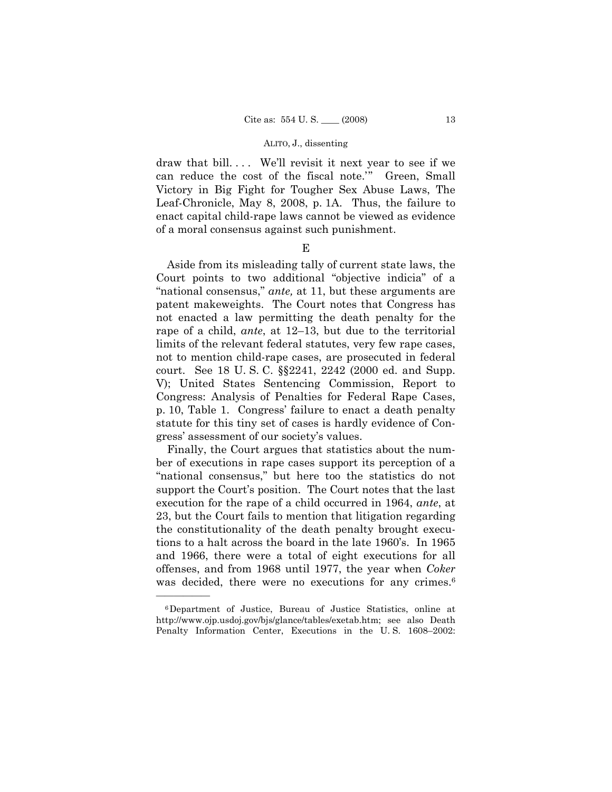draw that bill. . . . We'll revisit it next year to see if we can reduce the cost of the fiscal note.'" Green, Small Victory in Big Fight for Tougher Sex Abuse Laws, The Leaf-Chronicle, May 8, 2008, p. 1A. Thus, the failure to enact capital child-rape laws cannot be viewed as evidence of a moral consensus against such punishment.

### E

 Aside from its misleading tally of current state laws, the Court points to two additional "objective indicia" of a "national consensus," *ante,* at 11, but these arguments are patent makeweights. The Court notes that Congress has not enacted a law permitting the death penalty for the rape of a child, *ante*, at 12–13, but due to the territorial limits of the relevant federal statutes, very few rape cases, not to mention child-rape cases, are prosecuted in federal court. See 18 U. S. C. §§2241, 2242 (2000 ed. and Supp. V); United States Sentencing Commission, Report to Congress: Analysis of Penalties for Federal Rape Cases, p. 10, Table 1. Congress' failure to enact a death penalty statute for this tiny set of cases is hardly evidence of Congress' assessment of our society's values.

 Finally, the Court argues that statistics about the number of executions in rape cases support its perception of a "national consensus," but here too the statistics do not support the Court's position. The Court notes that the last execution for the rape of a child occurred in 1964, *ante*, at 23, but the Court fails to mention that litigation regarding the constitutionality of the death penalty brought executions to a halt across the board in the late 1960's. In 1965 and 1966, there were a total of eight executions for all offenses, and from 1968 until 1977, the year when *Coker* was decided, there were no executions for any crimes.<sup>6</sup>

<sup>6</sup>Department of Justice, Bureau of Justice Statistics, online at http://www.ojp.usdoj.gov/bjs/glance/tables/exetab.htm; see also Death Penalty Information Center, Executions in the U. S. 1608–2002: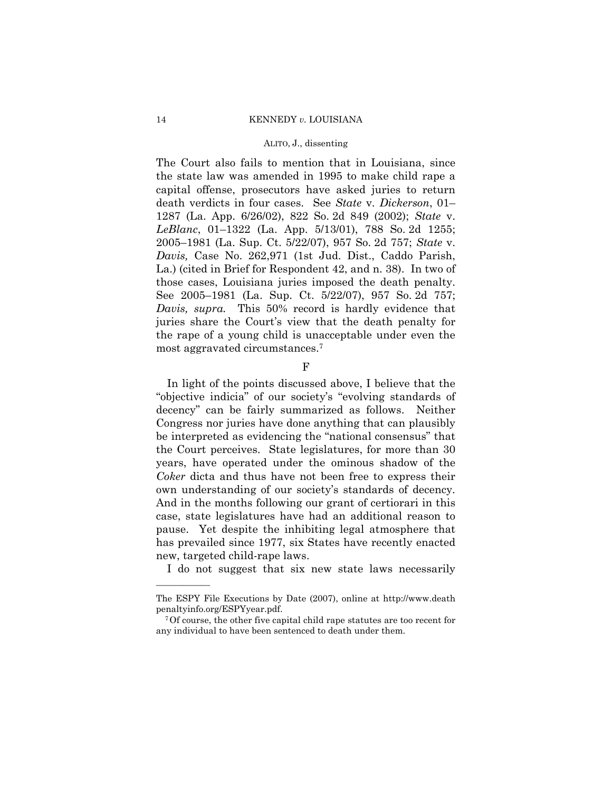The Court also fails to mention that in Louisiana, since the state law was amended in 1995 to make child rape a capital offense, prosecutors have asked juries to return death verdicts in four cases. See *State* v. *Dickerson*, 01– 1287 (La. App. 6/26/02), 822 So. 2d 849 (2002); *State* v. *LeBlanc*, 01–1322 (La. App. 5/13/01), 788 So. 2d 1255; 2005–1981 (La. Sup. Ct. 5/22/07), 957 So. 2d 757; *State* v. *Davis,* Case No. 262,971 (1st Jud. Dist., Caddo Parish, La.) (cited in Brief for Respondent 42, and n. 38). In two of those cases, Louisiana juries imposed the death penalty. See 2005–1981 (La. Sup. Ct. 5/22/07), 957 So. 2d 757; *Davis, supra.* This 50% record is hardly evidence that juries share the Court's view that the death penalty for the rape of a young child is unacceptable under even the most aggravated circumstances.7

F

 In light of the points discussed above, I believe that the "objective indicia" of our society's "evolving standards of decency" can be fairly summarized as follows. Neither Congress nor juries have done anything that can plausibly be interpreted as evidencing the "national consensus" that the Court perceives. State legislatures, for more than 30 years, have operated under the ominous shadow of the *Coker* dicta and thus have not been free to express their own understanding of our society's standards of decency. And in the months following our grant of certiorari in this case, state legislatures have had an additional reason to pause. Yet despite the inhibiting legal atmosphere that has prevailed since 1977, six States have recently enacted new, targeted child-rape laws.

I do not suggest that six new state laws necessarily

The ESPY File Executions by Date (2007), online at http://www.death penaltyinfo.org/ESPYyear.pdf. 7Of course, the other five capital child rape statutes are too recent for

any individual to have been sentenced to death under them.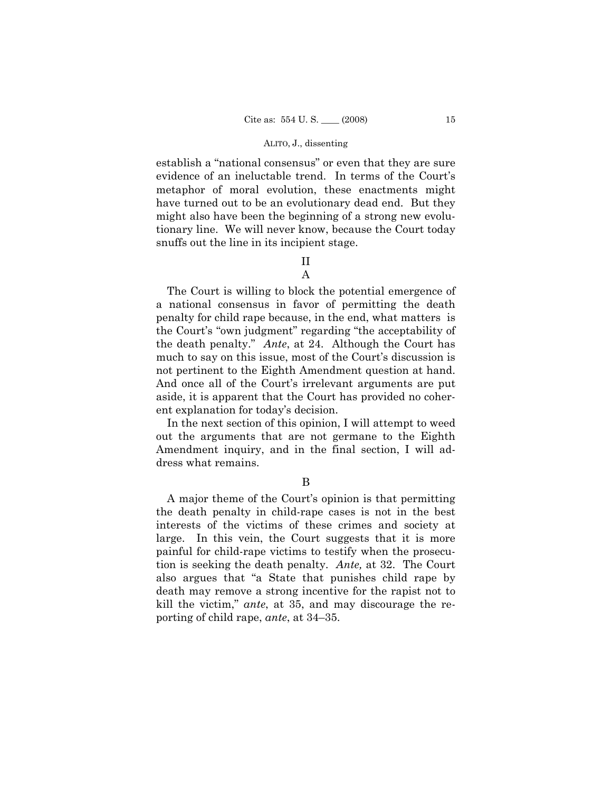establish a "national consensus" or even that they are sure evidence of an ineluctable trend. In terms of the Court's metaphor of moral evolution, these enactments might have turned out to be an evolutionary dead end. But they might also have been the beginning of a strong new evolutionary line. We will never know, because the Court today snuffs out the line in its incipient stage.

## II A

 The Court is willing to block the potential emergence of a national consensus in favor of permitting the death penalty for child rape because, in the end, what matters is the Court's "own judgment" regarding "the acceptability of the death penalty." *Ante*, at 24. Although the Court has much to say on this issue, most of the Court's discussion is not pertinent to the Eighth Amendment question at hand. And once all of the Court's irrelevant arguments are put aside, it is apparent that the Court has provided no coherent explanation for today's decision.

 In the next section of this opinion, I will attempt to weed out the arguments that are not germane to the Eighth Amendment inquiry, and in the final section, I will address what remains.

## B

 A major theme of the Court's opinion is that permitting the death penalty in child-rape cases is not in the best interests of the victims of these crimes and society at large. In this vein, the Court suggests that it is more painful for child-rape victims to testify when the prosecution is seeking the death penalty. *Ante,* at 32. The Court also argues that "a State that punishes child rape by death may remove a strong incentive for the rapist not to kill the victim," *ante*, at 35, and may discourage the reporting of child rape, *ante*, at 34–35.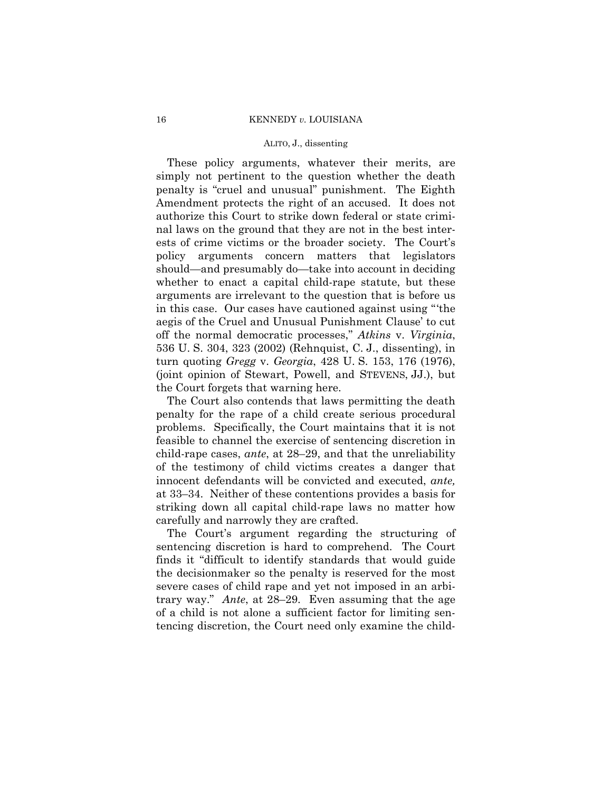These policy arguments, whatever their merits, are simply not pertinent to the question whether the death penalty is "cruel and unusual" punishment. The Eighth Amendment protects the right of an accused. It does not authorize this Court to strike down federal or state criminal laws on the ground that they are not in the best interests of crime victims or the broader society. The Court's policy arguments concern matters that legislators should—and presumably do—take into account in deciding whether to enact a capital child-rape statute, but these arguments are irrelevant to the question that is before us in this case. Our cases have cautioned against using "'the aegis of the Cruel and Unusual Punishment Clause' to cut off the normal democratic processes," *Atkins* v. *Virginia*, 536 U. S. 304, 323 (2002) (Rehnquist, C. J., dissenting), in turn quoting *Gregg* v. *Georgia*, 428 U. S. 153, 176 (1976), (joint opinion of Stewart, Powell, and STEVENS, JJ.), but the Court forgets that warning here.

 The Court also contends that laws permitting the death penalty for the rape of a child create serious procedural problems. Specifically, the Court maintains that it is not feasible to channel the exercise of sentencing discretion in child-rape cases, *ante*, at 28–29, and that the unreliability of the testimony of child victims creates a danger that innocent defendants will be convicted and executed, *ante,*  at 33–34. Neither of these contentions provides a basis for striking down all capital child-rape laws no matter how carefully and narrowly they are crafted.

 The Court's argument regarding the structuring of sentencing discretion is hard to comprehend. The Court finds it "difficult to identify standards that would guide the decisionmaker so the penalty is reserved for the most severe cases of child rape and yet not imposed in an arbitrary way." *Ante*, at 28–29. Even assuming that the age of a child is not alone a sufficient factor for limiting sentencing discretion, the Court need only examine the child-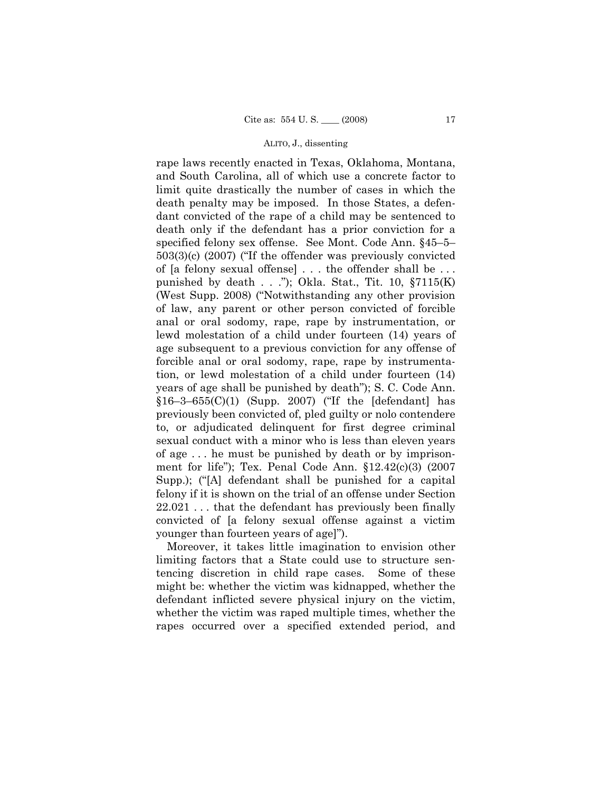rape laws recently enacted in Texas, Oklahoma, Montana, and South Carolina, all of which use a concrete factor to limit quite drastically the number of cases in which the death penalty may be imposed. In those States, a defendant convicted of the rape of a child may be sentenced to death only if the defendant has a prior conviction for a specified felony sex offense. See Mont. Code Ann. §45–5– 503(3)(c) (2007) ("If the offender was previously convicted of [a felony sexual offense] . . . the offender shall be . . . punished by death  $\ldots$  "); Okla. Stat., Tit. 10,  $\S7115(K)$ (West Supp. 2008) ("Notwithstanding any other provision of law, any parent or other person convicted of forcible anal or oral sodomy, rape, rape by instrumentation, or lewd molestation of a child under fourteen (14) years of age subsequent to a previous conviction for any offense of forcible anal or oral sodomy, rape, rape by instrumentation, or lewd molestation of a child under fourteen (14) years of age shall be punished by death"); S. C. Code Ann.  $$16-3-655(C)(1)$  (Supp. 2007) ("If the [defendant] has previously been convicted of, pled guilty or nolo contendere to, or adjudicated delinquent for first degree criminal sexual conduct with a minor who is less than eleven years of age . . . he must be punished by death or by imprisonment for life"); Tex. Penal Code Ann. §12.42(c)(3) (2007 Supp.); ("[A] defendant shall be punished for a capital felony if it is shown on the trial of an offense under Section 22.021 . . . that the defendant has previously been finally convicted of [a felony sexual offense against a victim younger than fourteen years of age]").

 Moreover, it takes little imagination to envision other limiting factors that a State could use to structure sentencing discretion in child rape cases. Some of these might be: whether the victim was kidnapped, whether the defendant inflicted severe physical injury on the victim, whether the victim was raped multiple times, whether the rapes occurred over a specified extended period, and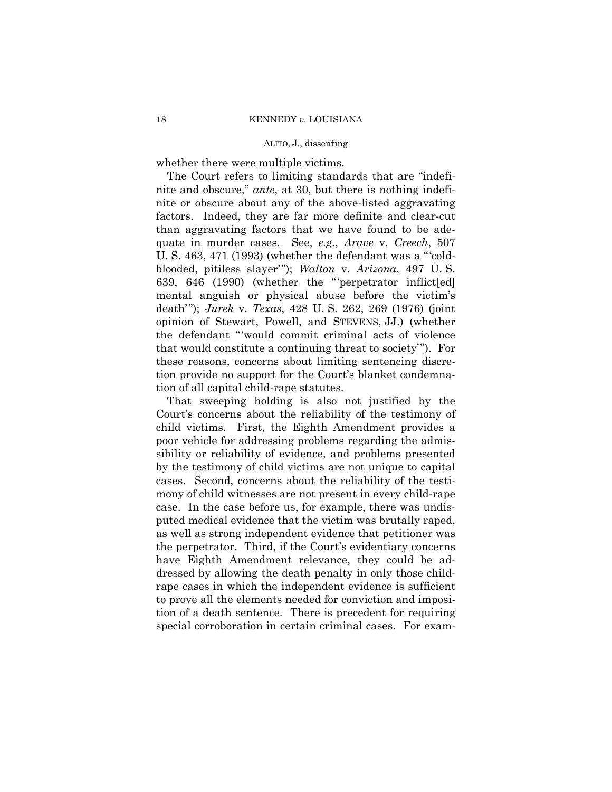whether there were multiple victims.

 The Court refers to limiting standards that are "indefinite and obscure," *ante*, at 30, but there is nothing indefinite or obscure about any of the above-listed aggravating factors. Indeed, they are far more definite and clear-cut than aggravating factors that we have found to be adequate in murder cases. See, *e.g.*, *Arave* v. *Creech*, 507 U. S. 463, 471 (1993) (whether the defendant was a "'coldblooded, pitiless slayer'"); *Walton* v. *Arizona*, 497 U. S. 639, 646 (1990) (whether the "'perpetrator inflict[ed] mental anguish or physical abuse before the victim's death'"); *Jurek* v. *Texas*, 428 U. S. 262, 269 (1976) (joint opinion of Stewart, Powell, and STEVENS, JJ.) (whether the defendant "'would commit criminal acts of violence that would constitute a continuing threat to society'"). For these reasons, concerns about limiting sentencing discretion provide no support for the Court's blanket condemnation of all capital child-rape statutes.

 That sweeping holding is also not justified by the Court's concerns about the reliability of the testimony of child victims. First, the Eighth Amendment provides a poor vehicle for addressing problems regarding the admissibility or reliability of evidence, and problems presented by the testimony of child victims are not unique to capital cases. Second, concerns about the reliability of the testimony of child witnesses are not present in every child-rape case. In the case before us, for example, there was undisputed medical evidence that the victim was brutally raped, as well as strong independent evidence that petitioner was the perpetrator. Third, if the Court's evidentiary concerns have Eighth Amendment relevance, they could be addressed by allowing the death penalty in only those childrape cases in which the independent evidence is sufficient to prove all the elements needed for conviction and imposition of a death sentence. There is precedent for requiring special corroboration in certain criminal cases. For exam-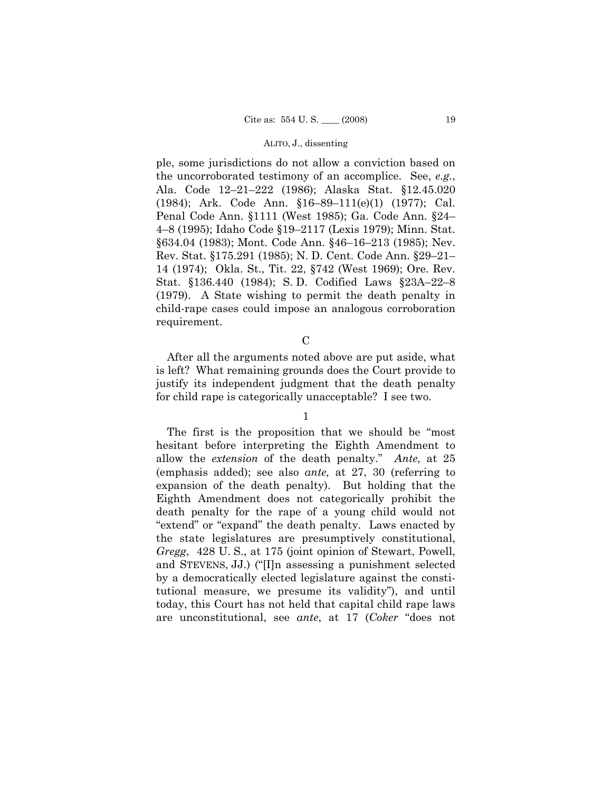ple, some jurisdictions do not allow a conviction based on the uncorroborated testimony of an accomplice. See, *e.g.*, Ala. Code 12–21–222 (1986); Alaska Stat. §12.45.020 (1984); Ark. Code Ann. §16–89–111(e)(1) (1977); Cal. Penal Code Ann. §1111 (West 1985); Ga. Code Ann. §24– 4–8 (1995); Idaho Code §19–2117 (Lexis 1979); Minn. Stat. §634.04 (1983); Mont. Code Ann. §46–16–213 (1985); Nev. Rev. Stat. §175.291 (1985); N. D. Cent. Code Ann. §29–21– 14 (1974); Okla. St., Tit. 22, §742 (West 1969); Ore. Rev. Stat. §136.440 (1984); S. D. Codified Laws §23A–22–8 (1979). A State wishing to permit the death penalty in child-rape cases could impose an analogous corroboration requirement.

## C

 After all the arguments noted above are put aside, what is left? What remaining grounds does the Court provide to justify its independent judgment that the death penalty for child rape is categorically unacceptable? I see two.

#### 1

The first is the proposition that we should be "most hesitant before interpreting the Eighth Amendment to allow the *extension* of the death penalty." *Ante,* at 25 (emphasis added); see also *ante,* at 27, 30 (referring to expansion of the death penalty). But holding that the Eighth Amendment does not categorically prohibit the death penalty for the rape of a young child would not "extend" or "expand" the death penalty. Laws enacted by the state legislatures are presumptively constitutional, *Gregg*, 428 U. S., at 175 (joint opinion of Stewart, Powell, and STEVENS, JJ.) ("[I]n assessing a punishment selected by a democratically elected legislature against the constitutional measure, we presume its validity"), and until today, this Court has not held that capital child rape laws are unconstitutional, see *ante*, at 17 (*Coker* "does not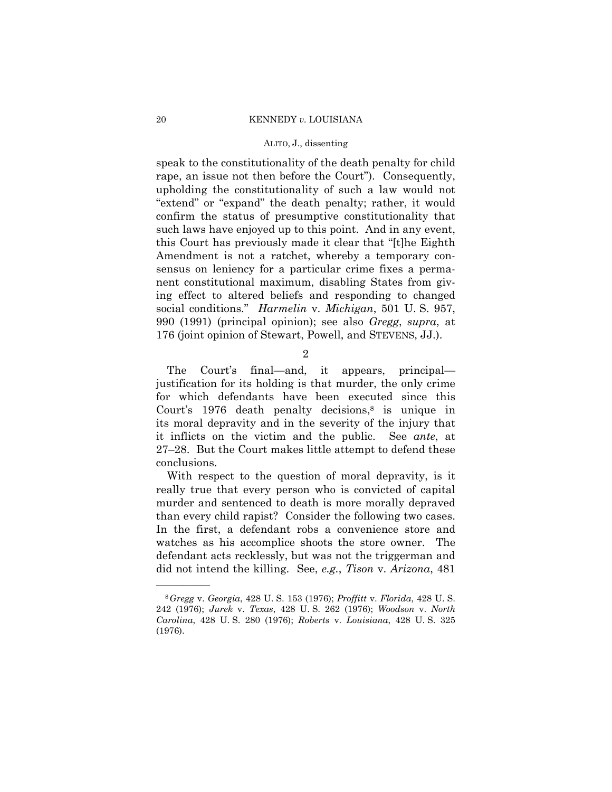speak to the constitutionality of the death penalty for child rape, an issue not then before the Court"). Consequently, upholding the constitutionality of such a law would not "extend" or "expand" the death penalty; rather, it would confirm the status of presumptive constitutionality that such laws have enjoyed up to this point. And in any event, this Court has previously made it clear that "[t]he Eighth Amendment is not a ratchet, whereby a temporary consensus on leniency for a particular crime fixes a permanent constitutional maximum, disabling States from giving effect to altered beliefs and responding to changed social conditions." *Harmelin* v. *Michigan*, 501 U. S. 957, 990 (1991) (principal opinion); see also *Gregg*, *supra*, at 176 (joint opinion of Stewart, Powell, and STEVENS, JJ.).

 $\mathfrak{D}$ 

 The Court's final—and, it appears, principal justification for its holding is that murder, the only crime for which defendants have been executed since this Court's  $1976$  death penalty decisions,<sup>8</sup> is unique in its moral depravity and in the severity of the injury that it inflicts on the victim and the public. See *ante*, at 27–28. But the Court makes little attempt to defend these conclusions.

 With respect to the question of moral depravity, is it really true that every person who is convicted of capital murder and sentenced to death is more morally depraved than every child rapist? Consider the following two cases. In the first, a defendant robs a convenience store and watches as his accomplice shoots the store owner. The defendant acts recklessly, but was not the triggerman and did not intend the killing. See, *e.g.*, *Tison* v. *Arizona*, 481

<sup>8</sup>*Gregg* v. *Georgia*, 428 U. S. 153 (1976); *Proffitt* v. *Florida*, 428 U. S. 242 (1976); *Jurek* v. *Texas*, 428 U. S. 262 (1976); *Woodson* v. *North Carolina*, 428 U. S. 280 (1976); *Roberts* v. *Louisiana*, 428 U. S. 325 (1976).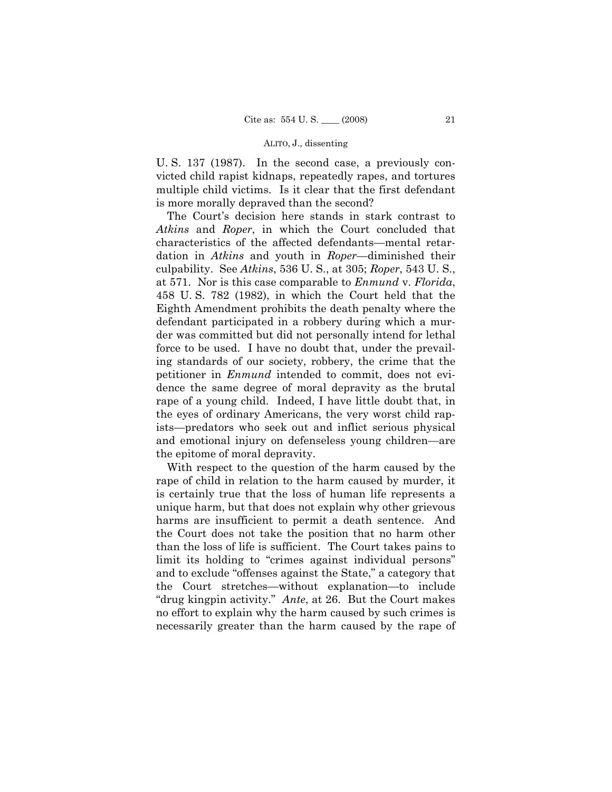U. S. 137 (1987). In the second case, a previously convicted child rapist kidnaps, repeatedly rapes, and tortures multiple child victims. Is it clear that the first defendant is more morally depraved than the second?

 The Court's decision here stands in stark contrast to *Atkins* and *Roper*, in which the Court concluded that characteristics of the affected defendants—mental retardation in *Atkins* and youth in *Roper*—diminished their culpability. See *Atkins*, 536 U. S., at 305; *Roper*, 543 U. S., at 571. Nor is this case comparable to *Enmund* v. *Florida*, 458 U. S. 782 (1982), in which the Court held that the Eighth Amendment prohibits the death penalty where the defendant participated in a robbery during which a murder was committed but did not personally intend for lethal force to be used. I have no doubt that, under the prevailing standards of our society, robbery, the crime that the petitioner in *Enmund* intended to commit, does not evidence the same degree of moral depravity as the brutal rape of a young child. Indeed, I have little doubt that, in the eyes of ordinary Americans, the very worst child rapists—predators who seek out and inflict serious physical and emotional injury on defenseless young children—are the epitome of moral depravity.

 With respect to the question of the harm caused by the rape of child in relation to the harm caused by murder, it is certainly true that the loss of human life represents a unique harm, but that does not explain why other grievous harms are insufficient to permit a death sentence. And the Court does not take the position that no harm other than the loss of life is sufficient. The Court takes pains to limit its holding to "crimes against individual persons" and to exclude "offenses against the State," a category that the Court stretches—without explanation—to include "drug kingpin activity." *Ante*, at 26. But the Court makes no effort to explain why the harm caused by such crimes is necessarily greater than the harm caused by the rape of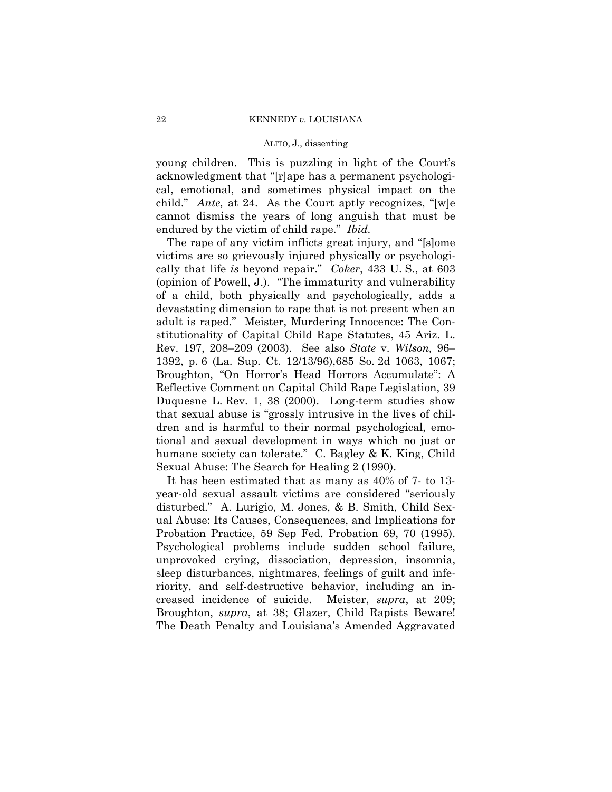young children. This is puzzling in light of the Court's acknowledgment that "[r]ape has a permanent psychological, emotional, and sometimes physical impact on the child." *Ante,* at 24. As the Court aptly recognizes, "[w]e cannot dismiss the years of long anguish that must be endured by the victim of child rape." *Ibid.*

 The rape of any victim inflicts great injury, and "[s]ome victims are so grievously injured physically or psychologically that life *is* beyond repair." *Coker*, 433 U. S., at 603 (opinion of Powell, J.). "The immaturity and vulnerability of a child, both physically and psychologically, adds a devastating dimension to rape that is not present when an adult is raped." Meister, Murdering Innocence: The Constitutionality of Capital Child Rape Statutes, 45 Ariz. L. Rev. 197, 208–209 (2003). See also *State* v. *Wilson,* 96– 1392, p. 6 (La. Sup. Ct. 12/13/96),685 So. 2d 1063, 1067; Broughton, "On Horror's Head Horrors Accumulate": A Reflective Comment on Capital Child Rape Legislation, 39 Duquesne L. Rev. 1, 38 (2000). Long-term studies show that sexual abuse is "grossly intrusive in the lives of children and is harmful to their normal psychological, emotional and sexual development in ways which no just or humane society can tolerate." C. Bagley & K. King, Child Sexual Abuse: The Search for Healing 2 (1990).

 It has been estimated that as many as 40% of 7- to 13 year-old sexual assault victims are considered "seriously disturbed." A. Lurigio, M. Jones, & B. Smith, Child Sexual Abuse: Its Causes, Consequences, and Implications for Probation Practice, 59 Sep Fed. Probation 69, 70 (1995). Psychological problems include sudden school failure, unprovoked crying, dissociation, depression, insomnia, sleep disturbances, nightmares, feelings of guilt and inferiority, and self-destructive behavior, including an increased incidence of suicide. Meister, *supra*, at 209; Broughton, *supra*, at 38; Glazer, Child Rapists Beware! The Death Penalty and Louisiana's Amended Aggravated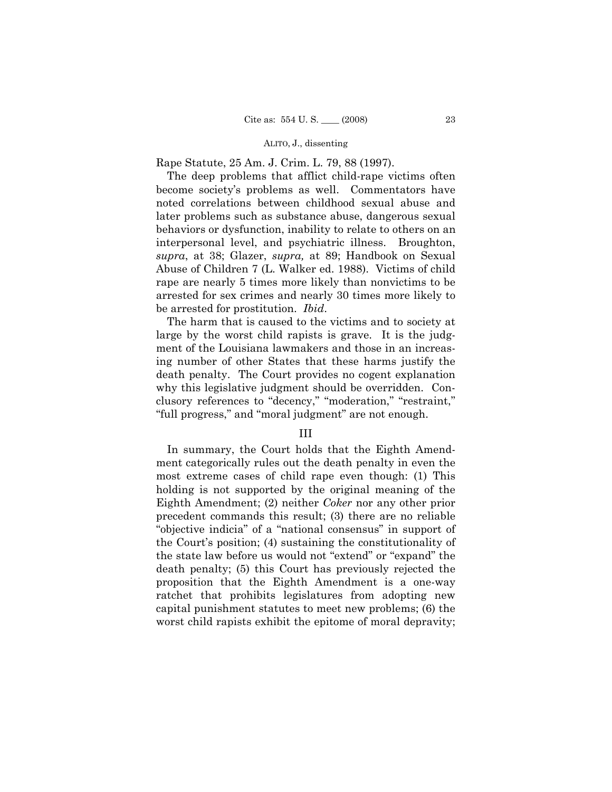Rape Statute, 25 Am. J. Crim. L. 79, 88 (1997).

 The deep problems that afflict child-rape victims often become society's problems as well. Commentators have noted correlations between childhood sexual abuse and later problems such as substance abuse, dangerous sexual behaviors or dysfunction, inability to relate to others on an interpersonal level, and psychiatric illness. Broughton, *supra*, at 38; Glazer, *supra,* at 89; Handbook on Sexual Abuse of Children 7 (L. Walker ed. 1988). Victims of child rape are nearly 5 times more likely than nonvictims to be arrested for sex crimes and nearly 30 times more likely to be arrested for prostitution. *Ibid*.

 The harm that is caused to the victims and to society at large by the worst child rapists is grave. It is the judgment of the Louisiana lawmakers and those in an increasing number of other States that these harms justify the death penalty. The Court provides no cogent explanation why this legislative judgment should be overridden. Conclusory references to "decency," "moderation," "restraint," "full progress," and "moral judgment" are not enough.

## III

 In summary, the Court holds that the Eighth Amendment categorically rules out the death penalty in even the most extreme cases of child rape even though: (1) This holding is not supported by the original meaning of the Eighth Amendment; (2) neither *Coker* nor any other prior precedent commands this result; (3) there are no reliable "objective indicia" of a "national consensus" in support of the Court's position; (4) sustaining the constitutionality of the state law before us would not "extend" or "expand" the death penalty; (5) this Court has previously rejected the proposition that the Eighth Amendment is a one-way ratchet that prohibits legislatures from adopting new capital punishment statutes to meet new problems; (6) the worst child rapists exhibit the epitome of moral depravity;